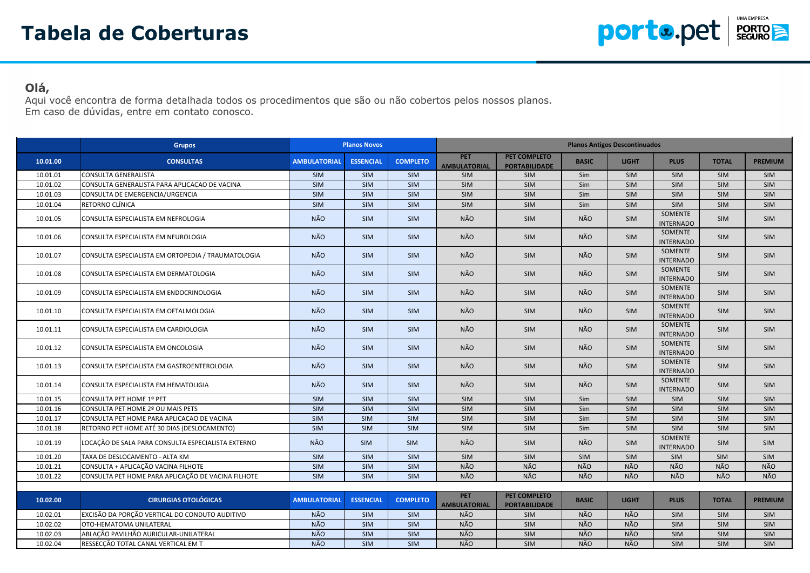

## **Olá,**

Aqui você encontra de forma detalhada todos os procedimentos que são ou não cobertos pelos nossos planos. Em caso de dúvidas, entre em contato conosco.

|          | <b>Grupos</b>                                      |                         | <b>Planos Novos</b>       |                 |                                   |                                      |              | <b>Planos Antigos Descontinuados</b> |                                    |              |                |
|----------|----------------------------------------------------|-------------------------|---------------------------|-----------------|-----------------------------------|--------------------------------------|--------------|--------------------------------------|------------------------------------|--------------|----------------|
| 10.01.00 | <b>CONSULTAS</b>                                   | <b>AMBULATORIAL</b>     | <b>ESSENCIAL</b>          | <b>COMPLETO</b> | <b>PET</b><br><b>AMBULATORIAL</b> | PET COMPLETO<br><b>PORTABILIDADE</b> | <b>BASIC</b> | <b>LIGHT</b>                         | <b>PLUS</b>                        | <b>TOTAL</b> | <b>PREMIUM</b> |
| 10.01.01 | CONSULTA GENERALISTA                               | <b>SIM</b>              | SIM                       | <b>SIM</b>      | <b>SIM</b>                        | <b>SIM</b>                           | Sim          | <b>SIM</b>                           | <b>SIM</b>                         | <b>SIM</b>   | SIM            |
| 10.01.02 | CONSULTA GENERALISTA PARA APLICACAO DE VACINA      | <b>SIM</b>              | SIM                       | <b>SIM</b>      | SIM                               | SIM                                  | Sim          | <b>SIM</b>                           | <b>SIM</b>                         | SIM          | SIM            |
| 10.01.03 | CONSULTA DE EMERGENCIA/URGENCIA                    | $\overline{\text{SIM}}$ | $\overline{\mathsf{SIM}}$ | <b>SIM</b>      | <b>SIM</b>                        | SIM                                  | Sim          | <b>SIM</b>                           | SIM                                | <b>SIM</b>   | SIM            |
| 10.01.04 | RETORNO CLÍNICA                                    | SIM                     | SIM                       | SIM             | SIM                               | SIM                                  | Sim          | SIM                                  | SIM                                | SIM          | SIM            |
| 10.01.05 | CONSULTA ESPECIALISTA EM NEFROLOGIA                | NÃO                     | <b>SIM</b>                | <b>SIM</b>      | NÃO                               | SIM                                  | NÃO          | <b>SIM</b>                           | SOMENTE<br><b>INTERNADO</b>        | <b>SIM</b>   | <b>SIM</b>     |
| 10.01.06 | CONSULTA ESPECIALISTA EM NEUROLOGIA                | NÃO.                    | <b>SIM</b>                | <b>SIM</b>      | NÃO                               | <b>SIM</b>                           | NÃO          | <b>SIM</b>                           | SOMENTE<br><b>INTERNADO</b>        | <b>SIM</b>   | <b>SIM</b>     |
| 10.01.07 | CONSULTA ESPECIALISTA EM ORTOPEDIA / TRAUMATOLOGIA | NÃO                     | <b>SIM</b>                | <b>SIM</b>      | NÃO                               | <b>SIM</b>                           | NÃO          | <b>SIM</b>                           | SOMENTE<br><b>INTERNADO</b>        | <b>SIM</b>   | <b>SIM</b>     |
| 10.01.08 | CONSULTA ESPECIALISTA EM DERMATOLOGIA              | NÃO                     | <b>SIM</b>                | <b>SIM</b>      | NÃO                               | SIM                                  | NÃO          | SIM                                  | SOMENTE<br><b>INTERNADO</b>        | <b>SIM</b>   | <b>SIM</b>     |
| 10.01.09 | CONSULTA ESPECIALISTA EM ENDOCRINOLOGIA            | NÃO                     | <b>SIM</b>                | <b>SIM</b>      | NÃO                               | SIM                                  | NÃO          | SIM                                  | SOMENTE<br><b>INTERNADO</b>        | <b>SIM</b>   | <b>SIM</b>     |
| 10.01.10 | CONSULTA ESPECIALISTA EM OFTALMOLOGIA              | NÃO                     | <b>SIM</b>                | <b>SIM</b>      | NÃO                               | SIM                                  | NÃO          | <b>SIM</b>                           | SOMENTE<br><b>INTERNADO</b>        | <b>SIM</b>   | <b>SIM</b>     |
| 10.01.11 | CONSULTA ESPECIALISTA EM CARDIOLOGIA               | NÃO                     | <b>SIM</b>                | <b>SIM</b>      | NÃO                               | <b>SIM</b>                           | NÃO          | SIM                                  | SOMENTE<br><b>INTERNADO</b>        | <b>SIM</b>   | <b>SIM</b>     |
| 10.01.12 | CONSULTA ESPECIALISTA EM ONCOLOGIA                 | NÃO.                    | <b>SIM</b>                | <b>SIM</b>      | NÃO                               | <b>SIM</b>                           | <b>NÃO</b>   | <b>SIM</b>                           | <b>SOMENTE</b><br><b>INTERNADO</b> | <b>SIM</b>   | <b>SIM</b>     |
| 10.01.13 | CONSULTA ESPECIALISTA EM GASTROENTEROLOGIA         | NÃO                     | <b>SIM</b>                | <b>SIM</b>      | NÃO                               | <b>SIM</b>                           | NÃO          | <b>SIM</b>                           | SOMENTE<br><b>INTERNADO</b>        | <b>SIM</b>   | <b>SIM</b>     |
| 10.01.14 | CONSULTA ESPECIALISTA EM HEMATOLIGIA               | NÃO                     | <b>SIM</b>                | <b>SIM</b>      | NÃO                               | <b>SIM</b>                           | NÃO          | SIM                                  | SOMENTE<br><b>INTERNADO</b>        | <b>SIM</b>   | <b>SIM</b>     |
| 10.01.15 | CONSULTA PET HOME 1º PET                           | SIM                     | SIM                       | SIM             | SIM                               | SIM                                  | Sim          | SIM                                  | SIM                                | SIM          | SIM            |
| 10.01.16 | CONSULTA PET HOME 2º OU MAIS PETS                  | SIM                     | <b>SIM</b>                | <b>SIM</b>      | SIM                               | <b>SIM</b>                           | Sim          | <b>SIM</b>                           | <b>SIM</b>                         | <b>SIM</b>   | SIM            |
| 10.01.17 | CONSULTA PET HOME PARA APLICACAO DE VACINA         | SIM                     | SIM                       | SIM             | SIM                               | SIM                                  | Sim          | SIM                                  | SIM                                | <b>SIM</b>   | SIM            |
| 10.01.18 | RETORNO PET HOME ATÉ 30 DIAS (DESLOCAMENTO)        | SIM                     | SIM                       | <b>SIM</b>      | SIM                               | SIM                                  | Sim          | SIM                                  | SIM                                | SIM          | SIM            |
| 10.01.19 | LOCAÇÃO DE SALA PARA CONSULTA ESPECIALISTA EXTERNO | NÃO                     | <b>SIM</b>                | <b>SIM</b>      | <b>NÃO</b>                        | <b>SIM</b>                           | NÃO          | <b>SIM</b>                           | SOMENTE<br><b>INTERNADO</b>        | <b>SIM</b>   | <b>SIM</b>     |
| 10.01.20 | TAXA DE DESLOCAMENTO - ALTA KM                     | SIM                     | SIM                       | <b>SIM</b>      | SIM                               | SIM                                  | SIM          | <b>SIM</b>                           | <b>SIM</b>                         | <b>SIM</b>   | SIM            |
| 10.01.21 | CONSULTA + APLICAÇÃO VACINA FILHOTE                | SIM                     | SIM                       | SIM             | <b>NÃO</b>                        | <b>NÃO</b>                           | <b>NÃO</b>   | NÃO                                  | NÃO                                | NÃO          | NÃO            |
| 10.01.22 | CONSULTA PET HOME PARA APLICAÇÃO DE VACINA FILHOTE | SIM                     | <b>SIM</b>                | SIM             | NÃO                               | NÃO                                  | NÃO          | <b>NÃO</b>                           | NÃO                                | <b>NÃO</b>   | NÃO            |
|          |                                                    |                         |                           |                 |                                   |                                      |              |                                      |                                    |              |                |
| 10.02.00 | <b>CIRURGIAS OTOLÓGICAS</b>                        | <b>AMBULATORIAL</b>     | <b>ESSENCIAL</b>          | <b>COMPLETO</b> | <b>PET</b><br><b>AMBULATORIAL</b> | PET COMPLETO<br><b>PORTABILIDADE</b> | <b>BASIC</b> | <b>LIGHT</b>                         | <b>PLUS</b>                        | <b>TOTAL</b> | <b>PREMIUM</b> |
| 10.02.01 | EXCISÃO DA PORÇÃO VERTICAL DO CONDUTO AUDITIVO     | NÃO                     | SIM                       | <b>SIM</b>      | <b>NÃO</b>                        | SIM                                  | <b>NÃO</b>   | <b>NÃO</b>                           | SIM                                | <b>SIM</b>   | <b>SIM</b>     |
| 10.02.02 | OTO-HEMATOMA UNILATERAL                            | <b>NÃO</b>              | SIM                       | SIM             | <b>NÃO</b>                        | SIM                                  | <b>NÃO</b>   | <b>NÃO</b>                           | SIM                                | <b>SIM</b>   | <b>SIM</b>     |
| 10.02.03 | ABLAÇÃO PAVILHÃO AURICULAR-UNILATERAL              | <b>NÃO</b>              | <b>SIM</b>                | <b>SIM</b>      | <b>NÃO</b>                        | SIM                                  | NÃO          | NÃO                                  | <b>SIM</b>                         | <b>SIM</b>   | SIM            |
| 10.02.04 | RESSECÇÃO TOTAL CANAL VERTICAL EM T                | NÃO                     | <b>SIM</b>                | <b>SIM</b>      | <b>NÃO</b>                        | SIM                                  | <b>NÃO</b>   | NÃO                                  | <b>SIM</b>                         | SIM          | <b>SIM</b>     |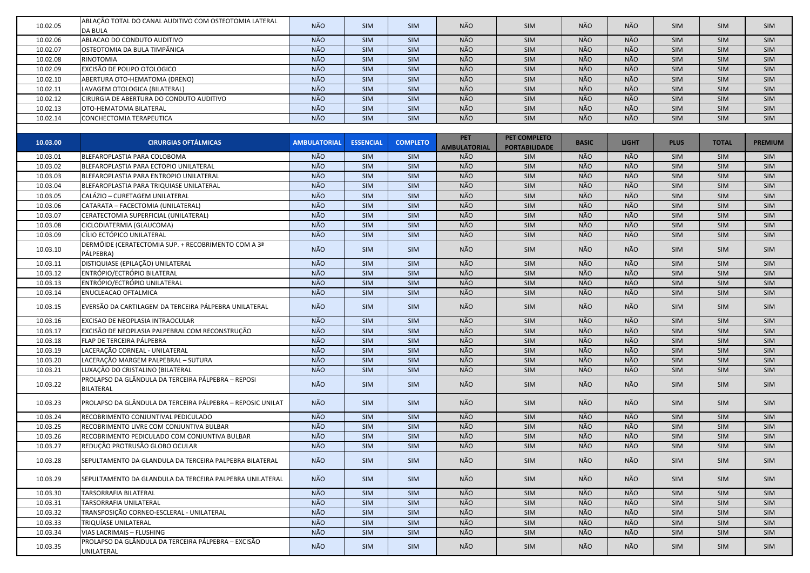| 10.02.05 | ABLAÇÃO TOTAL DO CANAL AUDITIVO COM OSTEOTOMIA LATERAL                 | NÃO                 | SIM              | <b>SIM</b>      | NÃO                 | SIM                  | NÃO          | NÃO          | <b>SIM</b>  | SIM          | <b>SIM</b>     |
|----------|------------------------------------------------------------------------|---------------------|------------------|-----------------|---------------------|----------------------|--------------|--------------|-------------|--------------|----------------|
|          | DA BULA                                                                |                     |                  |                 |                     |                      |              |              |             |              |                |
| 10.02.06 | ABLACAO DO CONDUTO AUDITIVO                                            | NÃO                 | SIM              | <b>SIM</b>      | NÃO                 | SIM                  | NÃO          | NÃO          | <b>SIM</b>  | SIM          | <b>SIM</b>     |
| 10.02.07 | OSTEOTOMIA DA BULA TIMPÂNICA                                           | NÃO                 | SIM              | <b>SIM</b>      | NÃO                 | SIM                  | NÃO          | NÃO          | SIM         | SIM          | <b>SIM</b>     |
| 10.02.08 | RINOTOMIA                                                              | NÃO                 | SIM              | <b>SIM</b>      | NÃO                 | SIM                  | NÃO          | NÃO          | SIM         | SIM          | <b>SIM</b>     |
| 10.02.09 | EXCISÃO DE POLIPO OTOLOGICO                                            | NÃO                 | SIM              | <b>SIM</b>      | NÃO<br>NÃO          | SIM                  | NÃO<br>NÃO   | NÃO<br>NÃO   | SIM         | SIM          | <b>SIM</b>     |
| 10.02.10 | ABERTURA OTO-HEMATOMA (DRENO)                                          | NÃO                 | SIM              | <b>SIM</b>      | NÃO                 | SIM                  | NÃO          | NÃO          | SIM         | SIM          | <b>SIM</b>     |
| 10.02.11 | LAVAGEM OTOLOGICA (BILATERAL)                                          | NÃO                 | SIM              | <b>SIM</b>      |                     | SIM                  |              |              | SIM         | SIM          | <b>SIM</b>     |
| 10.02.12 | CIRURGIA DE ABERTURA DO CONDUTO AUDITIVO                               | NÃO                 | SIM              | <b>SIM</b>      | NÃO                 | SIM                  | NÃO          | NÃO          | SIM         | SIM          | <b>SIM</b>     |
| 10.02.13 | OTO-HEMATOMA BILATERAL                                                 | NÃO                 | SIM              | <b>SIM</b>      | NÃO                 | SIM                  | NÃO          | NÃO          | SIM         | SIM          | <b>SIM</b>     |
| 10.02.14 | CONCHECTOMIA TERAPEUTICA                                               | NÃO                 | SIM              | <b>SIM</b>      | NÃO                 | SIM                  | NÃO          | NÃO          | SIM         | SIM          | <b>SIM</b>     |
|          |                                                                        |                     |                  |                 | <b>PET</b>          | PET COMPLETO         |              |              |             |              |                |
| 10.03.00 | <b>CIRURGIAS OFTÁLMICAS</b>                                            | <b>AMBULATORIAL</b> | <b>ESSENCIAL</b> | <b>COMPLETO</b> | <b>AMBULATORIAL</b> | <b>PORTABILIDADE</b> | <b>BASIC</b> | <b>LIGHT</b> | <b>PLUS</b> | <b>TOTAL</b> | <b>PREMIUM</b> |
| 10.03.01 | BLEFAROPLASTIA PARA COLOBOMA                                           | NÃO                 | <b>SIM</b>       | <b>SIM</b>      | NÃO                 | SIM                  | NÃO          | NÃO          | SIM         | SIM          | <b>SIM</b>     |
| 10.03.02 | BLEFAROPLASTIA PARA ECTOPIO UNILATERAL                                 | NÃO                 | SIM              | <b>SIM</b>      | NÃO                 | SIM                  | NÃO          | NÃO          | SIM         | SIM          | <b>SIM</b>     |
| 10.03.03 | BLEFAROPLASTIA PARA ENTROPIO UNILATERAL                                | NÃO                 | SIM              | <b>SIM</b>      | NÃO                 | SIM                  | NÃO          | NÃO          | SIM         | SIM          | <b>SIM</b>     |
| 10.03.04 | BLEFAROPLASTIA PARA TRIQUIASE UNILATERAL                               | NÃO                 | SIM              | <b>SIM</b>      | NÃO                 | SIM                  | NÃO          | NÃO          | SIM         | SIM          | <b>SIM</b>     |
| 10.03.05 | CALÁZIO - CURETAGEM UNILATERAL                                         | NÃO                 | SIM              | <b>SIM</b>      | NÃO                 | SIM                  | NÃO          | NÃO          | <b>SIM</b>  | SIM          | <b>SIM</b>     |
| 10.03.06 | CATARATA - FACECTOMIA (UNILATERAL)                                     | NÃO                 | SIM              | <b>SIM</b>      | NÃO                 | SIM                  | NÃO          | NÃO          | SIM         | SIM          | <b>SIM</b>     |
| 10.03.07 | CERATECTOMIA SUPERFICIAL (UNILATERAL)                                  | NÃO                 | SIM              | <b>SIM</b>      | NÃO                 | SIM                  | NÃO          | NÃO          | SIM         | SIM          | <b>SIM</b>     |
| 10.03.08 | CICLODIATERMIA (GLAUCOMA)                                              | NÃO                 | SIM              | <b>SIM</b>      | NÃO                 | SIM                  | NÃO          | NÃO          | SIM         | SIM          | <b>SIM</b>     |
| 10.03.09 | CÍLIO ECTÓPICO UNILATERAL                                              | NÃO                 | SIM              | <b>SIM</b>      | NÃO                 | SIM                  | NÃO          | NÃO          | SIM         | SIM          | <b>SIM</b>     |
| 10.03.10 | DERMÓIDE (CERATECTOMIA SUP. + RECOBRIMENTO COM A 3ª<br>PÁLPEBRA)       | NÃO                 | <b>SIM</b>       | <b>SIM</b>      | NÃO                 | SIM                  | NÃO          | NÃO          | <b>SIM</b>  | <b>SIM</b>   | <b>SIM</b>     |
| 10.03.11 | DISTIQUIASE (EPILAÇÃO) UNILATERAL                                      | NÃO                 | SIM              | <b>SIM</b>      | NÃO                 | SIM                  | NÃO          | NÃO          | SIM         | SIM          | <b>SIM</b>     |
| 10.03.12 | ENTRÓPIO/ECTRÓPIO BILATERAL                                            | NÃO                 | SIM              | <b>SIM</b>      | NÃO                 | SIM                  | NÃO          | NÃO          | SIM         | SIM          | <b>SIM</b>     |
| 10.03.13 | ENTRÓPIO/ECTRÓPIO UNILATERAL                                           | NÃO                 | SIM              | <b>SIM</b>      | NÃO                 | SIM                  | NÃO          | NÃO          | SIM         | SIM          | <b>SIM</b>     |
| 10.03.14 | ENUCLEACAO OFTALMICA                                                   | NÃO                 | SIM              | <b>SIM</b>      | NÃO                 | SIM                  | NÃO          | NÃO          | <b>SIM</b>  | SIM          | <b>SIM</b>     |
| 10.03.15 | EVERSÃO DA CARTILAGEM DA TERCEIRA PÁLPEBRA UNILATERAL                  | NÃO                 | <b>SIM</b>       | <b>SIM</b>      | NÃO                 | SIM                  | NÃO          | NÃO          | <b>SIM</b>  | SIM          | <b>SIM</b>     |
| 10.03.16 | EXCISAO DE NEOPLASIA INTRAOCULAR                                       | NÃO                 | SIM              | <b>SIM</b>      | NÃO                 | SIM                  | NÃO          | NÃO          | SIM         | SIM          | <b>SIM</b>     |
| 10.03.17 | EXCISÃO DE NEOPLASIA PALPEBRAL COM RECONSTRUÇÃO                        | NÃO                 | SIM              | <b>SIM</b>      | NÃO                 | SIM                  | NÃO          | NÃO          | SIM         | SIM          | <b>SIM</b>     |
| 10.03.18 | FLAP DE TERCEIRA PÁLPEBRA                                              | NÃO                 | SIM              | SIM             | NÃO                 | SIM                  | NÃO          | NÃO          | SIM         | SIM          | SIM            |
| 10.03.19 | LACERAÇÃO CORNEAL - UNILATERAL                                         | NÃO                 | SIM              | <b>SIM</b>      | NÃO                 | SIM                  | NÃO          | NÃO          | SIM         | SIM          | <b>SIM</b>     |
| 10.03.20 | LACERAÇÃO MARGEM PALPEBRAL – SUTURA                                    | NÃO                 | <b>SIM</b>       | <b>SIM</b>      | NÃO                 | SIM                  | NÃO          | <b>NÃO</b>   | SIM         | SIM          | <b>SIM</b>     |
| 10.03.21 | LUXAÇÃO DO CRISTALINO (BILATERAL                                       | NÃO                 | SIM              | <b>SIM</b>      | <b>NÃO</b>          | SIM                  | NÃO          | NÃO          | <b>SIM</b>  | SIM          | <b>SIM</b>     |
| 10.03.22 | PROLAPSO DA GLÂNDULA DA TERCEIRA PÁLPEBRA - REPOSI<br><b>BILATERAL</b> | NÃO                 | SIM              | <b>SIM</b>      | NÃO                 | <b>SIM</b>           | NÃO          | NÃO          | <b>SIM</b>  | <b>SIM</b>   | <b>SIM</b>     |
| 10.03.23 | PROLAPSO DA GLÂNDULA DA TERCEIRA PÁLPEBRA - REPOSIC UNILAT             | NÃO                 | <b>SIM</b>       | <b>SIM</b>      | NÃO                 | <b>SIM</b>           | NÃO          | NÃO          | <b>SIM</b>  | <b>SIM</b>   | <b>SIM</b>     |
| 10.03.24 | RECOBRIMENTO CONJUNTIVAL PEDICULADO                                    | NÃO                 | SIM              | <b>SIM</b>      | NÃO                 | SIM                  | NÃO          | NÃO          | SIM         | SIM          | <b>SIM</b>     |
| 10.03.25 | RECOBRIMENTO LIVRE COM CONJUNTIVA BULBAR                               | NÃO                 | SIM              | <b>SIM</b>      | NÃO                 | SIM                  | NÃO          | NÃO          | <b>SIM</b>  | SIM          | <b>SIM</b>     |
| 10.03.26 | RECOBRIMENTO PEDICULADO COM CONJUNTIVA BULBAR                          | NÃO                 | SIM              | <b>SIM</b>      | NÃO                 | SIM                  | NÃO          | NÃO          | <b>SIM</b>  | SIM          | <b>SIM</b>     |
| 10.03.27 | REDUÇÃO PROTRUSÃO GLOBO OCULAR                                         | NÃO                 | SIM              | <b>SIM</b>      | NÃO                 | SIM                  | NÃO          | NÃO          | SIM         | SIM          | <b>SIM</b>     |
| 10.03.28 | SEPULTAMENTO DA GLANDULA DA TERCEIRA PALPEBRA BILATERAL                | NÃO                 | SIM              | <b>SIM</b>      | NÃO                 | SIM                  | NÃO          | NÃO          | SIM         | SIM          | <b>SIM</b>     |
| 10.03.29 | SEPULTAMENTO DA GLANDULA DA TERCEIRA PALPEBRA UNILATERAL               | NÃO                 | SIM              | <b>SIM</b>      | NÃO                 | SIM                  | NÃO          | NÃO          | <b>SIM</b>  | <b>SIM</b>   | <b>SIM</b>     |
| 10.03.30 | TARSORRAFIA BILATERAL                                                  | NÃO                 | SIM              | <b>SIM</b>      | NÃO                 | SIM                  | NÃO          | NÃO          | SIM         | SIM          | <b>SIM</b>     |
| 10.03.31 | TARSORRAFIA UNILATERAL                                                 | NÃO                 | SIM              | <b>SIM</b>      | NÃO                 | SIM                  | NÃO          | NÃO          | SIM         | SIM          | <b>SIM</b>     |
| 10.03.32 | TRANSPOSIÇÃO CORNEO-ESCLERAL - UNILATERAL                              | NÃO                 | SIM              | <b>SIM</b>      | NÃO                 | SIM                  | NÃO          | NÃO          | SIM         | SIM          | <b>SIM</b>     |
| 10.03.33 | TRIQUÍASE UNILATERAL                                                   | NÃO                 | SIM              | <b>SIM</b>      | NÃO                 | SIM                  | NÃO          | NÃO          | SIM         | SIM          | <b>SIM</b>     |
| 10.03.34 | VIAS LACRIMAIS - FLUSHING                                              | NÃO                 | SIM              | <b>SIM</b>      | NÃO                 | SIM                  | NÃO          | NÃO          | <b>SIM</b>  | SIM          | <b>SIM</b>     |
| 10.03.35 | PROLAPSO DA GLÂNDULA DA TERCEIRA PÁLPEBRA - EXCISÃO<br>UNILATERAL      | NÃO                 | <b>SIM</b>       | <b>SIM</b>      | NÃO                 | SIM                  | NÃO          | NÃO          | <b>SIM</b>  | SIM          | <b>SIM</b>     |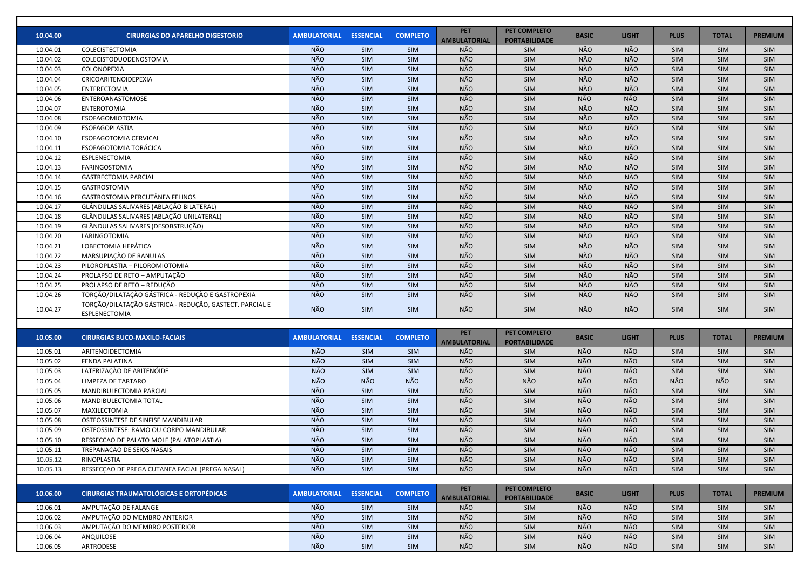| 10.04.00 | <b>CIRURGIAS DO APARELHO DIGESTORIO</b>                                         | <b>AMBULATORIAL</b> | <b>ESSENCIAL</b> | <b>COMPLETO</b> | <b>PET</b><br><b>AMBULATORIAL</b> | <b>PET COMPLETO</b><br><b>PORTABILIDADE</b> | <b>BASIC</b> | <b>LIGHT</b> | <b>PLUS</b> | <b>TOTAL</b> | <b>PREMIUM</b> |
|----------|---------------------------------------------------------------------------------|---------------------|------------------|-----------------|-----------------------------------|---------------------------------------------|--------------|--------------|-------------|--------------|----------------|
| 10.04.01 | <b>COLECISTECTOMIA</b>                                                          | NÃO                 | SIM              | <b>SIM</b>      | <b>NÃO</b>                        | SIM                                         | NÃO          | NÃO          | SIM         | SIM          | SIM            |
| 10.04.02 | <b>COLECISTODUODENOSTOMIA</b>                                                   | NÃO                 | SIM              | <b>SIM</b>      | NÃO                               | SIM                                         | NÃO          | NÃO          | <b>SIM</b>  | <b>SIM</b>   | SIM            |
| 10.04.03 | <b>COLONOPEXIA</b>                                                              | NÃO                 | SIM              | <b>SIM</b>      | NÃO                               | SIM                                         | NÃO          | NÃO          | <b>SIM</b>  | SIM          | SIM            |
| 10.04.04 | CRICOARITENOIDEPEXIA                                                            | NÃO                 | SIM              | <b>SIM</b>      | NÃO                               | SIM                                         | NÃO          | NÃO          | <b>SIM</b>  | <b>SIM</b>   | SIM            |
| 10.04.05 | <b>ENTERECTOMIA</b>                                                             | NÃO                 | SIM              | <b>SIM</b>      | NÃO                               | SIM                                         | NÃO          | NÃO          | <b>SIM</b>  | <b>SIM</b>   | <b>SIM</b>     |
| 10.04.06 | ENTEROANASTOMOSE                                                                | NÃO                 | SIM              | <b>SIM</b>      | NÃO                               | SIM                                         | <b>NÃO</b>   | NÃO          | <b>SIM</b>  | <b>SIM</b>   | SIM            |
| 10.04.07 | <b>ENTEROTOMIA</b>                                                              | <b>NÃO</b>          | SIM              | <b>SIM</b>      | NÃO                               | SIM                                         | NÃO          | NÃO          | SIM         | <b>SIM</b>   | SIM            |
| 10.04.08 | <b>ESOFAGOMIOTOMIA</b>                                                          | NÃO                 | SIM              | <b>SIM</b>      | NÃO                               | SIM                                         | NÃO          | NÃO          | SIM         | <b>SIM</b>   | <b>SIM</b>     |
| 10.04.09 | <b>ESOFAGOPLASTIA</b>                                                           | NÃO                 | SIM              | <b>SIM</b>      | NÃO                               | SIM                                         | NÃO          | NÃO          | <b>SIM</b>  | SIM          | SIM            |
| 10.04.10 | <b>ESOFAGOTOMIA CERVICAL</b>                                                    | NÃO                 | SIM              | SIM             | NÃO                               | SIM                                         | NÃO          | NÃO          | SIM         | SIM          | SIM            |
| 10.04.11 | <b>ESOFAGOTOMIA TORÁCICA</b>                                                    | NÃO                 | SIM              | <b>SIM</b>      | NÃO                               | SIM                                         | NÃO          | NÃO          | <b>SIM</b>  | SIM          | SIM            |
| 10.04.12 | <b>ESPLENECTOMIA</b>                                                            | NÃO                 | SIM              | SIM             | NÃO                               | SIM                                         | NÃO          | NÃO          | SIM         | <b>SIM</b>   | SIM            |
| 10.04.13 | FARINGOSTOMIA                                                                   | NÃO                 | SIM              | <b>SIM</b>      | NÃO                               | SIM                                         | NÃO          | NÃO          | <b>SIM</b>  | <b>SIM</b>   | SIM            |
| 10.04.14 | <b>GASTRECTOMIA PARCIAL</b>                                                     | NÃO                 | <b>SIM</b>       | SIM             | NÃO                               | SIM                                         | NÃO          | NÃO          | <b>SIM</b>  | SIM          | SIM            |
| 10.04.15 | <b>GASTROSTOMIA</b>                                                             | NÃO                 | <b>SIM</b>       | <b>SIM</b>      | NÃO                               | SIM                                         | NÃO          | NÃO          | <b>SIM</b>  | <b>SIM</b>   | SIM            |
| 10.04.16 | GASTROSTOMIA PERCUTÂNEA FELINOS                                                 | NÃO                 | SIM              | SIM             | NÃO                               | SIM                                         | NÃO          | NÃO          | <b>SIM</b>  | SIM          | SIM            |
| 10.04.17 | GLÂNDULAS SALIVARES (ABLAÇÃO BILATERAL)                                         | NÃO                 | SIM              | SIM             | NÃO                               | SIM                                         | NÃO          | NÃO          | SIM         | SIM          | SIM            |
| 10.04.18 | GLÂNDULAS SALIVARES (ABLAÇÃO UNILATERAL)                                        | NÃO                 | SIM              | SIM             | NÃO                               | SIM                                         | NÃO          | NÃO          | SIM         | SIM          | SIM            |
| 10.04.19 | GLÂNDULAS SALIVARES (DESOBSTRUÇÃO)                                              | NÃO                 | <b>SIM</b>       | SIM             | NÃO                               | <b>SIM</b>                                  | NÃO          | NÃO          | <b>SIM</b>  | SIM          | SIM            |
| 10.04.20 | LARINGOTOMIA                                                                    | NÃO                 | <b>SIM</b>       | SIM             | NÃO                               | SIM                                         | NÃO          | NÃO          | <b>SIM</b>  | SIM          | SIM            |
| 10.04.21 | LOBECTOMIA HEPÁTICA                                                             | NÃO                 | SIM              | <b>SIM</b>      | NÃO                               | SIM                                         | NÃO          | NÃO          | <b>SIM</b>  | SIM          | SIM            |
| 10.04.22 | MARSUPIAÇÃO DE RANULAS                                                          | NÃO                 | SIM              | SIM             | NÃO                               | SIM                                         | NÃO          | NÃO          | <b>SIM</b>  | <b>SIM</b>   | SIM            |
| 10.04.23 | PILOROPLASTIA - PILOROMIOTOMIA                                                  | NÃO                 | SIM              | <b>SIM</b>      | NÃO                               | SIM                                         | NÃO          | NÃO          | <b>SIM</b>  | <b>SIM</b>   | SIM            |
| 10.04.24 | PROLAPSO DE RETO - AMPUTAÇÃO                                                    | NÃO                 | SIM              | <b>SIM</b>      | NÃO                               | SIM                                         | NÃO          | NÃO          | <b>SIM</b>  | <b>SIM</b>   | SIM            |
| 10.04.25 | PROLAPSO DE RETO - REDUÇÃO                                                      | NÃO                 | SIM              | <b>SIM</b>      | NÃO                               | SIM                                         | NÃO          | NÃO          | <b>SIM</b>  | SIM          | SIM            |
| 10.04.26 | TORÇÃO/DILATAÇÃO GÁSTRICA - REDUÇÃO E GASTROPEXIA                               | <b>NÃO</b>          | SIM              | SIM             | NÃO                               | SIM                                         | NÃO          | NÃO          | <b>SIM</b>  | SIM          | SIM            |
| 10.04.27 | TORÇÃO/DILATAÇÃO GÁSTRICA - REDUÇÃO, GASTECT. PARCIAL E<br><b>ESPLENECTOMIA</b> | NÃO                 | <b>SIM</b>       | <b>SIM</b>      | NÃO                               | <b>SIM</b>                                  | NÃO          | <b>NÃO</b>   | <b>SIM</b>  | <b>SIM</b>   | <b>SIM</b>     |
|          |                                                                                 |                     |                  |                 |                                   |                                             |              |              |             |              |                |
| 10.05.00 | <b>CIRURGIAS BUCO-MAXILO-FACIAIS</b>                                            | <b>AMBULATORIAL</b> | <b>ESSENCIAL</b> | <b>COMPLETO</b> | <b>PET</b><br><b>AMBULATORIAL</b> | PET COMPLETO<br><b>PORTABILIDADE</b>        | <b>BASIC</b> | <b>LIGHT</b> | <b>PLUS</b> | <b>TOTAL</b> | <b>PREMIUM</b> |
| 10.05.01 | ARITENOIDECTOMIA                                                                | <b>NÃO</b>          | <b>SIM</b>       | SIM             | NÃO                               | SIM                                         | NÃO          | NÃO          | <b>SIM</b>  | <b>SIM</b>   | SIM            |
| 10.05.02 | <b>FENDA PALATINA</b>                                                           | <b>NÃO</b>          | <b>SIM</b>       | SIM             | NÃO                               | SIM                                         | <b>NÃO</b>   | NÃO          | <b>SIM</b>  | SIM          | SIM            |
| 10.05.03 | LATERIZAÇÃO DE ARITENÓIDE                                                       | <b>NÃO</b>          | <b>SIM</b>       | <b>SIM</b>      | NÃO                               | <b>SIM</b>                                  | <b>NÃO</b>   | NÃO          | <b>SIM</b>  | <b>SIM</b>   | <b>SIM</b>     |
| 10.05.04 | LIMPEZA DE TARTARO                                                              | NÃO                 | NÃO              | <b>NÃO</b>      | NÃO                               | NÃO                                         | NÃO          | NÃO          | NÃO.        | NÃO          | <b>SIM</b>     |
| 10.05.05 | MANDIBULECTOMIA PARCIAL                                                         | NÃO                 | SIM              | SIM             | NÃO                               | SIM                                         | NÃO          | NÃO          | <b>SIM</b>  | <b>SIM</b>   | <b>SIM</b>     |
| 10.05.06 | MANDIBULECTOMIA TOTAL                                                           | NÃO                 | SIM              | SIM             | NÃO                               | SIM                                         | NÃO          | NÃO          | <b>SIM</b>  | <b>SIM</b>   | SIM            |
| 10.05.07 | <b>MAXILECTOMIA</b>                                                             | NÃO                 | SIM              | SIM             | NÃO                               | SIM                                         | <b>NÃO</b>   | NÃO          | <b>SIM</b>  | <b>SIM</b>   | SIM            |
| 10.05.08 | OSTEOSSINTESE DE SINFISE MANDIBULAR                                             | NÃO                 | SIM              | SIM             | NÃO                               | SIM                                         | NÃO          | NÃO          | <b>SIM</b>  | <b>SIM</b>   | SIM            |
| 10.05.09 | OSTEOSSINTESE: RAMO OU CORPO MANDIBULAR                                         | NÃO                 | SIM              | SIM             | NÃO                               | SIM                                         | NÃO          | NÃO          | <b>SIM</b>  | <b>SIM</b>   | SIM            |
| 10.05.10 | RESSECCAO DE PALATO MOLE (PALATOPLASTIA)                                        | NÃO                 | SIM              | <b>SIM</b>      | NÃO                               | SIM                                         | NÃO          | NÃO          | <b>SIM</b>  | <b>SIM</b>   | <b>SIM</b>     |
| 10.05.11 | TREPANACAO DE SEIOS NASAIS                                                      | NÃO                 | SIM              | <b>SIM</b>      | NÃO                               | SIM                                         | NÃO          | NÃO          | SIM         | <b>SIM</b>   | <b>SIM</b>     |
| 10.05.12 | RINOPLASTIA                                                                     | NÃO                 | SIM              | SIM             | NÃO                               | SIM                                         | NÃO          | NÃO          | <b>SIM</b>  | <b>SIM</b>   | SIM            |
| 10.05.13 | RESSECCAO DE PREGA CUTANEA FACIAL (PREGA NASAL)                                 | NÃO                 | SIM              | <b>SIM</b>      | NÃO                               | <b>SIM</b>                                  | NÃO          | NÃO          | <b>SIM</b>  | <b>SIM</b>   | SIM            |
|          |                                                                                 |                     |                  |                 |                                   |                                             |              |              |             |              |                |
| 10.06.00 | <b>CIRURGIAS TRAUMATOLÓGICAS E ORTOPÉDICAS</b>                                  | <b>AMBULATORIAL</b> | <b>ESSENCIAL</b> | <b>COMPLETO</b> | <b>PET</b><br><b>AMBULATORIAL</b> | PET COMPLETO<br><b>PORTABILIDADE</b>        | <b>BASIC</b> | <b>LIGHT</b> | <b>PLUS</b> | <b>TOTAL</b> | <b>PREMIUM</b> |
| 10.06.01 | AMPUTAÇÃO DE FALANGE                                                            | NÃO                 | <b>SIM</b>       | <b>SIM</b>      | NÃO                               | SIM                                         | NÃO          | NÃO          | <b>SIM</b>  | <b>SIM</b>   | <b>SIM</b>     |
| 10.06.02 | AMPUTAÇÃO DO MEMBRO ANTERIOR                                                    | NÃO                 | SIM              | <b>SIM</b>      | NÃO                               | SIM                                         | NÃO          | NÃO          | <b>SIM</b>  | <b>SIM</b>   | <b>SIM</b>     |
| 10.06.03 | AMPUTAÇÃO DO MEMBRO POSTERIOR                                                   | NÃO                 | SIM              | <b>SIM</b>      | NÃO                               | SIM                                         | NÃO          | NÃO          | <b>SIM</b>  | <b>SIM</b>   | SIM            |
| 10.06.04 | ANQUILOSE                                                                       | NÃO                 | SIM              | SIM             | NÃO                               | SIM                                         | NÃO          | NÃO          | <b>SIM</b>  | SIM          | SIM            |
| 10.06.05 | ARTRODESE                                                                       | NÃO                 | SIM              | SIM             | NÃO                               | SIM                                         | NÃO          | NÃO          | SIM         | <b>SIM</b>   | SIM            |
|          |                                                                                 |                     |                  |                 |                                   |                                             |              |              |             |              |                |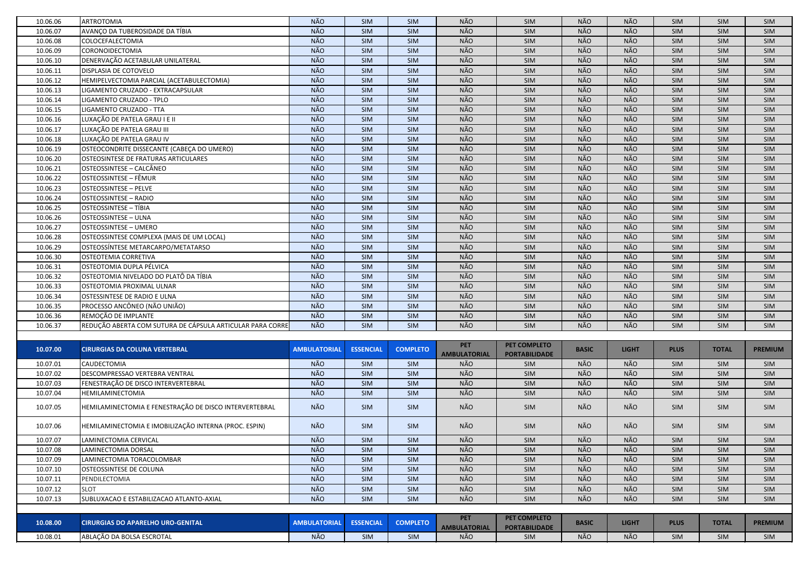| NÃO<br><b>NÃO</b><br>NÃO<br>NÃO<br>10.06.07<br>AVANÇO DA TUBEROSIDADE DA TÍBIA<br>SIM<br>SIM<br>SIM<br>SIM<br>SIM<br>SIM<br><b>NÃO</b><br><b>NÃO</b><br><b>NÃO</b><br><b>NÃO</b><br>SIM<br>10.06.08<br>COLOCEFALECTOMIA<br>SIM<br>SIM<br>SIM<br>SIM<br>SIM<br><b>NÃO</b><br><b>NÃO</b><br>NÃO<br>NÃO<br>SIM<br>SIM<br>10.06.09<br>CORONOIDECTOMIA<br>SIM<br>SIM<br>SIM<br>SIM<br>NÃO<br>NÃO<br>NÃO<br><b>NÃO</b><br>10.06.10<br>DENERVAÇÃO ACETABULAR UNILATERAL<br>SIM<br>SIM<br>SIM<br>SIM<br>SIM<br>SIM<br><b>NÃO</b><br><b>NÃO</b><br>NÃO<br><b>NÃO</b><br>DISPLASIA DE COTOVELO<br>SIM<br>10.06.11<br><b>SIM</b><br><b>SIM</b><br>SIM<br><b>SIM</b><br>SIM<br>NÃO<br><b>NÃO</b><br>10.06.12<br>HEMIPELVECTOMIA PARCIAL (ACETABULECTOMIA)<br><b>NÃO</b><br>NÃO<br><b>SIM</b><br>SIM<br>SIM<br>SIM<br><b>SIM</b><br>SIM<br><b>NÃO</b><br><b>NÃO</b><br>NÃO<br><b>NÃO</b><br>10.06.13<br>LIGAMENTO CRUZADO - EXTRACAPSULAR<br>SIM<br>SIM<br>SIM<br>SIM<br>SIM<br>SIM<br><b>NÃO</b><br>NÃO<br>NÃO<br>NÃO<br>SIM<br>SIM<br>SIM<br>SIM<br>SIM<br>10.06.14<br>LIGAMENTO CRUZADO - TPLO<br><b>SIM</b><br><b>NÃO</b><br>NÃO<br>NÃO<br><b>NÃO</b><br>SIM<br>10.06.15<br>LIGAMENTO CRUZADO - TTA<br><b>SIM</b><br>SIM<br>SIM<br><b>SIM</b><br>SIM<br>NÃO<br>NÃO<br><b>NÃO</b><br><b>NÃO</b><br>10.06.16<br>LUXAÇÃO DE PATELA GRAU I E II<br>SIM<br>SIM<br>SIM<br>SIM<br>SIM<br><b>SIM</b><br><b>NÃO</b><br><b>NÃO</b><br><b>NÃO</b><br><b>NÃO</b><br>10.06.17<br>LUXAÇÃO DE PATELA GRAU III<br>SIM<br>SIM<br>SIM<br>SIM<br>SIM<br><b>SIM</b><br>NÃO<br>NÃO<br>NÃO<br><b>NÃO</b><br>LUXAÇÃO DE PATELA GRAU IV<br>SIM<br>SIM<br>SIM<br>SIM<br>SIM<br>10.06.18<br><b>SIM</b><br><b>NÃO</b><br><b>NÃO</b><br><b>NÃO</b><br>NÃO<br>SIM<br>SIM<br>SIM<br>SIM<br>10.06.19<br>OSTEOCONDRITE DISSECANTE (CABEÇA DO UMERO)<br>SIM<br>SIM<br>NÃO<br>NÃO<br>NÃO<br>NÃO<br>10.06.20<br><b>SIM</b><br>SIM<br>SIM<br>SIM<br>SIM<br>OSTEOSINTESE DE FRATURAS ARTICULARES<br><b>SIM</b><br>NÃO<br>NÃO<br>NÃO<br>NÃO<br>OSTEOSSINTESE - CALCÂNEO<br>SIM<br>SIM<br>10.06.21<br><b>SIM</b><br>SIM<br><b>SIM</b><br>SIM<br><b>NÃO</b><br>NÃO<br>NÃO<br>10.06.22<br>OSTEOSSINTESE - FÊMUR<br>NÃO<br>SIM<br>SIM<br>SIM<br>SIM<br>SIM<br><b>SIM</b><br>NÃO<br>NÃO<br>NÃO<br>10.06.23<br>NÃO<br><b>OSTEOSSINTESE - PELVE</b><br><b>SIM</b><br>SIM<br>SIM<br><b>SIM</b><br><b>SIM</b><br>SIM<br>NÃO<br>NÃO<br>NÃO<br>NÃO<br>10.06.24<br><b>SIM</b><br>SIM<br>SIM<br>SIM<br>SIM<br><b>OSTEOSSINTESE - RADIO</b><br><b>SIM</b><br>NÃO<br>NÃO<br>NÃO<br><b>NÃO</b><br>10.06.25<br><b>OSTEOSSINTESE - TÍBIA</b><br>SIM<br>SIM<br><b>SIM</b><br>SIM<br><b>SIM</b><br>SIM<br>NÃO<br>NÃO<br>NÃO<br><b>NÃO</b><br>10.06.26<br><b>OSTEOSSINTESE - ULNA</b><br>SIM<br>SIM<br>SIM<br>SIM<br><b>SIM</b><br>SIM<br>NÃO<br>NÃO<br><b>NÃO</b><br>NÃO<br>10.06.27<br><b>OSTEOSSINTESE - UMERO</b><br>SIM<br>SIM<br>SIM<br>SIM<br>SIM<br>SIM<br>NÃO<br><b>NÃO</b><br>NÃO<br>NÃO<br>10.06.28<br>OSTEOSSINTESE COMPLEXA (MAIS DE UM LOCAL)<br>SIM<br>SIM<br>SIM<br>SIM<br>SIM<br>SIM<br><b>NÃO</b><br><b>NÃO</b><br>NÃO<br>NÃO<br>OSTEOSSÍNTESE METARCARPO/METATARSO<br>SIM<br>SIM<br>SIM<br>10.06.29<br>SIM<br>SIM<br>SIM<br><b>NÃO</b><br>NÃO<br>NÃO<br><b>NÃO</b><br>10.06.30<br>OSTEOTEMIA CORRETIVA<br>SIM<br>SIM<br>SIM<br>SIM<br>SIM<br>SIM<br><b>NÃO</b><br><b>NÃO</b><br>OSTEOTOMIA DUPLA PÉLVICA<br><b>NÃO</b><br><b>NÃO</b><br>10.06.31<br>SIM<br>SIM<br>SIM<br>SIM<br>SIM<br>SIM<br><b>NÃO</b><br><b>NÃO</b><br>NÃO<br><b>NÃO</b><br>10.06.32<br>OSTEOTOMIA NIVELADO DO PLATÔ DA TÍBIA<br>SIM<br>SIM<br>SIM<br>SIM<br>SIM<br>SIM<br><b>NÃO</b><br>NÃO<br><b>NÃO</b><br>10.06.33<br>NÃO<br>SIM<br>OSTEOTOMIA PROXIMAL ULNAR<br><b>SIM</b><br>SIM<br><b>SIM</b><br><b>SIM</b><br>SIM<br>NÃO<br>NÃO<br>NÃO<br>NÃO<br><b>SIM</b><br>SIM<br>SIM<br>SIM<br>SIM<br>SIM<br>10.06.34<br>OSTESSINTESE DE RADIO E ULNA<br>PROCESSO ANCÔNEO (NÃO UNIÃO)<br><b>NÃO</b><br>NÃO<br>NÃO<br><b>NÃO</b><br>SIM<br>SIM<br>10.06.35<br><b>SIM</b><br>SIM<br><b>SIM</b><br>SIM<br><b>NÃO</b><br><b>NÃO</b><br>NÃO<br><b>NÃO</b><br>SIM<br>REMOÇÃO DE IMPLANTE<br><b>SIM</b><br>SIM<br>SIM<br>SIM<br>10.06.36<br><b>SIM</b><br><b>NÃO</b><br><b>NÃO</b><br><b>NÃO</b><br><b>NÃO</b><br>REDUÇÃO ABERTA COM SUTURA DE CÁPSULA ARTICULAR PARA CORRE<br><b>SIM</b><br>10.06.37<br><b>SIM</b><br><b>SIM</b><br>SIM<br><b>SIM</b><br>SIM<br><b>PET</b><br>PET COMPLETO<br>10.07.00<br><b>AMBULATORIAL</b><br><b>ESSENCIAL</b><br><b>COMPLETO</b><br><b>BASIC</b><br><b>LIGHT</b><br><b>PLUS</b><br><b>TOTAL</b><br><b>PREMIUM</b><br><b>CIRURGIAS DA COLUNA VERTEBRAL</b><br><b>AMBULATORIAL</b><br><b>PORTABILIDADE</b><br><b>NÃO</b><br><b>NÃO</b><br>NÃO<br>NÃO<br>10.07.01<br>CAUDECTOMIA<br><b>SIM</b><br>SIM<br>SIM<br><b>SIM</b><br>SIM<br>SIM<br><b>NÃO</b><br><b>NÃO</b><br><b>NÃO</b><br>NÃO<br>DESCOMPRESSAO VERTEBRA VENTRAL<br>SIM<br>SIM<br>SIM<br>SIM<br>SIM<br>SIM<br>10.07.02<br>NÃO<br>NÃO<br><b>NÃO</b><br>NÃO<br>10.07.03<br>FENESTRAÇÃO DE DISCO INTERVERTEBRAL<br><b>SIM</b><br><b>SIM</b><br>SIM<br><b>SIM</b><br><b>SIM</b><br>SIM<br>NÃO<br>NÃO<br>NÃO<br>NÃO<br>SIM<br>SIM<br>SIM<br>10.07.04<br>HEMILAMINECTOMIA<br><b>SIM</b><br>SIM<br>SIM<br>NÃO<br>NÃO<br>NÃO<br>HEMILAMINECTOMIA E FENESTRAÇÃO DE DISCO INTERVERTEBRAL<br>NÃO<br>10.07.05<br>SIM<br>SIM<br>SIM<br>SIM<br><b>SIM</b><br>SIM<br>HEMILAMINECTOMIA E IMOBILIZAÇÃO INTERNA (PROC. ESPIN)<br>NÃO<br>NÃO<br>NÃO<br>NÃO<br>10.07.06<br>SIM<br>SIM<br>SIM<br><b>SIM</b><br><b>SIM</b><br>SIM<br>NÃO<br>NÃO<br>NÃO<br>NÃO<br><b>SIM</b><br>10.07.07<br>LAMINECTOMIA CERVICAL<br>SIM<br>SIM<br><b>SIM</b><br>SIM<br>SIM<br>NÃO<br>NÃO<br>NÃO<br>NÃO<br>10.07.08<br>LAMINECTOMIA DORSAL<br><b>SIM</b><br>SIM<br>SIM<br>SIM<br><b>SIM</b><br><b>SIM</b><br>NÃO<br>NÃO<br>NÃO<br>NÃO<br>10.07.09<br>LAMINECTOMIA TORACOLOMBAR<br><b>SIM</b><br>SIM<br>SIM<br>SIM<br>SIM<br><b>SIM</b><br>NÃO<br>NÃO<br>NÃO<br>NÃO<br>SIM<br>SIM<br>10.07.10<br>OSTEOSSINTESE DE COLUNA<br><b>SIM</b><br>SIM<br>SIM<br>SIM<br>NÃO<br>NÃO<br>NÃO<br>NÃO<br>10.07.11<br>PENDILECTOMIA<br><b>SIM</b><br>SIM<br>SIM<br>SIM<br>SIM<br><b>SIM</b><br>NÃO<br>NÃO<br>NÃO<br>NÃO<br>SIM<br>SIM<br>SIM<br>SIM<br>10.07.12<br><b>SLOT</b><br>SIM<br>SIM<br>NÃO<br>NÃO<br>NÃO<br>NÃO<br>10.07.13<br>SUBLUXACAO E ESTABILIZACAO ATLANTO-AXIAL<br><b>SIM</b><br>SIM<br>SIM<br>SIM<br>SIM<br>SIM<br><b>PET</b><br>PET COMPLETO<br>10.08.00<br><b>CIRURGIAS DO APARELHO URO-GENITAL</b><br><b>AMBULATORIAL</b><br><b>ESSENCIAL</b><br><b>COMPLETO</b><br><b>BASIC</b><br><b>LIGHT</b><br><b>PLUS</b><br><b>TOTAL</b><br><b>PREMIUM</b><br><b>AMBULATORIAL</b><br><b>PORTABILIDADE</b><br>NÃO<br>NÃO<br>NÃO<br>NÃO<br>10.08.01<br>ABLAÇÃO DA BOLSA ESCROTAL<br>SIM<br><b>SIM</b><br>SIM<br>SIM<br>SIM<br>SIM | 10.06.06 | <b>ARTROTOMIA</b> | NÃO | <b>SIM</b> | SIM | NÃO | SIM | NÃO | <b>NÃO</b> | SIM | <b>SIM</b> | SIM |
|-------------------------------------------------------------------------------------------------------------------------------------------------------------------------------------------------------------------------------------------------------------------------------------------------------------------------------------------------------------------------------------------------------------------------------------------------------------------------------------------------------------------------------------------------------------------------------------------------------------------------------------------------------------------------------------------------------------------------------------------------------------------------------------------------------------------------------------------------------------------------------------------------------------------------------------------------------------------------------------------------------------------------------------------------------------------------------------------------------------------------------------------------------------------------------------------------------------------------------------------------------------------------------------------------------------------------------------------------------------------------------------------------------------------------------------------------------------------------------------------------------------------------------------------------------------------------------------------------------------------------------------------------------------------------------------------------------------------------------------------------------------------------------------------------------------------------------------------------------------------------------------------------------------------------------------------------------------------------------------------------------------------------------------------------------------------------------------------------------------------------------------------------------------------------------------------------------------------------------------------------------------------------------------------------------------------------------------------------------------------------------------------------------------------------------------------------------------------------------------------------------------------------------------------------------------------------------------------------------------------------------------------------------------------------------------------------------------------------------------------------------------------------------------------------------------------------------------------------------------------------------------------------------------------------------------------------------------------------------------------------------------------------------------------------------------------------------------------------------------------------------------------------------------------------------------------------------------------------------------------------------------------------------------------------------------------------------------------------------------------------------------------------------------------------------------------------------------------------------------------------------------------------------------------------------------------------------------------------------------------------------------------------------------------------------------------------------------------------------------------------------------------------------------------------------------------------------------------------------------------------------------------------------------------------------------------------------------------------------------------------------------------------------------------------------------------------------------------------------------------------------------------------------------------------------------------------------------------------------------------------------------------------------------------------------------------------------------------------------------------------------------------------------------------------------------------------------------------------------------------------------------------------------------------------------------------------------------------------------------------------------------------------------------------------------------------------------------------------------------------------------------------------------------------------------------------------------------------------------------------------------------------------------------------------------------------------------------------------------------------------------------------------------------------------------------------------------------------------------------------------------------------------------------------------------------------------------------------------------------------------------------------------------------------------------------------------------------------------------------------------------------------------------------------------------------------------------------------------------------------------------------------------------------------------------------------------------------------------------------------------------------------------------------------------------------------------------------------------------------------------------------------------------------------------------------------------------------------------------------------------------------------------------------------------------------------------------------------------------------------------------------------------------------------------------------------------------------------------------------------------------------------------------------------------------------------------------------------------------------------------------------------------------------------------------------------------------------------------------------------------------------------------------------------------------------------------------------------------------------------------------------------------------------------------------------------------------------------------------------------------------------------------------------------------------------------------------------------------------------------------------------------------------------------|----------|-------------------|-----|------------|-----|-----|-----|-----|------------|-----|------------|-----|
|                                                                                                                                                                                                                                                                                                                                                                                                                                                                                                                                                                                                                                                                                                                                                                                                                                                                                                                                                                                                                                                                                                                                                                                                                                                                                                                                                                                                                                                                                                                                                                                                                                                                                                                                                                                                                                                                                                                                                                                                                                                                                                                                                                                                                                                                                                                                                                                                                                                                                                                                                                                                                                                                                                                                                                                                                                                                                                                                                                                                                                                                                                                                                                                                                                                                                                                                                                                                                                                                                                                                                                                                                                                                                                                                                                                                                                                                                                                                                                                                                                                                                                                                                                                                                                                                                                                                                                                                                                                                                                                                                                                                                                                                                                                                                                                                                                                                                                                                                                                                                                                                                                                                                                                                                                                                                                                                                                                                                                                                                                                                                                                                                                                                                                                                                                                                                                                                                                                                                                                                                                                                                                                                                                                                                                                                                                                                                                                                                                                                                                                                                                                                                                                                                                                                                                                           |          |                   |     |            |     |     |     |     |            |     |            |     |
|                                                                                                                                                                                                                                                                                                                                                                                                                                                                                                                                                                                                                                                                                                                                                                                                                                                                                                                                                                                                                                                                                                                                                                                                                                                                                                                                                                                                                                                                                                                                                                                                                                                                                                                                                                                                                                                                                                                                                                                                                                                                                                                                                                                                                                                                                                                                                                                                                                                                                                                                                                                                                                                                                                                                                                                                                                                                                                                                                                                                                                                                                                                                                                                                                                                                                                                                                                                                                                                                                                                                                                                                                                                                                                                                                                                                                                                                                                                                                                                                                                                                                                                                                                                                                                                                                                                                                                                                                                                                                                                                                                                                                                                                                                                                                                                                                                                                                                                                                                                                                                                                                                                                                                                                                                                                                                                                                                                                                                                                                                                                                                                                                                                                                                                                                                                                                                                                                                                                                                                                                                                                                                                                                                                                                                                                                                                                                                                                                                                                                                                                                                                                                                                                                                                                                                                           |          |                   |     |            |     |     |     |     |            |     |            |     |
|                                                                                                                                                                                                                                                                                                                                                                                                                                                                                                                                                                                                                                                                                                                                                                                                                                                                                                                                                                                                                                                                                                                                                                                                                                                                                                                                                                                                                                                                                                                                                                                                                                                                                                                                                                                                                                                                                                                                                                                                                                                                                                                                                                                                                                                                                                                                                                                                                                                                                                                                                                                                                                                                                                                                                                                                                                                                                                                                                                                                                                                                                                                                                                                                                                                                                                                                                                                                                                                                                                                                                                                                                                                                                                                                                                                                                                                                                                                                                                                                                                                                                                                                                                                                                                                                                                                                                                                                                                                                                                                                                                                                                                                                                                                                                                                                                                                                                                                                                                                                                                                                                                                                                                                                                                                                                                                                                                                                                                                                                                                                                                                                                                                                                                                                                                                                                                                                                                                                                                                                                                                                                                                                                                                                                                                                                                                                                                                                                                                                                                                                                                                                                                                                                                                                                                                           |          |                   |     |            |     |     |     |     |            |     |            |     |
|                                                                                                                                                                                                                                                                                                                                                                                                                                                                                                                                                                                                                                                                                                                                                                                                                                                                                                                                                                                                                                                                                                                                                                                                                                                                                                                                                                                                                                                                                                                                                                                                                                                                                                                                                                                                                                                                                                                                                                                                                                                                                                                                                                                                                                                                                                                                                                                                                                                                                                                                                                                                                                                                                                                                                                                                                                                                                                                                                                                                                                                                                                                                                                                                                                                                                                                                                                                                                                                                                                                                                                                                                                                                                                                                                                                                                                                                                                                                                                                                                                                                                                                                                                                                                                                                                                                                                                                                                                                                                                                                                                                                                                                                                                                                                                                                                                                                                                                                                                                                                                                                                                                                                                                                                                                                                                                                                                                                                                                                                                                                                                                                                                                                                                                                                                                                                                                                                                                                                                                                                                                                                                                                                                                                                                                                                                                                                                                                                                                                                                                                                                                                                                                                                                                                                                                           |          |                   |     |            |     |     |     |     |            |     |            |     |
|                                                                                                                                                                                                                                                                                                                                                                                                                                                                                                                                                                                                                                                                                                                                                                                                                                                                                                                                                                                                                                                                                                                                                                                                                                                                                                                                                                                                                                                                                                                                                                                                                                                                                                                                                                                                                                                                                                                                                                                                                                                                                                                                                                                                                                                                                                                                                                                                                                                                                                                                                                                                                                                                                                                                                                                                                                                                                                                                                                                                                                                                                                                                                                                                                                                                                                                                                                                                                                                                                                                                                                                                                                                                                                                                                                                                                                                                                                                                                                                                                                                                                                                                                                                                                                                                                                                                                                                                                                                                                                                                                                                                                                                                                                                                                                                                                                                                                                                                                                                                                                                                                                                                                                                                                                                                                                                                                                                                                                                                                                                                                                                                                                                                                                                                                                                                                                                                                                                                                                                                                                                                                                                                                                                                                                                                                                                                                                                                                                                                                                                                                                                                                                                                                                                                                                                           |          |                   |     |            |     |     |     |     |            |     |            |     |
|                                                                                                                                                                                                                                                                                                                                                                                                                                                                                                                                                                                                                                                                                                                                                                                                                                                                                                                                                                                                                                                                                                                                                                                                                                                                                                                                                                                                                                                                                                                                                                                                                                                                                                                                                                                                                                                                                                                                                                                                                                                                                                                                                                                                                                                                                                                                                                                                                                                                                                                                                                                                                                                                                                                                                                                                                                                                                                                                                                                                                                                                                                                                                                                                                                                                                                                                                                                                                                                                                                                                                                                                                                                                                                                                                                                                                                                                                                                                                                                                                                                                                                                                                                                                                                                                                                                                                                                                                                                                                                                                                                                                                                                                                                                                                                                                                                                                                                                                                                                                                                                                                                                                                                                                                                                                                                                                                                                                                                                                                                                                                                                                                                                                                                                                                                                                                                                                                                                                                                                                                                                                                                                                                                                                                                                                                                                                                                                                                                                                                                                                                                                                                                                                                                                                                                                           |          |                   |     |            |     |     |     |     |            |     |            |     |
|                                                                                                                                                                                                                                                                                                                                                                                                                                                                                                                                                                                                                                                                                                                                                                                                                                                                                                                                                                                                                                                                                                                                                                                                                                                                                                                                                                                                                                                                                                                                                                                                                                                                                                                                                                                                                                                                                                                                                                                                                                                                                                                                                                                                                                                                                                                                                                                                                                                                                                                                                                                                                                                                                                                                                                                                                                                                                                                                                                                                                                                                                                                                                                                                                                                                                                                                                                                                                                                                                                                                                                                                                                                                                                                                                                                                                                                                                                                                                                                                                                                                                                                                                                                                                                                                                                                                                                                                                                                                                                                                                                                                                                                                                                                                                                                                                                                                                                                                                                                                                                                                                                                                                                                                                                                                                                                                                                                                                                                                                                                                                                                                                                                                                                                                                                                                                                                                                                                                                                                                                                                                                                                                                                                                                                                                                                                                                                                                                                                                                                                                                                                                                                                                                                                                                                                           |          |                   |     |            |     |     |     |     |            |     |            |     |
|                                                                                                                                                                                                                                                                                                                                                                                                                                                                                                                                                                                                                                                                                                                                                                                                                                                                                                                                                                                                                                                                                                                                                                                                                                                                                                                                                                                                                                                                                                                                                                                                                                                                                                                                                                                                                                                                                                                                                                                                                                                                                                                                                                                                                                                                                                                                                                                                                                                                                                                                                                                                                                                                                                                                                                                                                                                                                                                                                                                                                                                                                                                                                                                                                                                                                                                                                                                                                                                                                                                                                                                                                                                                                                                                                                                                                                                                                                                                                                                                                                                                                                                                                                                                                                                                                                                                                                                                                                                                                                                                                                                                                                                                                                                                                                                                                                                                                                                                                                                                                                                                                                                                                                                                                                                                                                                                                                                                                                                                                                                                                                                                                                                                                                                                                                                                                                                                                                                                                                                                                                                                                                                                                                                                                                                                                                                                                                                                                                                                                                                                                                                                                                                                                                                                                                                           |          |                   |     |            |     |     |     |     |            |     |            |     |
|                                                                                                                                                                                                                                                                                                                                                                                                                                                                                                                                                                                                                                                                                                                                                                                                                                                                                                                                                                                                                                                                                                                                                                                                                                                                                                                                                                                                                                                                                                                                                                                                                                                                                                                                                                                                                                                                                                                                                                                                                                                                                                                                                                                                                                                                                                                                                                                                                                                                                                                                                                                                                                                                                                                                                                                                                                                                                                                                                                                                                                                                                                                                                                                                                                                                                                                                                                                                                                                                                                                                                                                                                                                                                                                                                                                                                                                                                                                                                                                                                                                                                                                                                                                                                                                                                                                                                                                                                                                                                                                                                                                                                                                                                                                                                                                                                                                                                                                                                                                                                                                                                                                                                                                                                                                                                                                                                                                                                                                                                                                                                                                                                                                                                                                                                                                                                                                                                                                                                                                                                                                                                                                                                                                                                                                                                                                                                                                                                                                                                                                                                                                                                                                                                                                                                                                           |          |                   |     |            |     |     |     |     |            |     |            |     |
|                                                                                                                                                                                                                                                                                                                                                                                                                                                                                                                                                                                                                                                                                                                                                                                                                                                                                                                                                                                                                                                                                                                                                                                                                                                                                                                                                                                                                                                                                                                                                                                                                                                                                                                                                                                                                                                                                                                                                                                                                                                                                                                                                                                                                                                                                                                                                                                                                                                                                                                                                                                                                                                                                                                                                                                                                                                                                                                                                                                                                                                                                                                                                                                                                                                                                                                                                                                                                                                                                                                                                                                                                                                                                                                                                                                                                                                                                                                                                                                                                                                                                                                                                                                                                                                                                                                                                                                                                                                                                                                                                                                                                                                                                                                                                                                                                                                                                                                                                                                                                                                                                                                                                                                                                                                                                                                                                                                                                                                                                                                                                                                                                                                                                                                                                                                                                                                                                                                                                                                                                                                                                                                                                                                                                                                                                                                                                                                                                                                                                                                                                                                                                                                                                                                                                                                           |          |                   |     |            |     |     |     |     |            |     |            |     |
|                                                                                                                                                                                                                                                                                                                                                                                                                                                                                                                                                                                                                                                                                                                                                                                                                                                                                                                                                                                                                                                                                                                                                                                                                                                                                                                                                                                                                                                                                                                                                                                                                                                                                                                                                                                                                                                                                                                                                                                                                                                                                                                                                                                                                                                                                                                                                                                                                                                                                                                                                                                                                                                                                                                                                                                                                                                                                                                                                                                                                                                                                                                                                                                                                                                                                                                                                                                                                                                                                                                                                                                                                                                                                                                                                                                                                                                                                                                                                                                                                                                                                                                                                                                                                                                                                                                                                                                                                                                                                                                                                                                                                                                                                                                                                                                                                                                                                                                                                                                                                                                                                                                                                                                                                                                                                                                                                                                                                                                                                                                                                                                                                                                                                                                                                                                                                                                                                                                                                                                                                                                                                                                                                                                                                                                                                                                                                                                                                                                                                                                                                                                                                                                                                                                                                                                           |          |                   |     |            |     |     |     |     |            |     |            |     |
|                                                                                                                                                                                                                                                                                                                                                                                                                                                                                                                                                                                                                                                                                                                                                                                                                                                                                                                                                                                                                                                                                                                                                                                                                                                                                                                                                                                                                                                                                                                                                                                                                                                                                                                                                                                                                                                                                                                                                                                                                                                                                                                                                                                                                                                                                                                                                                                                                                                                                                                                                                                                                                                                                                                                                                                                                                                                                                                                                                                                                                                                                                                                                                                                                                                                                                                                                                                                                                                                                                                                                                                                                                                                                                                                                                                                                                                                                                                                                                                                                                                                                                                                                                                                                                                                                                                                                                                                                                                                                                                                                                                                                                                                                                                                                                                                                                                                                                                                                                                                                                                                                                                                                                                                                                                                                                                                                                                                                                                                                                                                                                                                                                                                                                                                                                                                                                                                                                                                                                                                                                                                                                                                                                                                                                                                                                                                                                                                                                                                                                                                                                                                                                                                                                                                                                                           |          |                   |     |            |     |     |     |     |            |     |            |     |
|                                                                                                                                                                                                                                                                                                                                                                                                                                                                                                                                                                                                                                                                                                                                                                                                                                                                                                                                                                                                                                                                                                                                                                                                                                                                                                                                                                                                                                                                                                                                                                                                                                                                                                                                                                                                                                                                                                                                                                                                                                                                                                                                                                                                                                                                                                                                                                                                                                                                                                                                                                                                                                                                                                                                                                                                                                                                                                                                                                                                                                                                                                                                                                                                                                                                                                                                                                                                                                                                                                                                                                                                                                                                                                                                                                                                                                                                                                                                                                                                                                                                                                                                                                                                                                                                                                                                                                                                                                                                                                                                                                                                                                                                                                                                                                                                                                                                                                                                                                                                                                                                                                                                                                                                                                                                                                                                                                                                                                                                                                                                                                                                                                                                                                                                                                                                                                                                                                                                                                                                                                                                                                                                                                                                                                                                                                                                                                                                                                                                                                                                                                                                                                                                                                                                                                                           |          |                   |     |            |     |     |     |     |            |     |            |     |
|                                                                                                                                                                                                                                                                                                                                                                                                                                                                                                                                                                                                                                                                                                                                                                                                                                                                                                                                                                                                                                                                                                                                                                                                                                                                                                                                                                                                                                                                                                                                                                                                                                                                                                                                                                                                                                                                                                                                                                                                                                                                                                                                                                                                                                                                                                                                                                                                                                                                                                                                                                                                                                                                                                                                                                                                                                                                                                                                                                                                                                                                                                                                                                                                                                                                                                                                                                                                                                                                                                                                                                                                                                                                                                                                                                                                                                                                                                                                                                                                                                                                                                                                                                                                                                                                                                                                                                                                                                                                                                                                                                                                                                                                                                                                                                                                                                                                                                                                                                                                                                                                                                                                                                                                                                                                                                                                                                                                                                                                                                                                                                                                                                                                                                                                                                                                                                                                                                                                                                                                                                                                                                                                                                                                                                                                                                                                                                                                                                                                                                                                                                                                                                                                                                                                                                                           |          |                   |     |            |     |     |     |     |            |     |            |     |
|                                                                                                                                                                                                                                                                                                                                                                                                                                                                                                                                                                                                                                                                                                                                                                                                                                                                                                                                                                                                                                                                                                                                                                                                                                                                                                                                                                                                                                                                                                                                                                                                                                                                                                                                                                                                                                                                                                                                                                                                                                                                                                                                                                                                                                                                                                                                                                                                                                                                                                                                                                                                                                                                                                                                                                                                                                                                                                                                                                                                                                                                                                                                                                                                                                                                                                                                                                                                                                                                                                                                                                                                                                                                                                                                                                                                                                                                                                                                                                                                                                                                                                                                                                                                                                                                                                                                                                                                                                                                                                                                                                                                                                                                                                                                                                                                                                                                                                                                                                                                                                                                                                                                                                                                                                                                                                                                                                                                                                                                                                                                                                                                                                                                                                                                                                                                                                                                                                                                                                                                                                                                                                                                                                                                                                                                                                                                                                                                                                                                                                                                                                                                                                                                                                                                                                                           |          |                   |     |            |     |     |     |     |            |     |            |     |
|                                                                                                                                                                                                                                                                                                                                                                                                                                                                                                                                                                                                                                                                                                                                                                                                                                                                                                                                                                                                                                                                                                                                                                                                                                                                                                                                                                                                                                                                                                                                                                                                                                                                                                                                                                                                                                                                                                                                                                                                                                                                                                                                                                                                                                                                                                                                                                                                                                                                                                                                                                                                                                                                                                                                                                                                                                                                                                                                                                                                                                                                                                                                                                                                                                                                                                                                                                                                                                                                                                                                                                                                                                                                                                                                                                                                                                                                                                                                                                                                                                                                                                                                                                                                                                                                                                                                                                                                                                                                                                                                                                                                                                                                                                                                                                                                                                                                                                                                                                                                                                                                                                                                                                                                                                                                                                                                                                                                                                                                                                                                                                                                                                                                                                                                                                                                                                                                                                                                                                                                                                                                                                                                                                                                                                                                                                                                                                                                                                                                                                                                                                                                                                                                                                                                                                                           |          |                   |     |            |     |     |     |     |            |     |            |     |
|                                                                                                                                                                                                                                                                                                                                                                                                                                                                                                                                                                                                                                                                                                                                                                                                                                                                                                                                                                                                                                                                                                                                                                                                                                                                                                                                                                                                                                                                                                                                                                                                                                                                                                                                                                                                                                                                                                                                                                                                                                                                                                                                                                                                                                                                                                                                                                                                                                                                                                                                                                                                                                                                                                                                                                                                                                                                                                                                                                                                                                                                                                                                                                                                                                                                                                                                                                                                                                                                                                                                                                                                                                                                                                                                                                                                                                                                                                                                                                                                                                                                                                                                                                                                                                                                                                                                                                                                                                                                                                                                                                                                                                                                                                                                                                                                                                                                                                                                                                                                                                                                                                                                                                                                                                                                                                                                                                                                                                                                                                                                                                                                                                                                                                                                                                                                                                                                                                                                                                                                                                                                                                                                                                                                                                                                                                                                                                                                                                                                                                                                                                                                                                                                                                                                                                                           |          |                   |     |            |     |     |     |     |            |     |            |     |
|                                                                                                                                                                                                                                                                                                                                                                                                                                                                                                                                                                                                                                                                                                                                                                                                                                                                                                                                                                                                                                                                                                                                                                                                                                                                                                                                                                                                                                                                                                                                                                                                                                                                                                                                                                                                                                                                                                                                                                                                                                                                                                                                                                                                                                                                                                                                                                                                                                                                                                                                                                                                                                                                                                                                                                                                                                                                                                                                                                                                                                                                                                                                                                                                                                                                                                                                                                                                                                                                                                                                                                                                                                                                                                                                                                                                                                                                                                                                                                                                                                                                                                                                                                                                                                                                                                                                                                                                                                                                                                                                                                                                                                                                                                                                                                                                                                                                                                                                                                                                                                                                                                                                                                                                                                                                                                                                                                                                                                                                                                                                                                                                                                                                                                                                                                                                                                                                                                                                                                                                                                                                                                                                                                                                                                                                                                                                                                                                                                                                                                                                                                                                                                                                                                                                                                                           |          |                   |     |            |     |     |     |     |            |     |            |     |
|                                                                                                                                                                                                                                                                                                                                                                                                                                                                                                                                                                                                                                                                                                                                                                                                                                                                                                                                                                                                                                                                                                                                                                                                                                                                                                                                                                                                                                                                                                                                                                                                                                                                                                                                                                                                                                                                                                                                                                                                                                                                                                                                                                                                                                                                                                                                                                                                                                                                                                                                                                                                                                                                                                                                                                                                                                                                                                                                                                                                                                                                                                                                                                                                                                                                                                                                                                                                                                                                                                                                                                                                                                                                                                                                                                                                                                                                                                                                                                                                                                                                                                                                                                                                                                                                                                                                                                                                                                                                                                                                                                                                                                                                                                                                                                                                                                                                                                                                                                                                                                                                                                                                                                                                                                                                                                                                                                                                                                                                                                                                                                                                                                                                                                                                                                                                                                                                                                                                                                                                                                                                                                                                                                                                                                                                                                                                                                                                                                                                                                                                                                                                                                                                                                                                                                                           |          |                   |     |            |     |     |     |     |            |     |            |     |
|                                                                                                                                                                                                                                                                                                                                                                                                                                                                                                                                                                                                                                                                                                                                                                                                                                                                                                                                                                                                                                                                                                                                                                                                                                                                                                                                                                                                                                                                                                                                                                                                                                                                                                                                                                                                                                                                                                                                                                                                                                                                                                                                                                                                                                                                                                                                                                                                                                                                                                                                                                                                                                                                                                                                                                                                                                                                                                                                                                                                                                                                                                                                                                                                                                                                                                                                                                                                                                                                                                                                                                                                                                                                                                                                                                                                                                                                                                                                                                                                                                                                                                                                                                                                                                                                                                                                                                                                                                                                                                                                                                                                                                                                                                                                                                                                                                                                                                                                                                                                                                                                                                                                                                                                                                                                                                                                                                                                                                                                                                                                                                                                                                                                                                                                                                                                                                                                                                                                                                                                                                                                                                                                                                                                                                                                                                                                                                                                                                                                                                                                                                                                                                                                                                                                                                                           |          |                   |     |            |     |     |     |     |            |     |            |     |
|                                                                                                                                                                                                                                                                                                                                                                                                                                                                                                                                                                                                                                                                                                                                                                                                                                                                                                                                                                                                                                                                                                                                                                                                                                                                                                                                                                                                                                                                                                                                                                                                                                                                                                                                                                                                                                                                                                                                                                                                                                                                                                                                                                                                                                                                                                                                                                                                                                                                                                                                                                                                                                                                                                                                                                                                                                                                                                                                                                                                                                                                                                                                                                                                                                                                                                                                                                                                                                                                                                                                                                                                                                                                                                                                                                                                                                                                                                                                                                                                                                                                                                                                                                                                                                                                                                                                                                                                                                                                                                                                                                                                                                                                                                                                                                                                                                                                                                                                                                                                                                                                                                                                                                                                                                                                                                                                                                                                                                                                                                                                                                                                                                                                                                                                                                                                                                                                                                                                                                                                                                                                                                                                                                                                                                                                                                                                                                                                                                                                                                                                                                                                                                                                                                                                                                                           |          |                   |     |            |     |     |     |     |            |     |            |     |
|                                                                                                                                                                                                                                                                                                                                                                                                                                                                                                                                                                                                                                                                                                                                                                                                                                                                                                                                                                                                                                                                                                                                                                                                                                                                                                                                                                                                                                                                                                                                                                                                                                                                                                                                                                                                                                                                                                                                                                                                                                                                                                                                                                                                                                                                                                                                                                                                                                                                                                                                                                                                                                                                                                                                                                                                                                                                                                                                                                                                                                                                                                                                                                                                                                                                                                                                                                                                                                                                                                                                                                                                                                                                                                                                                                                                                                                                                                                                                                                                                                                                                                                                                                                                                                                                                                                                                                                                                                                                                                                                                                                                                                                                                                                                                                                                                                                                                                                                                                                                                                                                                                                                                                                                                                                                                                                                                                                                                                                                                                                                                                                                                                                                                                                                                                                                                                                                                                                                                                                                                                                                                                                                                                                                                                                                                                                                                                                                                                                                                                                                                                                                                                                                                                                                                                                           |          |                   |     |            |     |     |     |     |            |     |            |     |
|                                                                                                                                                                                                                                                                                                                                                                                                                                                                                                                                                                                                                                                                                                                                                                                                                                                                                                                                                                                                                                                                                                                                                                                                                                                                                                                                                                                                                                                                                                                                                                                                                                                                                                                                                                                                                                                                                                                                                                                                                                                                                                                                                                                                                                                                                                                                                                                                                                                                                                                                                                                                                                                                                                                                                                                                                                                                                                                                                                                                                                                                                                                                                                                                                                                                                                                                                                                                                                                                                                                                                                                                                                                                                                                                                                                                                                                                                                                                                                                                                                                                                                                                                                                                                                                                                                                                                                                                                                                                                                                                                                                                                                                                                                                                                                                                                                                                                                                                                                                                                                                                                                                                                                                                                                                                                                                                                                                                                                                                                                                                                                                                                                                                                                                                                                                                                                                                                                                                                                                                                                                                                                                                                                                                                                                                                                                                                                                                                                                                                                                                                                                                                                                                                                                                                                                           |          |                   |     |            |     |     |     |     |            |     |            |     |
|                                                                                                                                                                                                                                                                                                                                                                                                                                                                                                                                                                                                                                                                                                                                                                                                                                                                                                                                                                                                                                                                                                                                                                                                                                                                                                                                                                                                                                                                                                                                                                                                                                                                                                                                                                                                                                                                                                                                                                                                                                                                                                                                                                                                                                                                                                                                                                                                                                                                                                                                                                                                                                                                                                                                                                                                                                                                                                                                                                                                                                                                                                                                                                                                                                                                                                                                                                                                                                                                                                                                                                                                                                                                                                                                                                                                                                                                                                                                                                                                                                                                                                                                                                                                                                                                                                                                                                                                                                                                                                                                                                                                                                                                                                                                                                                                                                                                                                                                                                                                                                                                                                                                                                                                                                                                                                                                                                                                                                                                                                                                                                                                                                                                                                                                                                                                                                                                                                                                                                                                                                                                                                                                                                                                                                                                                                                                                                                                                                                                                                                                                                                                                                                                                                                                                                                           |          |                   |     |            |     |     |     |     |            |     |            |     |
|                                                                                                                                                                                                                                                                                                                                                                                                                                                                                                                                                                                                                                                                                                                                                                                                                                                                                                                                                                                                                                                                                                                                                                                                                                                                                                                                                                                                                                                                                                                                                                                                                                                                                                                                                                                                                                                                                                                                                                                                                                                                                                                                                                                                                                                                                                                                                                                                                                                                                                                                                                                                                                                                                                                                                                                                                                                                                                                                                                                                                                                                                                                                                                                                                                                                                                                                                                                                                                                                                                                                                                                                                                                                                                                                                                                                                                                                                                                                                                                                                                                                                                                                                                                                                                                                                                                                                                                                                                                                                                                                                                                                                                                                                                                                                                                                                                                                                                                                                                                                                                                                                                                                                                                                                                                                                                                                                                                                                                                                                                                                                                                                                                                                                                                                                                                                                                                                                                                                                                                                                                                                                                                                                                                                                                                                                                                                                                                                                                                                                                                                                                                                                                                                                                                                                                                           |          |                   |     |            |     |     |     |     |            |     |            |     |
|                                                                                                                                                                                                                                                                                                                                                                                                                                                                                                                                                                                                                                                                                                                                                                                                                                                                                                                                                                                                                                                                                                                                                                                                                                                                                                                                                                                                                                                                                                                                                                                                                                                                                                                                                                                                                                                                                                                                                                                                                                                                                                                                                                                                                                                                                                                                                                                                                                                                                                                                                                                                                                                                                                                                                                                                                                                                                                                                                                                                                                                                                                                                                                                                                                                                                                                                                                                                                                                                                                                                                                                                                                                                                                                                                                                                                                                                                                                                                                                                                                                                                                                                                                                                                                                                                                                                                                                                                                                                                                                                                                                                                                                                                                                                                                                                                                                                                                                                                                                                                                                                                                                                                                                                                                                                                                                                                                                                                                                                                                                                                                                                                                                                                                                                                                                                                                                                                                                                                                                                                                                                                                                                                                                                                                                                                                                                                                                                                                                                                                                                                                                                                                                                                                                                                                                           |          |                   |     |            |     |     |     |     |            |     |            |     |
|                                                                                                                                                                                                                                                                                                                                                                                                                                                                                                                                                                                                                                                                                                                                                                                                                                                                                                                                                                                                                                                                                                                                                                                                                                                                                                                                                                                                                                                                                                                                                                                                                                                                                                                                                                                                                                                                                                                                                                                                                                                                                                                                                                                                                                                                                                                                                                                                                                                                                                                                                                                                                                                                                                                                                                                                                                                                                                                                                                                                                                                                                                                                                                                                                                                                                                                                                                                                                                                                                                                                                                                                                                                                                                                                                                                                                                                                                                                                                                                                                                                                                                                                                                                                                                                                                                                                                                                                                                                                                                                                                                                                                                                                                                                                                                                                                                                                                                                                                                                                                                                                                                                                                                                                                                                                                                                                                                                                                                                                                                                                                                                                                                                                                                                                                                                                                                                                                                                                                                                                                                                                                                                                                                                                                                                                                                                                                                                                                                                                                                                                                                                                                                                                                                                                                                                           |          |                   |     |            |     |     |     |     |            |     |            |     |
|                                                                                                                                                                                                                                                                                                                                                                                                                                                                                                                                                                                                                                                                                                                                                                                                                                                                                                                                                                                                                                                                                                                                                                                                                                                                                                                                                                                                                                                                                                                                                                                                                                                                                                                                                                                                                                                                                                                                                                                                                                                                                                                                                                                                                                                                                                                                                                                                                                                                                                                                                                                                                                                                                                                                                                                                                                                                                                                                                                                                                                                                                                                                                                                                                                                                                                                                                                                                                                                                                                                                                                                                                                                                                                                                                                                                                                                                                                                                                                                                                                                                                                                                                                                                                                                                                                                                                                                                                                                                                                                                                                                                                                                                                                                                                                                                                                                                                                                                                                                                                                                                                                                                                                                                                                                                                                                                                                                                                                                                                                                                                                                                                                                                                                                                                                                                                                                                                                                                                                                                                                                                                                                                                                                                                                                                                                                                                                                                                                                                                                                                                                                                                                                                                                                                                                                           |          |                   |     |            |     |     |     |     |            |     |            |     |
|                                                                                                                                                                                                                                                                                                                                                                                                                                                                                                                                                                                                                                                                                                                                                                                                                                                                                                                                                                                                                                                                                                                                                                                                                                                                                                                                                                                                                                                                                                                                                                                                                                                                                                                                                                                                                                                                                                                                                                                                                                                                                                                                                                                                                                                                                                                                                                                                                                                                                                                                                                                                                                                                                                                                                                                                                                                                                                                                                                                                                                                                                                                                                                                                                                                                                                                                                                                                                                                                                                                                                                                                                                                                                                                                                                                                                                                                                                                                                                                                                                                                                                                                                                                                                                                                                                                                                                                                                                                                                                                                                                                                                                                                                                                                                                                                                                                                                                                                                                                                                                                                                                                                                                                                                                                                                                                                                                                                                                                                                                                                                                                                                                                                                                                                                                                                                                                                                                                                                                                                                                                                                                                                                                                                                                                                                                                                                                                                                                                                                                                                                                                                                                                                                                                                                                                           |          |                   |     |            |     |     |     |     |            |     |            |     |
|                                                                                                                                                                                                                                                                                                                                                                                                                                                                                                                                                                                                                                                                                                                                                                                                                                                                                                                                                                                                                                                                                                                                                                                                                                                                                                                                                                                                                                                                                                                                                                                                                                                                                                                                                                                                                                                                                                                                                                                                                                                                                                                                                                                                                                                                                                                                                                                                                                                                                                                                                                                                                                                                                                                                                                                                                                                                                                                                                                                                                                                                                                                                                                                                                                                                                                                                                                                                                                                                                                                                                                                                                                                                                                                                                                                                                                                                                                                                                                                                                                                                                                                                                                                                                                                                                                                                                                                                                                                                                                                                                                                                                                                                                                                                                                                                                                                                                                                                                                                                                                                                                                                                                                                                                                                                                                                                                                                                                                                                                                                                                                                                                                                                                                                                                                                                                                                                                                                                                                                                                                                                                                                                                                                                                                                                                                                                                                                                                                                                                                                                                                                                                                                                                                                                                                                           |          |                   |     |            |     |     |     |     |            |     |            |     |
|                                                                                                                                                                                                                                                                                                                                                                                                                                                                                                                                                                                                                                                                                                                                                                                                                                                                                                                                                                                                                                                                                                                                                                                                                                                                                                                                                                                                                                                                                                                                                                                                                                                                                                                                                                                                                                                                                                                                                                                                                                                                                                                                                                                                                                                                                                                                                                                                                                                                                                                                                                                                                                                                                                                                                                                                                                                                                                                                                                                                                                                                                                                                                                                                                                                                                                                                                                                                                                                                                                                                                                                                                                                                                                                                                                                                                                                                                                                                                                                                                                                                                                                                                                                                                                                                                                                                                                                                                                                                                                                                                                                                                                                                                                                                                                                                                                                                                                                                                                                                                                                                                                                                                                                                                                                                                                                                                                                                                                                                                                                                                                                                                                                                                                                                                                                                                                                                                                                                                                                                                                                                                                                                                                                                                                                                                                                                                                                                                                                                                                                                                                                                                                                                                                                                                                                           |          |                   |     |            |     |     |     |     |            |     |            |     |
|                                                                                                                                                                                                                                                                                                                                                                                                                                                                                                                                                                                                                                                                                                                                                                                                                                                                                                                                                                                                                                                                                                                                                                                                                                                                                                                                                                                                                                                                                                                                                                                                                                                                                                                                                                                                                                                                                                                                                                                                                                                                                                                                                                                                                                                                                                                                                                                                                                                                                                                                                                                                                                                                                                                                                                                                                                                                                                                                                                                                                                                                                                                                                                                                                                                                                                                                                                                                                                                                                                                                                                                                                                                                                                                                                                                                                                                                                                                                                                                                                                                                                                                                                                                                                                                                                                                                                                                                                                                                                                                                                                                                                                                                                                                                                                                                                                                                                                                                                                                                                                                                                                                                                                                                                                                                                                                                                                                                                                                                                                                                                                                                                                                                                                                                                                                                                                                                                                                                                                                                                                                                                                                                                                                                                                                                                                                                                                                                                                                                                                                                                                                                                                                                                                                                                                                           |          |                   |     |            |     |     |     |     |            |     |            |     |
|                                                                                                                                                                                                                                                                                                                                                                                                                                                                                                                                                                                                                                                                                                                                                                                                                                                                                                                                                                                                                                                                                                                                                                                                                                                                                                                                                                                                                                                                                                                                                                                                                                                                                                                                                                                                                                                                                                                                                                                                                                                                                                                                                                                                                                                                                                                                                                                                                                                                                                                                                                                                                                                                                                                                                                                                                                                                                                                                                                                                                                                                                                                                                                                                                                                                                                                                                                                                                                                                                                                                                                                                                                                                                                                                                                                                                                                                                                                                                                                                                                                                                                                                                                                                                                                                                                                                                                                                                                                                                                                                                                                                                                                                                                                                                                                                                                                                                                                                                                                                                                                                                                                                                                                                                                                                                                                                                                                                                                                                                                                                                                                                                                                                                                                                                                                                                                                                                                                                                                                                                                                                                                                                                                                                                                                                                                                                                                                                                                                                                                                                                                                                                                                                                                                                                                                           |          |                   |     |            |     |     |     |     |            |     |            |     |
|                                                                                                                                                                                                                                                                                                                                                                                                                                                                                                                                                                                                                                                                                                                                                                                                                                                                                                                                                                                                                                                                                                                                                                                                                                                                                                                                                                                                                                                                                                                                                                                                                                                                                                                                                                                                                                                                                                                                                                                                                                                                                                                                                                                                                                                                                                                                                                                                                                                                                                                                                                                                                                                                                                                                                                                                                                                                                                                                                                                                                                                                                                                                                                                                                                                                                                                                                                                                                                                                                                                                                                                                                                                                                                                                                                                                                                                                                                                                                                                                                                                                                                                                                                                                                                                                                                                                                                                                                                                                                                                                                                                                                                                                                                                                                                                                                                                                                                                                                                                                                                                                                                                                                                                                                                                                                                                                                                                                                                                                                                                                                                                                                                                                                                                                                                                                                                                                                                                                                                                                                                                                                                                                                                                                                                                                                                                                                                                                                                                                                                                                                                                                                                                                                                                                                                                           |          |                   |     |            |     |     |     |     |            |     |            |     |
|                                                                                                                                                                                                                                                                                                                                                                                                                                                                                                                                                                                                                                                                                                                                                                                                                                                                                                                                                                                                                                                                                                                                                                                                                                                                                                                                                                                                                                                                                                                                                                                                                                                                                                                                                                                                                                                                                                                                                                                                                                                                                                                                                                                                                                                                                                                                                                                                                                                                                                                                                                                                                                                                                                                                                                                                                                                                                                                                                                                                                                                                                                                                                                                                                                                                                                                                                                                                                                                                                                                                                                                                                                                                                                                                                                                                                                                                                                                                                                                                                                                                                                                                                                                                                                                                                                                                                                                                                                                                                                                                                                                                                                                                                                                                                                                                                                                                                                                                                                                                                                                                                                                                                                                                                                                                                                                                                                                                                                                                                                                                                                                                                                                                                                                                                                                                                                                                                                                                                                                                                                                                                                                                                                                                                                                                                                                                                                                                                                                                                                                                                                                                                                                                                                                                                                                           |          |                   |     |            |     |     |     |     |            |     |            |     |
|                                                                                                                                                                                                                                                                                                                                                                                                                                                                                                                                                                                                                                                                                                                                                                                                                                                                                                                                                                                                                                                                                                                                                                                                                                                                                                                                                                                                                                                                                                                                                                                                                                                                                                                                                                                                                                                                                                                                                                                                                                                                                                                                                                                                                                                                                                                                                                                                                                                                                                                                                                                                                                                                                                                                                                                                                                                                                                                                                                                                                                                                                                                                                                                                                                                                                                                                                                                                                                                                                                                                                                                                                                                                                                                                                                                                                                                                                                                                                                                                                                                                                                                                                                                                                                                                                                                                                                                                                                                                                                                                                                                                                                                                                                                                                                                                                                                                                                                                                                                                                                                                                                                                                                                                                                                                                                                                                                                                                                                                                                                                                                                                                                                                                                                                                                                                                                                                                                                                                                                                                                                                                                                                                                                                                                                                                                                                                                                                                                                                                                                                                                                                                                                                                                                                                                                           |          |                   |     |            |     |     |     |     |            |     |            |     |
|                                                                                                                                                                                                                                                                                                                                                                                                                                                                                                                                                                                                                                                                                                                                                                                                                                                                                                                                                                                                                                                                                                                                                                                                                                                                                                                                                                                                                                                                                                                                                                                                                                                                                                                                                                                                                                                                                                                                                                                                                                                                                                                                                                                                                                                                                                                                                                                                                                                                                                                                                                                                                                                                                                                                                                                                                                                                                                                                                                                                                                                                                                                                                                                                                                                                                                                                                                                                                                                                                                                                                                                                                                                                                                                                                                                                                                                                                                                                                                                                                                                                                                                                                                                                                                                                                                                                                                                                                                                                                                                                                                                                                                                                                                                                                                                                                                                                                                                                                                                                                                                                                                                                                                                                                                                                                                                                                                                                                                                                                                                                                                                                                                                                                                                                                                                                                                                                                                                                                                                                                                                                                                                                                                                                                                                                                                                                                                                                                                                                                                                                                                                                                                                                                                                                                                                           |          |                   |     |            |     |     |     |     |            |     |            |     |
|                                                                                                                                                                                                                                                                                                                                                                                                                                                                                                                                                                                                                                                                                                                                                                                                                                                                                                                                                                                                                                                                                                                                                                                                                                                                                                                                                                                                                                                                                                                                                                                                                                                                                                                                                                                                                                                                                                                                                                                                                                                                                                                                                                                                                                                                                                                                                                                                                                                                                                                                                                                                                                                                                                                                                                                                                                                                                                                                                                                                                                                                                                                                                                                                                                                                                                                                                                                                                                                                                                                                                                                                                                                                                                                                                                                                                                                                                                                                                                                                                                                                                                                                                                                                                                                                                                                                                                                                                                                                                                                                                                                                                                                                                                                                                                                                                                                                                                                                                                                                                                                                                                                                                                                                                                                                                                                                                                                                                                                                                                                                                                                                                                                                                                                                                                                                                                                                                                                                                                                                                                                                                                                                                                                                                                                                                                                                                                                                                                                                                                                                                                                                                                                                                                                                                                                           |          |                   |     |            |     |     |     |     |            |     |            |     |
|                                                                                                                                                                                                                                                                                                                                                                                                                                                                                                                                                                                                                                                                                                                                                                                                                                                                                                                                                                                                                                                                                                                                                                                                                                                                                                                                                                                                                                                                                                                                                                                                                                                                                                                                                                                                                                                                                                                                                                                                                                                                                                                                                                                                                                                                                                                                                                                                                                                                                                                                                                                                                                                                                                                                                                                                                                                                                                                                                                                                                                                                                                                                                                                                                                                                                                                                                                                                                                                                                                                                                                                                                                                                                                                                                                                                                                                                                                                                                                                                                                                                                                                                                                                                                                                                                                                                                                                                                                                                                                                                                                                                                                                                                                                                                                                                                                                                                                                                                                                                                                                                                                                                                                                                                                                                                                                                                                                                                                                                                                                                                                                                                                                                                                                                                                                                                                                                                                                                                                                                                                                                                                                                                                                                                                                                                                                                                                                                                                                                                                                                                                                                                                                                                                                                                                                           |          |                   |     |            |     |     |     |     |            |     |            |     |
|                                                                                                                                                                                                                                                                                                                                                                                                                                                                                                                                                                                                                                                                                                                                                                                                                                                                                                                                                                                                                                                                                                                                                                                                                                                                                                                                                                                                                                                                                                                                                                                                                                                                                                                                                                                                                                                                                                                                                                                                                                                                                                                                                                                                                                                                                                                                                                                                                                                                                                                                                                                                                                                                                                                                                                                                                                                                                                                                                                                                                                                                                                                                                                                                                                                                                                                                                                                                                                                                                                                                                                                                                                                                                                                                                                                                                                                                                                                                                                                                                                                                                                                                                                                                                                                                                                                                                                                                                                                                                                                                                                                                                                                                                                                                                                                                                                                                                                                                                                                                                                                                                                                                                                                                                                                                                                                                                                                                                                                                                                                                                                                                                                                                                                                                                                                                                                                                                                                                                                                                                                                                                                                                                                                                                                                                                                                                                                                                                                                                                                                                                                                                                                                                                                                                                                                           |          |                   |     |            |     |     |     |     |            |     |            |     |
|                                                                                                                                                                                                                                                                                                                                                                                                                                                                                                                                                                                                                                                                                                                                                                                                                                                                                                                                                                                                                                                                                                                                                                                                                                                                                                                                                                                                                                                                                                                                                                                                                                                                                                                                                                                                                                                                                                                                                                                                                                                                                                                                                                                                                                                                                                                                                                                                                                                                                                                                                                                                                                                                                                                                                                                                                                                                                                                                                                                                                                                                                                                                                                                                                                                                                                                                                                                                                                                                                                                                                                                                                                                                                                                                                                                                                                                                                                                                                                                                                                                                                                                                                                                                                                                                                                                                                                                                                                                                                                                                                                                                                                                                                                                                                                                                                                                                                                                                                                                                                                                                                                                                                                                                                                                                                                                                                                                                                                                                                                                                                                                                                                                                                                                                                                                                                                                                                                                                                                                                                                                                                                                                                                                                                                                                                                                                                                                                                                                                                                                                                                                                                                                                                                                                                                                           |          |                   |     |            |     |     |     |     |            |     |            |     |
|                                                                                                                                                                                                                                                                                                                                                                                                                                                                                                                                                                                                                                                                                                                                                                                                                                                                                                                                                                                                                                                                                                                                                                                                                                                                                                                                                                                                                                                                                                                                                                                                                                                                                                                                                                                                                                                                                                                                                                                                                                                                                                                                                                                                                                                                                                                                                                                                                                                                                                                                                                                                                                                                                                                                                                                                                                                                                                                                                                                                                                                                                                                                                                                                                                                                                                                                                                                                                                                                                                                                                                                                                                                                                                                                                                                                                                                                                                                                                                                                                                                                                                                                                                                                                                                                                                                                                                                                                                                                                                                                                                                                                                                                                                                                                                                                                                                                                                                                                                                                                                                                                                                                                                                                                                                                                                                                                                                                                                                                                                                                                                                                                                                                                                                                                                                                                                                                                                                                                                                                                                                                                                                                                                                                                                                                                                                                                                                                                                                                                                                                                                                                                                                                                                                                                                                           |          |                   |     |            |     |     |     |     |            |     |            |     |
|                                                                                                                                                                                                                                                                                                                                                                                                                                                                                                                                                                                                                                                                                                                                                                                                                                                                                                                                                                                                                                                                                                                                                                                                                                                                                                                                                                                                                                                                                                                                                                                                                                                                                                                                                                                                                                                                                                                                                                                                                                                                                                                                                                                                                                                                                                                                                                                                                                                                                                                                                                                                                                                                                                                                                                                                                                                                                                                                                                                                                                                                                                                                                                                                                                                                                                                                                                                                                                                                                                                                                                                                                                                                                                                                                                                                                                                                                                                                                                                                                                                                                                                                                                                                                                                                                                                                                                                                                                                                                                                                                                                                                                                                                                                                                                                                                                                                                                                                                                                                                                                                                                                                                                                                                                                                                                                                                                                                                                                                                                                                                                                                                                                                                                                                                                                                                                                                                                                                                                                                                                                                                                                                                                                                                                                                                                                                                                                                                                                                                                                                                                                                                                                                                                                                                                                           |          |                   |     |            |     |     |     |     |            |     |            |     |
|                                                                                                                                                                                                                                                                                                                                                                                                                                                                                                                                                                                                                                                                                                                                                                                                                                                                                                                                                                                                                                                                                                                                                                                                                                                                                                                                                                                                                                                                                                                                                                                                                                                                                                                                                                                                                                                                                                                                                                                                                                                                                                                                                                                                                                                                                                                                                                                                                                                                                                                                                                                                                                                                                                                                                                                                                                                                                                                                                                                                                                                                                                                                                                                                                                                                                                                                                                                                                                                                                                                                                                                                                                                                                                                                                                                                                                                                                                                                                                                                                                                                                                                                                                                                                                                                                                                                                                                                                                                                                                                                                                                                                                                                                                                                                                                                                                                                                                                                                                                                                                                                                                                                                                                                                                                                                                                                                                                                                                                                                                                                                                                                                                                                                                                                                                                                                                                                                                                                                                                                                                                                                                                                                                                                                                                                                                                                                                                                                                                                                                                                                                                                                                                                                                                                                                                           |          |                   |     |            |     |     |     |     |            |     |            |     |
|                                                                                                                                                                                                                                                                                                                                                                                                                                                                                                                                                                                                                                                                                                                                                                                                                                                                                                                                                                                                                                                                                                                                                                                                                                                                                                                                                                                                                                                                                                                                                                                                                                                                                                                                                                                                                                                                                                                                                                                                                                                                                                                                                                                                                                                                                                                                                                                                                                                                                                                                                                                                                                                                                                                                                                                                                                                                                                                                                                                                                                                                                                                                                                                                                                                                                                                                                                                                                                                                                                                                                                                                                                                                                                                                                                                                                                                                                                                                                                                                                                                                                                                                                                                                                                                                                                                                                                                                                                                                                                                                                                                                                                                                                                                                                                                                                                                                                                                                                                                                                                                                                                                                                                                                                                                                                                                                                                                                                                                                                                                                                                                                                                                                                                                                                                                                                                                                                                                                                                                                                                                                                                                                                                                                                                                                                                                                                                                                                                                                                                                                                                                                                                                                                                                                                                                           |          |                   |     |            |     |     |     |     |            |     |            |     |
|                                                                                                                                                                                                                                                                                                                                                                                                                                                                                                                                                                                                                                                                                                                                                                                                                                                                                                                                                                                                                                                                                                                                                                                                                                                                                                                                                                                                                                                                                                                                                                                                                                                                                                                                                                                                                                                                                                                                                                                                                                                                                                                                                                                                                                                                                                                                                                                                                                                                                                                                                                                                                                                                                                                                                                                                                                                                                                                                                                                                                                                                                                                                                                                                                                                                                                                                                                                                                                                                                                                                                                                                                                                                                                                                                                                                                                                                                                                                                                                                                                                                                                                                                                                                                                                                                                                                                                                                                                                                                                                                                                                                                                                                                                                                                                                                                                                                                                                                                                                                                                                                                                                                                                                                                                                                                                                                                                                                                                                                                                                                                                                                                                                                                                                                                                                                                                                                                                                                                                                                                                                                                                                                                                                                                                                                                                                                                                                                                                                                                                                                                                                                                                                                                                                                                                                           |          |                   |     |            |     |     |     |     |            |     |            |     |
|                                                                                                                                                                                                                                                                                                                                                                                                                                                                                                                                                                                                                                                                                                                                                                                                                                                                                                                                                                                                                                                                                                                                                                                                                                                                                                                                                                                                                                                                                                                                                                                                                                                                                                                                                                                                                                                                                                                                                                                                                                                                                                                                                                                                                                                                                                                                                                                                                                                                                                                                                                                                                                                                                                                                                                                                                                                                                                                                                                                                                                                                                                                                                                                                                                                                                                                                                                                                                                                                                                                                                                                                                                                                                                                                                                                                                                                                                                                                                                                                                                                                                                                                                                                                                                                                                                                                                                                                                                                                                                                                                                                                                                                                                                                                                                                                                                                                                                                                                                                                                                                                                                                                                                                                                                                                                                                                                                                                                                                                                                                                                                                                                                                                                                                                                                                                                                                                                                                                                                                                                                                                                                                                                                                                                                                                                                                                                                                                                                                                                                                                                                                                                                                                                                                                                                                           |          |                   |     |            |     |     |     |     |            |     |            |     |
|                                                                                                                                                                                                                                                                                                                                                                                                                                                                                                                                                                                                                                                                                                                                                                                                                                                                                                                                                                                                                                                                                                                                                                                                                                                                                                                                                                                                                                                                                                                                                                                                                                                                                                                                                                                                                                                                                                                                                                                                                                                                                                                                                                                                                                                                                                                                                                                                                                                                                                                                                                                                                                                                                                                                                                                                                                                                                                                                                                                                                                                                                                                                                                                                                                                                                                                                                                                                                                                                                                                                                                                                                                                                                                                                                                                                                                                                                                                                                                                                                                                                                                                                                                                                                                                                                                                                                                                                                                                                                                                                                                                                                                                                                                                                                                                                                                                                                                                                                                                                                                                                                                                                                                                                                                                                                                                                                                                                                                                                                                                                                                                                                                                                                                                                                                                                                                                                                                                                                                                                                                                                                                                                                                                                                                                                                                                                                                                                                                                                                                                                                                                                                                                                                                                                                                                           |          |                   |     |            |     |     |     |     |            |     |            |     |
|                                                                                                                                                                                                                                                                                                                                                                                                                                                                                                                                                                                                                                                                                                                                                                                                                                                                                                                                                                                                                                                                                                                                                                                                                                                                                                                                                                                                                                                                                                                                                                                                                                                                                                                                                                                                                                                                                                                                                                                                                                                                                                                                                                                                                                                                                                                                                                                                                                                                                                                                                                                                                                                                                                                                                                                                                                                                                                                                                                                                                                                                                                                                                                                                                                                                                                                                                                                                                                                                                                                                                                                                                                                                                                                                                                                                                                                                                                                                                                                                                                                                                                                                                                                                                                                                                                                                                                                                                                                                                                                                                                                                                                                                                                                                                                                                                                                                                                                                                                                                                                                                                                                                                                                                                                                                                                                                                                                                                                                                                                                                                                                                                                                                                                                                                                                                                                                                                                                                                                                                                                                                                                                                                                                                                                                                                                                                                                                                                                                                                                                                                                                                                                                                                                                                                                                           |          |                   |     |            |     |     |     |     |            |     |            |     |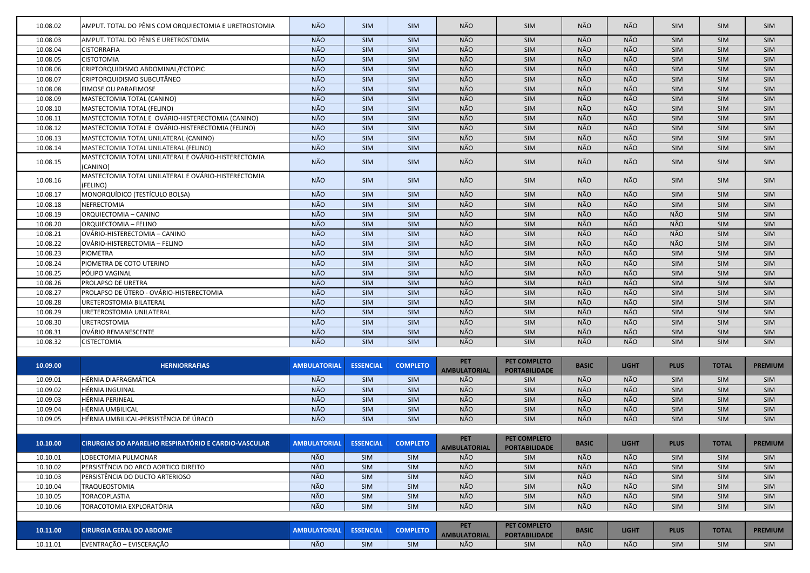| 10.08.02 | AMPUT. TOTAL DO PÊNIS COM ORQUIECTOMIA E URETROSTOMIA           | NÃO.                | <b>SIM</b>       | <b>SIM</b>      | NÃO                               | SIM                                         | NÃO          | <b>NÃO</b>   | <b>SIM</b>  | <b>SIM</b>   | <b>SIM</b>     |
|----------|-----------------------------------------------------------------|---------------------|------------------|-----------------|-----------------------------------|---------------------------------------------|--------------|--------------|-------------|--------------|----------------|
| 10.08.03 | AMPUT. TOTAL DO PÊNIS E URETROSTOMIA                            | NÃO                 | <b>SIM</b>       | SIM             | NÃO                               | SIM                                         | NÃO          | NÃO          | <b>SIM</b>  | <b>SIM</b>   | <b>SIM</b>     |
| 10.08.04 | <b>CISTORRAFIA</b>                                              | NÃO                 | <b>SIM</b>       | SIM             | NÃO                               | SIM                                         | NÃO          | NÃO          | <b>SIM</b>  | SIM          | <b>SIM</b>     |
| 10.08.05 | <b>CISTOTOMIA</b>                                               | NÃO                 | SIM              | SIM             | NÃO                               | SIM                                         | NÃO          | NÃO          | <b>SIM</b>  | <b>SIM</b>   | <b>SIM</b>     |
| 10.08.06 | CRIPTORQUIDISMO ABDOMINAL/ECTOPIC                               | NÃO                 | <b>SIM</b>       | SIM             | NÃO                               | SIM                                         | NÃO          | NÃO          | <b>SIM</b>  | SIM          | <b>SIM</b>     |
| 10.08.07 | CRIPTORQUIDISMO SUBCUTÂNEO                                      | NÃO                 | <b>SIM</b>       | SIM             | NÃO                               | SIM                                         | NÃO          | NÃO          | SIM         | SIM          | <b>SIM</b>     |
| 10.08.08 | <b>FIMOSE OU PARAFIMOSE</b>                                     | NÃO                 | <b>SIM</b>       | SIM             | NÃO                               | SIM                                         | NÃO          | NÃO          | SIM         | SIM          | <b>SIM</b>     |
| 10.08.09 | MASTECTOMIA TOTAL (CANINO)                                      | NÃO                 | <b>SIM</b>       | SIM             | NÃO                               | SIM                                         | <b>NÃO</b>   | NÃO          | SIM         | SIM          | <b>SIM</b>     |
| 10.08.10 | MASTECTOMIA TOTAL (FELINO)                                      | NÃO                 | <b>SIM</b>       | SIM             | NÃO                               | SIM                                         | NÃO          | NÃO          | <b>SIM</b>  | SIM          | <b>SIM</b>     |
| 10.08.11 | MASTECTOMIA TOTAL E OVÁRIO-HISTERECTOMIA (CANINO)               | NÃO                 | SIM              | SIM             | NÃO                               | SIM                                         | NÃO          | NÃO          | <b>SIM</b>  | SIM          | <b>SIM</b>     |
| 10.08.12 | MASTECTOMIA TOTAL E OVÁRIO-HISTERECTOMIA (FELINO)               | NÃO                 | <b>SIM</b>       | SIM             | NÃO                               | SIM                                         | NÃO          | NÃO          | <b>SIM</b>  | SIM          | <b>SIM</b>     |
| 10.08.13 | MASTECTOMIA TOTAL UNILATERAL (CANINO)                           | NÃO                 | SIM              | SIM             | NÃO                               | SIM                                         | NÃO          | NÃO          | <b>SIM</b>  | SIM          | <b>SIM</b>     |
| 10.08.14 | MASTECTOMIA TOTAL UNILATERAL (FELINO)                           | NÃO                 | SIM              | SIM             | NÃO                               | SIM                                         | NÃO          | <b>NÃO</b>   | <b>SIM</b>  | SIM          | <b>SIM</b>     |
| 10.08.15 | MASTECTOMIA TOTAL UNILATERAL E OVÁRIO-HISTERECTOMIA<br>(CANINO) | NÃO                 | <b>SIM</b>       | <b>SIM</b>      | NÃO                               | <b>SIM</b>                                  | NÃO          | NÃO          | <b>SIM</b>  | <b>SIM</b>   | <b>SIM</b>     |
| 10.08.16 | MASTECTOMIA TOTAL UNILATERAL E OVÁRIO-HISTERECTOMIA<br>(FELINO) | NÃO                 | <b>SIM</b>       | <b>SIM</b>      | NÃO                               | <b>SIM</b>                                  | NÃO          | NÃO          | <b>SIM</b>  | <b>SIM</b>   | <b>SIM</b>     |
| 10.08.17 | MONORQUÍDICO (TESTÍCULO BOLSA)                                  | NÃO                 | <b>SIM</b>       | SIM             | <b>NÃO</b>                        | SIM                                         | NÃO          | NÃO          | <b>SIM</b>  | SIM          | <b>SIM</b>     |
| 10.08.18 | NEFRECTOMIA                                                     | NÃO                 | SIM              | SIM             | NÃO                               | SIM                                         | NÃO          | NÃO          | <b>SIM</b>  | SIM          | <b>SIM</b>     |
| 10.08.19 | ORQUIECTOMIA - CANINO                                           | NÃO                 | <b>SIM</b>       | SIM             | NÃO                               | SIM                                         | NÃO          | NÃO          | NÃO         | SIM          | <b>SIM</b>     |
| 10.08.20 | ORQUIECTOMIA – FELINO                                           | NÃO                 | SIM              | SIM             | NÃO                               | SIM                                         | NÃO          | NÃO          | NÃO         | SIM          | <b>SIM</b>     |
| 10.08.21 | OVÁRIO-HISTERECTOMIA - CANINO                                   | NÃO                 | SIM              | SIM             | NÃO                               | SIM                                         | <b>NÃO</b>   | NÃO          | <b>NÃO</b>  | SIM          | <b>SIM</b>     |
| 10.08.22 | OVÁRIO-HISTERECTOMIA - FELINO                                   | NÃO                 | SIM              | SIM             | <b>NÃO</b>                        | SIM                                         | NÃO          | <b>NÃO</b>   | NÃO         | SIM          | <b>SIM</b>     |
| 10.08.23 | <b>PIOMETRA</b>                                                 | NÃO                 | SIM              | SIM             | NÃO                               | SIM                                         | <b>NÃO</b>   | NÃO          | <b>SIM</b>  | <b>SIM</b>   | <b>SIM</b>     |
| 10.08.24 | PIOMETRA DE COTO UTERINO                                        | NÃO                 | SIM              | SIM             | NÃO                               | SIM                                         | NÃO          | NÃO          | <b>SIM</b>  | SIM          | <b>SIM</b>     |
| 10.08.25 | PÓLIPO VAGINAL                                                  | NÃO                 | SIM              | SIM             | NÃO                               | SIM                                         | NÃO          | NÃO          | <b>SIM</b>  | SIM          | <b>SIM</b>     |
| 10.08.26 | PROLAPSO DE URETRA                                              | NÃO                 | SIM              | SIM             | NÃO                               | SIM                                         | <b>NÃO</b>   | NÃO          | SIM         | SIM          | <b>SIM</b>     |
| 10.08.27 | PROLAPSO DE ÚTERO - OVÁRIO-HISTERECTOMIA                        | NÃO                 | SIM              | SIM             | NÃO                               | SIM                                         | NÃO          | NÃO          | SIM         | SIM          | <b>SIM</b>     |
| 10.08.28 | <b>URETEROSTOMIA BILATERAL</b>                                  | NÃO                 | <b>SIM</b>       | SIM             | NÃO                               | SIM                                         | NÃO          | NÃO          | <b>SIM</b>  | SIM          | SIM            |
| 10.08.29 | URETEROSTOMIA UNILATERAL                                        | NÃO                 | <b>SIM</b>       | SIM             | NÃO                               | SIM                                         | NÃO          | NÃO          | <b>SIM</b>  | SIM          | <b>SIM</b>     |
| 10.08.30 | <b>URETROSTOMIA</b>                                             | NÃO                 | <b>SIM</b>       | SIM             | NÃO                               | <b>SIM</b>                                  | NÃO          | NÃO          | <b>SIM</b>  | <b>SIM</b>   | <b>SIM</b>     |
| 10.08.31 | OVÁRIO REMANESCENTE                                             | NÃO                 | SIM              | SIM             | NÃO                               | SIM                                         | <b>NÃO</b>   | NÃO          | SIM         | SIM          | SIM            |
| 10.08.32 | <b>CISTECTOMIA</b>                                              | NÃO.                | <b>SIM</b>       | <b>SIM</b>      | <b>NÃO</b>                        | <b>SIM</b>                                  | NÃO          | <b>NÃO</b>   | <b>SIM</b>  | <b>SIM</b>   | <b>SIM</b>     |
|          |                                                                 |                     |                  |                 |                                   |                                             |              |              |             |              |                |
| 10.09.00 | <b>HERNIORRAFIAS</b>                                            | <b>AMBULATORIAL</b> | <b>ESSENCIAL</b> | <b>COMPLETO</b> | <b>PET</b><br><b>AMBULATORIAL</b> | <b>PET COMPLETO</b><br><b>PORTABILIDADE</b> | <b>BASIC</b> | <b>LIGHT</b> | <b>PLUS</b> | <b>TOTAL</b> | <b>PREMIUM</b> |
| 10.09.01 | HÉRNIA DIAFRAGMÁTICA                                            | NÃO                 | <b>SIM</b>       | <b>SIM</b>      | NÃO                               | <b>SIM</b>                                  | NÃO          | NÃO          | <b>SIM</b>  | <b>SIM</b>   | <b>SIM</b>     |
| 10.09.02 | HÉRNIA INGUINAL                                                 | NÃO                 | SIM              | SIM             | NÃO                               | SIM                                         | NÃO          | NÃO          | <b>SIM</b>  | SIM          | <b>SIM</b>     |
| 10.09.03 | HÉRNIA PERINEAL                                                 | NÃO                 | SIM              | SIM             | NÃO                               | SIM                                         | NÃO          | NÃO          | <b>SIM</b>  | SIM          | <b>SIM</b>     |
| 10.09.04 | HÉRNIA UMBILICAL                                                | NÃO                 | SIM              | SIM             | NÃO                               | SIM                                         | NÃO          | NÃO          | SIM         | SIM          | <b>SIM</b>     |
| 10.09.05 | HÉRNIA UMBILICAL-PERSISTÊNCIA DE ÚRACO                          | NÃO                 | <b>SIM</b>       | SIM             | NÃO                               | SIM                                         | NÃO          | NÃO          | SIM         | SIM          | <b>SIM</b>     |
|          |                                                                 |                     |                  |                 |                                   |                                             |              |              |             |              |                |
| 10.10.00 | CIRURGIAS DO APARELHO RESPIRATÓRIO E CARDIO-VASCULAR            | <b>AMBULATORIAL</b> | <b>ESSENCIAL</b> | <b>COMPLETO</b> | <b>PET</b><br><b>AMBULATORIAL</b> | PET COMPLETO<br><b>PORTABILIDADE</b>        | <b>BASIC</b> | <b>LIGHT</b> | <b>PLUS</b> | <b>TOTAL</b> | <b>PREMIUM</b> |
| 10.10.01 | LOBECTOMIA PULMONAR                                             | NÃO                 | <b>SIM</b>       | SIM             | NÃO                               | <b>SIM</b>                                  | NÃO          | NÃO          | <b>SIM</b>  | SIM          | SIM            |
| 10.10.02 | PERSISTÊNCIA DO ARCO AORTICO DIREITO                            | NÃO                 | SIM              | SIM             | NÃO                               | SIM                                         | NÃO          | NÃO          | SIM         | SIM          | <b>SIM</b>     |
| 10.10.03 | PERSISTÊNCIA DO DUCTO ARTERIOSO                                 | <b>NÃO</b>          | SIM              | SIM             | <b>NÃO</b>                        | SIM                                         | <b>NÃO</b>   | NÃO          | SIM         | SIM          | SIM            |
| 10.10.04 | TRAQUEOSTOMIA                                                   | NÃO                 | <b>SIM</b>       | SIM             | NÃO                               | SIM                                         | NÃO          | NÃO          | SIM         | SIM          | <b>SIM</b>     |
| 10.10.05 | TORACOPLASTIA                                                   | NÃO                 | <b>SIM</b>       | SIM             | NÃO                               | SIM                                         | NÃO          | NÃO          | SIM         | SIM          | <b>SIM</b>     |
| 10.10.06 | TORACOTOMIA EXPLORATÓRIA                                        | NÃO                 | <b>SIM</b>       | SIM             | NÃO                               | SIM                                         | NÃO          | NÃO          | <b>SIM</b>  | SIM          | <b>SIM</b>     |
| 10.11.00 | <b>CIRURGIA GERAL DO ABDOME</b>                                 | <b>AMBULATORIAL</b> | <b>ESSENCIAL</b> | <b>COMPLETO</b> | <b>PET</b><br><b>AMBULATORIAL</b> | PET COMPLETO<br><b>PORTABILIDADE</b>        | <b>BASIC</b> | <b>LIGHT</b> | <b>PLUS</b> | <b>TOTAL</b> | <b>PREMIUM</b> |
| 10.11.01 | EVENTRAÇÃO - EVISCERAÇÃO                                        | NÃO                 | SIM              | SIM             | NÃO                               | SIM                                         | NÃO          | NÃO          | SIM         | SIM          | SIM            |
|          |                                                                 |                     |                  |                 |                                   |                                             |              |              |             |              |                |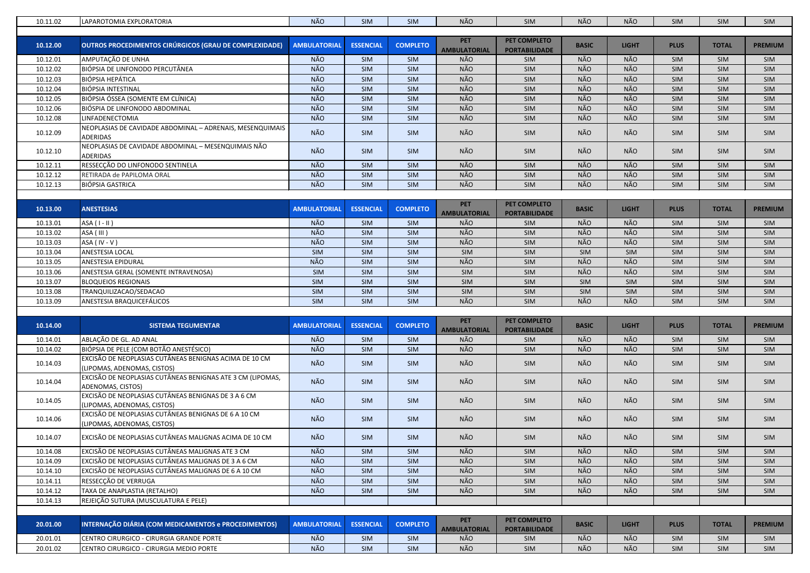| <b>PET</b><br>PET COMPLETO<br>10.12.00<br>OUTROS PROCEDIMENTOS CIRÚRGICOS (GRAU DE COMPLEXIDADE)<br><b>AMBULATORIAL</b><br><b>ESSENCIAL</b><br><b>COMPLETO</b><br><b>BASIC</b><br><b>LIGHT</b><br><b>PLUS</b><br><b>TOTAL</b><br><b>PREMIUM</b><br><b>AMBULATORIAL</b><br><b>PORTABILIDADE</b><br>NÃO<br>NÃO<br>NÃO<br>SIM<br><b>NÃO</b><br>10.12.01<br>AMPUTAÇÃO DE UNHA<br><b>SIM</b><br>SIM<br>SIM<br>SIM<br><b>SIM</b><br>BIÓPSIA DE LINFONODO PERCUTÂNEA<br>NÃO<br>NÃO<br>NÃO<br>NÃO<br>SIM<br>SIM<br>10.12.02<br>SIM<br>SIM<br>SIM<br><b>SIM</b><br><b>NÃO</b><br>NÃO<br>NÃO<br>NÃO<br><b>BIÓPSIA HEPÁTICA</b><br>SIM<br>SIM<br>SIM<br>10.12.03<br>SIM<br>SIM<br><b>SIM</b><br><b>NÃO</b><br>NÃO<br>NÃO<br>NÃO<br>10.12.04<br>BIÓPSIA INTESTINAL<br>SIM<br>SIM<br>SIM<br>SIM<br>SIM<br><b>SIM</b><br>BIÓPSIA ÓSSEA (SOMENTE EM CLÍNICA)<br><b>NÃO</b><br>NÃO<br>NÃO<br>NÃO<br>10.12.05<br>SIM<br>SIM<br>SIM<br>SIM<br>SIM<br>SIM<br><b>NÃO</b><br>NÃO<br>NÃO<br>NÃO<br>SIM<br>SIM<br>SIM<br>SIM<br>10.12.06<br>BIÓSPIA DE LINFONODO ABDOMINAL<br>SIM<br>SIM<br>NÃO<br>NÃO<br>NÃO<br>NÃO<br>10.12.08<br>LINFADENECTOMIA<br>SIM<br>SIM<br><b>SIM</b><br>SIM<br>SIM<br>SIM<br>NEOPLASIAS DE CAVIDADE ABDOMINAL - ADRENAIS, MESENQUIMAIS<br>NÃO<br>NÃO<br>NÃO<br>NÃO<br>10.12.09<br>SIM<br><b>SIM</b><br>SIM<br>SIM<br>SIM<br>SIM<br><b>ADERIDAS</b><br>NEOPLASIAS DE CAVIDADE ABDOMINAL - MESENQUIMAIS NÃO<br>NÃO<br>NÃO<br>NÃO<br>NÃO<br>10.12.10<br><b>SIM</b><br><b>SIM</b><br>SIM<br>SIM<br>SIM<br><b>SIM</b><br><b>ADERIDAS</b><br>NÃO<br>NÃO<br>NÃO<br>RESSECÇÃO DO LINFONODO SENTINELA<br>NÃO<br>SIM<br>10.12.11<br><b>SIM</b><br>SIM<br><b>SIM</b><br>SIM<br>SIM<br><b>NÃO</b><br>NÃO<br>NÃO<br>NÃO<br>10.12.12<br>RETIRADA de PAPILOMA ORAL<br>SIM<br>SIM<br>SIM<br>SIM<br>SIM<br>SIM<br>NÃO<br>NÃO<br>NÃO<br>NÃO<br>10.12.13<br><b>BIÓPSIA GASTRICA</b><br>SIM<br>SIM<br>SIM<br>SIM<br>SIM<br>SIM<br><b>PET</b><br>PET COMPLETO<br><b>LIGHT</b><br><b>PLUS</b><br>10.13.00<br><b>ANESTESIAS</b><br><b>AMBULATORIAL</b><br><b>ESSENCIAL</b><br><b>COMPLETO</b><br><b>BASIC</b><br><b>TOTAL</b><br><b>PREMIUM</b><br><b>AMBULATORIAL</b><br><b>PORTABILIDADE</b><br>NÃO<br><b>NÃO</b><br>NÃO<br><b>NÃO</b><br>10.13.01<br>$ASA (I - II)$<br><b>SIM</b><br><b>SIM</b><br>SIM<br>SIM<br>SIM<br>SIM<br>NÃO<br>NÃO<br>NÃO<br>NÃO<br>10.13.02<br>ASA (III)<br>SIM<br>SIM<br>SIM<br>SIM<br>SIM<br>SIM<br>NÃO<br><b>NÃO</b><br><b>NÃO</b><br><b>NÃO</b><br>SIM<br>SIM<br>10.13.03<br>ASA (IV - V)<br>SIM<br>SIM<br>SIM<br>SIM<br>10.13.04<br><b>ANESTESIA LOCAL</b><br>SIM<br>SIM<br>SIM<br>SIM<br>SIM<br>SIM<br>SIM<br>SIM<br>SIM<br>SIM<br>NÃO<br>NÃO<br>NÃO<br>NÃO<br>10.13.05<br><b>ANESTESIA EPIDURAL</b><br>SIM<br>SIM<br>SIM<br>SIM<br>SIM<br>SIM<br>NÃO<br>NÃO<br>SIM<br>SIM<br>SIM<br>SIM<br>SIM<br>SIM<br>10.13.06<br>ANESTESIA GERAL (SOMENTE INTRAVENOSA)<br>SIM<br>SIM<br>10.13.07<br><b>BLOQUEIOS REGIONAIS</b><br><b>SIM</b><br>SIM<br>SIM<br>SIM<br>SIM<br>SIM<br>SIM<br>SIM<br><b>SIM</b><br><b>SIM</b><br>TRANQUILIZACAO/SEDACAO<br><b>SIM</b><br>SIM<br>SIM<br>SIM<br>SIM<br>SIM<br>SIM<br>SIM<br>SIM<br>10.13.08<br>SIM<br>NÃO<br>NÃO<br>NÃO<br>ANESTESIA BRAQUICEFÁLICOS<br>SIM<br>10.13.09<br><b>SIM</b><br><b>SIM</b><br><b>SIM</b><br><b>SIM</b><br>SIM<br><b>SIM</b><br><b>PET</b><br>PET COMPLETO<br>10.14.00<br><b>AMBULATORIAL</b><br><b>ESSENCIAL</b><br><b>COMPLETO</b><br><b>BASIC</b><br><b>LIGHT</b><br><b>PLUS</b><br><b>TOTAL</b><br><b>SISTEMA TEGUMENTAR</b><br><b>PREMIUM</b><br><b>AMBULATORIAL</b><br><b>PORTABILIDADE</b><br>NÃO<br>NÃO<br>SIM<br>NÃO<br>NÃO<br>SIM<br>ABLAÇÃO DE GL. AD ANAL<br>SIM<br>SIM<br>SIM<br>SIM<br>10.14.01<br>NÃO<br>BIÓPSIA DE PELE (COM BOTÃO ANESTÉSICO)<br>NÃO<br>NÃO<br>NÃO<br>SIM<br>10.14.02<br><b>SIM</b><br><b>SIM</b><br>SIM<br>SIM<br><b>SIM</b><br>EXCISÃO DE NEOPLASIAS CUTÂNEAS BENIGNAS ACIMA DE 10 CM<br>NÃO<br>NÃO<br>NÃO<br><b>NÃO</b><br><b>SIM</b><br><b>SIM</b><br><b>SIM</b><br><b>SIM</b><br>10.14.03<br><b>SIM</b><br><b>SIM</b><br>(LIPOMAS, ADENOMAS, CISTOS)<br>EXCISÃO DE NEOPLASIAS CUTÂNEAS BENIGNAS ATE 3 CM (LIPOMAS,<br>NÃO<br>NÃO<br>NÃO<br>NÃO<br>10.14.04<br>SIM<br>SIM<br>SIM<br>SIM<br><b>SIM</b><br>SIM<br>ADENOMAS, CISTOS)<br>EXCISÃO DE NEOPLASIAS CUTÂNEAS BENIGNAS DE 3 A 6 CM<br>NÃO<br>NÃO<br>NÃO<br>NÃO<br>10.14.05<br><b>SIM</b><br><b>SIM</b><br>SIM<br><b>SIM</b><br>SIM<br><b>SIM</b><br>(LIPOMAS, ADENOMAS, CISTOS)<br>EXCISÃO DE NEOPLASIAS CUTÂNEAS BENIGNAS DE 6 A 10 CM<br>NÃO<br>NÃO<br>NÃO<br>NÃO<br>10.14.06<br><b>SIM</b><br><b>SIM</b><br>SIM<br><b>SIM</b><br>SIM<br><b>SIM</b><br>(LIPOMAS, ADENOMAS, CISTOS)<br>NÃO<br>NÃO<br>NÃO<br>NÃO<br>10.14.07<br>EXCISÃO DE NEOPLASIAS CUTÂNEAS MALIGNAS ACIMA DE 10 CM<br>SIM<br><b>SIM</b><br>SIM<br><b>SIM</b><br>SIM<br><b>SIM</b><br>NÃO<br>NÃO<br>NÃO<br>NÃO<br>EXCISÃO DE NEOPLASIAS CUTÂNEAS MALIGNAS ATE 3 CM<br>SIM<br>SIM<br>SIM<br>SIM<br>10.14.08<br>SIM<br><b>SIM</b><br>NÃO<br>NÃO<br>NÃO<br>NÃO<br>10.14.09<br>EXCISÃO DE NEOPLASIAS CUTÂNEAS MALIGNAS DE 3 A 6 CM<br>SIM<br><b>SIM</b><br>SIM<br>SIM<br>SIM<br><b>SIM</b><br>NÃO<br>NÃO<br>NÃO<br>NÃO<br>10.14.10<br>EXCISÃO DE NEOPLASIAS CUTÂNEAS MALIGNAS DE 6 A 10 CM<br><b>SIM</b><br>SIM<br>SIM<br><b>SIM</b><br><b>SIM</b><br><b>SIM</b><br>NÃO<br>NÃO<br>NÃO<br>NÃO<br>10.14.11<br>RESSECÇÃO DE VERRUGA<br>SIM<br>SIM<br><b>SIM</b><br><b>SIM</b><br>SIM<br><b>SIM</b><br>NÃO<br>NÃO<br>NÃO<br>10.14.12<br>TAXA DE ANAPLASTIA (RETALHO)<br>NÃO<br><b>SIM</b><br>SIM<br>SIM<br><b>SIM</b><br>SIM<br><b>SIM</b><br>REJEIÇÃO SUTURA (MUSCULATURA E PELE)<br>10.14.13<br><b>PET</b><br>PET COMPLETO<br>INTERNAÇÃO DIÁRIA (COM MEDICAMENTOS e PROCEDIMENTOS)<br>20.01.00<br><b>AMBULATORIAL</b><br><b>ESSENCIAL</b><br><b>COMPLETO</b><br><b>BASIC</b><br><b>LIGHT</b><br><b>PLUS</b><br><b>TOTAL</b><br><b>PREMIUM</b><br><b>PORTABILIDADE</b><br><b>AMBULATORIAL</b><br>NÃO<br>NÃO<br>NÃO<br>20.01.01<br>CENTRO CIRURGICO - CIRURGIA GRANDE PORTE<br><b>SIM</b><br>NÃO<br><b>SIM</b><br>SIM<br><b>SIM</b><br>SIM<br><b>SIM</b><br>NÃO<br>NÃO<br>NÃO<br>NÃO<br>20.01.02<br><b>SIM</b><br><b>SIM</b><br>SIM<br>CENTRO CIRURGICO - CIRURGIA MEDIO PORTE<br><b>SIM</b><br>SIM<br><b>SIM</b> | 10.11.02 | LAPAROTOMIA EXPLORATORIA | <b>NÃO</b> | <b>SIM</b> | <b>SIM</b> | NÃO | SIM | NÃO | NÃO | SIM | SIM | <b>SIM</b> |
|----------------------------------------------------------------------------------------------------------------------------------------------------------------------------------------------------------------------------------------------------------------------------------------------------------------------------------------------------------------------------------------------------------------------------------------------------------------------------------------------------------------------------------------------------------------------------------------------------------------------------------------------------------------------------------------------------------------------------------------------------------------------------------------------------------------------------------------------------------------------------------------------------------------------------------------------------------------------------------------------------------------------------------------------------------------------------------------------------------------------------------------------------------------------------------------------------------------------------------------------------------------------------------------------------------------------------------------------------------------------------------------------------------------------------------------------------------------------------------------------------------------------------------------------------------------------------------------------------------------------------------------------------------------------------------------------------------------------------------------------------------------------------------------------------------------------------------------------------------------------------------------------------------------------------------------------------------------------------------------------------------------------------------------------------------------------------------------------------------------------------------------------------------------------------------------------------------------------------------------------------------------------------------------------------------------------------------------------------------------------------------------------------------------------------------------------------------------------------------------------------------------------------------------------------------------------------------------------------------------------------------------------------------------------------------------------------------------------------------------------------------------------------------------------------------------------------------------------------------------------------------------------------------------------------------------------------------------------------------------------------------------------------------------------------------------------------------------------------------------------------------------------------------------------------------------------------------------------------------------------------------------------------------------------------------------------------------------------------------------------------------------------------------------------------------------------------------------------------------------------------------------------------------------------------------------------------------------------------------------------------------------------------------------------------------------------------------------------------------------------------------------------------------------------------------------------------------------------------------------------------------------------------------------------------------------------------------------------------------------------------------------------------------------------------------------------------------------------------------------------------------------------------------------------------------------------------------------------------------------------------------------------------------------------------------------------------------------------------------------------------------------------------------------------------------------------------------------------------------------------------------------------------------------------------------------------------------------------------------------------------------------------------------------------------------------------------------------------------------------------------------------------------------------------------------------------------------------------------------------------------------------------------------------------------------------------------------------------------------------------------------------------------------------------------------------------------------------------------------------------------------------------------------------------------------------------------------------------------------------------------------------------------------------------------------------------------------------------------------------------------------------------------------------------------------------------------------------------------------------------------------------------------------------------------------------------------------------------------------------------------------------------------------------------------------------------------------------------------------------------------------------------------------------------------------------------------------------------------------------------------------------------------------------------------------------------------------------------------------------------------------------------------------------------------------------------------------------------------------------------------------------------------------------------------------------------------------------------------------------------|----------|--------------------------|------------|------------|------------|-----|-----|-----|-----|-----|-----|------------|
|                                                                                                                                                                                                                                                                                                                                                                                                                                                                                                                                                                                                                                                                                                                                                                                                                                                                                                                                                                                                                                                                                                                                                                                                                                                                                                                                                                                                                                                                                                                                                                                                                                                                                                                                                                                                                                                                                                                                                                                                                                                                                                                                                                                                                                                                                                                                                                                                                                                                                                                                                                                                                                                                                                                                                                                                                                                                                                                                                                                                                                                                                                                                                                                                                                                                                                                                                                                                                                                                                                                                                                                                                                                                                                                                                                                                                                                                                                                                                                                                                                                                                                                                                                                                                                                                                                                                                                                                                                                                                                                                                                                                                                                                                                                                                                                                                                                                                                                                                                                                                                                                                                                                                                                                                                                                                                                                                                                                                                                                                                                                                                                                                                                                                                                                                                                                                                                                                                                                                                                                                                                                                                                                                                                                                                              |          |                          |            |            |            |     |     |     |     |     |     |            |
|                                                                                                                                                                                                                                                                                                                                                                                                                                                                                                                                                                                                                                                                                                                                                                                                                                                                                                                                                                                                                                                                                                                                                                                                                                                                                                                                                                                                                                                                                                                                                                                                                                                                                                                                                                                                                                                                                                                                                                                                                                                                                                                                                                                                                                                                                                                                                                                                                                                                                                                                                                                                                                                                                                                                                                                                                                                                                                                                                                                                                                                                                                                                                                                                                                                                                                                                                                                                                                                                                                                                                                                                                                                                                                                                                                                                                                                                                                                                                                                                                                                                                                                                                                                                                                                                                                                                                                                                                                                                                                                                                                                                                                                                                                                                                                                                                                                                                                                                                                                                                                                                                                                                                                                                                                                                                                                                                                                                                                                                                                                                                                                                                                                                                                                                                                                                                                                                                                                                                                                                                                                                                                                                                                                                                                              |          |                          |            |            |            |     |     |     |     |     |     |            |
|                                                                                                                                                                                                                                                                                                                                                                                                                                                                                                                                                                                                                                                                                                                                                                                                                                                                                                                                                                                                                                                                                                                                                                                                                                                                                                                                                                                                                                                                                                                                                                                                                                                                                                                                                                                                                                                                                                                                                                                                                                                                                                                                                                                                                                                                                                                                                                                                                                                                                                                                                                                                                                                                                                                                                                                                                                                                                                                                                                                                                                                                                                                                                                                                                                                                                                                                                                                                                                                                                                                                                                                                                                                                                                                                                                                                                                                                                                                                                                                                                                                                                                                                                                                                                                                                                                                                                                                                                                                                                                                                                                                                                                                                                                                                                                                                                                                                                                                                                                                                                                                                                                                                                                                                                                                                                                                                                                                                                                                                                                                                                                                                                                                                                                                                                                                                                                                                                                                                                                                                                                                                                                                                                                                                                                              |          |                          |            |            |            |     |     |     |     |     |     |            |
|                                                                                                                                                                                                                                                                                                                                                                                                                                                                                                                                                                                                                                                                                                                                                                                                                                                                                                                                                                                                                                                                                                                                                                                                                                                                                                                                                                                                                                                                                                                                                                                                                                                                                                                                                                                                                                                                                                                                                                                                                                                                                                                                                                                                                                                                                                                                                                                                                                                                                                                                                                                                                                                                                                                                                                                                                                                                                                                                                                                                                                                                                                                                                                                                                                                                                                                                                                                                                                                                                                                                                                                                                                                                                                                                                                                                                                                                                                                                                                                                                                                                                                                                                                                                                                                                                                                                                                                                                                                                                                                                                                                                                                                                                                                                                                                                                                                                                                                                                                                                                                                                                                                                                                                                                                                                                                                                                                                                                                                                                                                                                                                                                                                                                                                                                                                                                                                                                                                                                                                                                                                                                                                                                                                                                                              |          |                          |            |            |            |     |     |     |     |     |     |            |
|                                                                                                                                                                                                                                                                                                                                                                                                                                                                                                                                                                                                                                                                                                                                                                                                                                                                                                                                                                                                                                                                                                                                                                                                                                                                                                                                                                                                                                                                                                                                                                                                                                                                                                                                                                                                                                                                                                                                                                                                                                                                                                                                                                                                                                                                                                                                                                                                                                                                                                                                                                                                                                                                                                                                                                                                                                                                                                                                                                                                                                                                                                                                                                                                                                                                                                                                                                                                                                                                                                                                                                                                                                                                                                                                                                                                                                                                                                                                                                                                                                                                                                                                                                                                                                                                                                                                                                                                                                                                                                                                                                                                                                                                                                                                                                                                                                                                                                                                                                                                                                                                                                                                                                                                                                                                                                                                                                                                                                                                                                                                                                                                                                                                                                                                                                                                                                                                                                                                                                                                                                                                                                                                                                                                                                              |          |                          |            |            |            |     |     |     |     |     |     |            |
|                                                                                                                                                                                                                                                                                                                                                                                                                                                                                                                                                                                                                                                                                                                                                                                                                                                                                                                                                                                                                                                                                                                                                                                                                                                                                                                                                                                                                                                                                                                                                                                                                                                                                                                                                                                                                                                                                                                                                                                                                                                                                                                                                                                                                                                                                                                                                                                                                                                                                                                                                                                                                                                                                                                                                                                                                                                                                                                                                                                                                                                                                                                                                                                                                                                                                                                                                                                                                                                                                                                                                                                                                                                                                                                                                                                                                                                                                                                                                                                                                                                                                                                                                                                                                                                                                                                                                                                                                                                                                                                                                                                                                                                                                                                                                                                                                                                                                                                                                                                                                                                                                                                                                                                                                                                                                                                                                                                                                                                                                                                                                                                                                                                                                                                                                                                                                                                                                                                                                                                                                                                                                                                                                                                                                                              |          |                          |            |            |            |     |     |     |     |     |     |            |
|                                                                                                                                                                                                                                                                                                                                                                                                                                                                                                                                                                                                                                                                                                                                                                                                                                                                                                                                                                                                                                                                                                                                                                                                                                                                                                                                                                                                                                                                                                                                                                                                                                                                                                                                                                                                                                                                                                                                                                                                                                                                                                                                                                                                                                                                                                                                                                                                                                                                                                                                                                                                                                                                                                                                                                                                                                                                                                                                                                                                                                                                                                                                                                                                                                                                                                                                                                                                                                                                                                                                                                                                                                                                                                                                                                                                                                                                                                                                                                                                                                                                                                                                                                                                                                                                                                                                                                                                                                                                                                                                                                                                                                                                                                                                                                                                                                                                                                                                                                                                                                                                                                                                                                                                                                                                                                                                                                                                                                                                                                                                                                                                                                                                                                                                                                                                                                                                                                                                                                                                                                                                                                                                                                                                                                              |          |                          |            |            |            |     |     |     |     |     |     |            |
|                                                                                                                                                                                                                                                                                                                                                                                                                                                                                                                                                                                                                                                                                                                                                                                                                                                                                                                                                                                                                                                                                                                                                                                                                                                                                                                                                                                                                                                                                                                                                                                                                                                                                                                                                                                                                                                                                                                                                                                                                                                                                                                                                                                                                                                                                                                                                                                                                                                                                                                                                                                                                                                                                                                                                                                                                                                                                                                                                                                                                                                                                                                                                                                                                                                                                                                                                                                                                                                                                                                                                                                                                                                                                                                                                                                                                                                                                                                                                                                                                                                                                                                                                                                                                                                                                                                                                                                                                                                                                                                                                                                                                                                                                                                                                                                                                                                                                                                                                                                                                                                                                                                                                                                                                                                                                                                                                                                                                                                                                                                                                                                                                                                                                                                                                                                                                                                                                                                                                                                                                                                                                                                                                                                                                                              |          |                          |            |            |            |     |     |     |     |     |     |            |
|                                                                                                                                                                                                                                                                                                                                                                                                                                                                                                                                                                                                                                                                                                                                                                                                                                                                                                                                                                                                                                                                                                                                                                                                                                                                                                                                                                                                                                                                                                                                                                                                                                                                                                                                                                                                                                                                                                                                                                                                                                                                                                                                                                                                                                                                                                                                                                                                                                                                                                                                                                                                                                                                                                                                                                                                                                                                                                                                                                                                                                                                                                                                                                                                                                                                                                                                                                                                                                                                                                                                                                                                                                                                                                                                                                                                                                                                                                                                                                                                                                                                                                                                                                                                                                                                                                                                                                                                                                                                                                                                                                                                                                                                                                                                                                                                                                                                                                                                                                                                                                                                                                                                                                                                                                                                                                                                                                                                                                                                                                                                                                                                                                                                                                                                                                                                                                                                                                                                                                                                                                                                                                                                                                                                                                              |          |                          |            |            |            |     |     |     |     |     |     |            |
|                                                                                                                                                                                                                                                                                                                                                                                                                                                                                                                                                                                                                                                                                                                                                                                                                                                                                                                                                                                                                                                                                                                                                                                                                                                                                                                                                                                                                                                                                                                                                                                                                                                                                                                                                                                                                                                                                                                                                                                                                                                                                                                                                                                                                                                                                                                                                                                                                                                                                                                                                                                                                                                                                                                                                                                                                                                                                                                                                                                                                                                                                                                                                                                                                                                                                                                                                                                                                                                                                                                                                                                                                                                                                                                                                                                                                                                                                                                                                                                                                                                                                                                                                                                                                                                                                                                                                                                                                                                                                                                                                                                                                                                                                                                                                                                                                                                                                                                                                                                                                                                                                                                                                                                                                                                                                                                                                                                                                                                                                                                                                                                                                                                                                                                                                                                                                                                                                                                                                                                                                                                                                                                                                                                                                                              |          |                          |            |            |            |     |     |     |     |     |     |            |
|                                                                                                                                                                                                                                                                                                                                                                                                                                                                                                                                                                                                                                                                                                                                                                                                                                                                                                                                                                                                                                                                                                                                                                                                                                                                                                                                                                                                                                                                                                                                                                                                                                                                                                                                                                                                                                                                                                                                                                                                                                                                                                                                                                                                                                                                                                                                                                                                                                                                                                                                                                                                                                                                                                                                                                                                                                                                                                                                                                                                                                                                                                                                                                                                                                                                                                                                                                                                                                                                                                                                                                                                                                                                                                                                                                                                                                                                                                                                                                                                                                                                                                                                                                                                                                                                                                                                                                                                                                                                                                                                                                                                                                                                                                                                                                                                                                                                                                                                                                                                                                                                                                                                                                                                                                                                                                                                                                                                                                                                                                                                                                                                                                                                                                                                                                                                                                                                                                                                                                                                                                                                                                                                                                                                                                              |          |                          |            |            |            |     |     |     |     |     |     |            |
|                                                                                                                                                                                                                                                                                                                                                                                                                                                                                                                                                                                                                                                                                                                                                                                                                                                                                                                                                                                                                                                                                                                                                                                                                                                                                                                                                                                                                                                                                                                                                                                                                                                                                                                                                                                                                                                                                                                                                                                                                                                                                                                                                                                                                                                                                                                                                                                                                                                                                                                                                                                                                                                                                                                                                                                                                                                                                                                                                                                                                                                                                                                                                                                                                                                                                                                                                                                                                                                                                                                                                                                                                                                                                                                                                                                                                                                                                                                                                                                                                                                                                                                                                                                                                                                                                                                                                                                                                                                                                                                                                                                                                                                                                                                                                                                                                                                                                                                                                                                                                                                                                                                                                                                                                                                                                                                                                                                                                                                                                                                                                                                                                                                                                                                                                                                                                                                                                                                                                                                                                                                                                                                                                                                                                                              |          |                          |            |            |            |     |     |     |     |     |     |            |
|                                                                                                                                                                                                                                                                                                                                                                                                                                                                                                                                                                                                                                                                                                                                                                                                                                                                                                                                                                                                                                                                                                                                                                                                                                                                                                                                                                                                                                                                                                                                                                                                                                                                                                                                                                                                                                                                                                                                                                                                                                                                                                                                                                                                                                                                                                                                                                                                                                                                                                                                                                                                                                                                                                                                                                                                                                                                                                                                                                                                                                                                                                                                                                                                                                                                                                                                                                                                                                                                                                                                                                                                                                                                                                                                                                                                                                                                                                                                                                                                                                                                                                                                                                                                                                                                                                                                                                                                                                                                                                                                                                                                                                                                                                                                                                                                                                                                                                                                                                                                                                                                                                                                                                                                                                                                                                                                                                                                                                                                                                                                                                                                                                                                                                                                                                                                                                                                                                                                                                                                                                                                                                                                                                                                                                              |          |                          |            |            |            |     |     |     |     |     |     |            |
|                                                                                                                                                                                                                                                                                                                                                                                                                                                                                                                                                                                                                                                                                                                                                                                                                                                                                                                                                                                                                                                                                                                                                                                                                                                                                                                                                                                                                                                                                                                                                                                                                                                                                                                                                                                                                                                                                                                                                                                                                                                                                                                                                                                                                                                                                                                                                                                                                                                                                                                                                                                                                                                                                                                                                                                                                                                                                                                                                                                                                                                                                                                                                                                                                                                                                                                                                                                                                                                                                                                                                                                                                                                                                                                                                                                                                                                                                                                                                                                                                                                                                                                                                                                                                                                                                                                                                                                                                                                                                                                                                                                                                                                                                                                                                                                                                                                                                                                                                                                                                                                                                                                                                                                                                                                                                                                                                                                                                                                                                                                                                                                                                                                                                                                                                                                                                                                                                                                                                                                                                                                                                                                                                                                                                                              |          |                          |            |            |            |     |     |     |     |     |     |            |
|                                                                                                                                                                                                                                                                                                                                                                                                                                                                                                                                                                                                                                                                                                                                                                                                                                                                                                                                                                                                                                                                                                                                                                                                                                                                                                                                                                                                                                                                                                                                                                                                                                                                                                                                                                                                                                                                                                                                                                                                                                                                                                                                                                                                                                                                                                                                                                                                                                                                                                                                                                                                                                                                                                                                                                                                                                                                                                                                                                                                                                                                                                                                                                                                                                                                                                                                                                                                                                                                                                                                                                                                                                                                                                                                                                                                                                                                                                                                                                                                                                                                                                                                                                                                                                                                                                                                                                                                                                                                                                                                                                                                                                                                                                                                                                                                                                                                                                                                                                                                                                                                                                                                                                                                                                                                                                                                                                                                                                                                                                                                                                                                                                                                                                                                                                                                                                                                                                                                                                                                                                                                                                                                                                                                                                              |          |                          |            |            |            |     |     |     |     |     |     |            |
|                                                                                                                                                                                                                                                                                                                                                                                                                                                                                                                                                                                                                                                                                                                                                                                                                                                                                                                                                                                                                                                                                                                                                                                                                                                                                                                                                                                                                                                                                                                                                                                                                                                                                                                                                                                                                                                                                                                                                                                                                                                                                                                                                                                                                                                                                                                                                                                                                                                                                                                                                                                                                                                                                                                                                                                                                                                                                                                                                                                                                                                                                                                                                                                                                                                                                                                                                                                                                                                                                                                                                                                                                                                                                                                                                                                                                                                                                                                                                                                                                                                                                                                                                                                                                                                                                                                                                                                                                                                                                                                                                                                                                                                                                                                                                                                                                                                                                                                                                                                                                                                                                                                                                                                                                                                                                                                                                                                                                                                                                                                                                                                                                                                                                                                                                                                                                                                                                                                                                                                                                                                                                                                                                                                                                                              |          |                          |            |            |            |     |     |     |     |     |     |            |
|                                                                                                                                                                                                                                                                                                                                                                                                                                                                                                                                                                                                                                                                                                                                                                                                                                                                                                                                                                                                                                                                                                                                                                                                                                                                                                                                                                                                                                                                                                                                                                                                                                                                                                                                                                                                                                                                                                                                                                                                                                                                                                                                                                                                                                                                                                                                                                                                                                                                                                                                                                                                                                                                                                                                                                                                                                                                                                                                                                                                                                                                                                                                                                                                                                                                                                                                                                                                                                                                                                                                                                                                                                                                                                                                                                                                                                                                                                                                                                                                                                                                                                                                                                                                                                                                                                                                                                                                                                                                                                                                                                                                                                                                                                                                                                                                                                                                                                                                                                                                                                                                                                                                                                                                                                                                                                                                                                                                                                                                                                                                                                                                                                                                                                                                                                                                                                                                                                                                                                                                                                                                                                                                                                                                                                              |          |                          |            |            |            |     |     |     |     |     |     |            |
|                                                                                                                                                                                                                                                                                                                                                                                                                                                                                                                                                                                                                                                                                                                                                                                                                                                                                                                                                                                                                                                                                                                                                                                                                                                                                                                                                                                                                                                                                                                                                                                                                                                                                                                                                                                                                                                                                                                                                                                                                                                                                                                                                                                                                                                                                                                                                                                                                                                                                                                                                                                                                                                                                                                                                                                                                                                                                                                                                                                                                                                                                                                                                                                                                                                                                                                                                                                                                                                                                                                                                                                                                                                                                                                                                                                                                                                                                                                                                                                                                                                                                                                                                                                                                                                                                                                                                                                                                                                                                                                                                                                                                                                                                                                                                                                                                                                                                                                                                                                                                                                                                                                                                                                                                                                                                                                                                                                                                                                                                                                                                                                                                                                                                                                                                                                                                                                                                                                                                                                                                                                                                                                                                                                                                                              |          |                          |            |            |            |     |     |     |     |     |     |            |
|                                                                                                                                                                                                                                                                                                                                                                                                                                                                                                                                                                                                                                                                                                                                                                                                                                                                                                                                                                                                                                                                                                                                                                                                                                                                                                                                                                                                                                                                                                                                                                                                                                                                                                                                                                                                                                                                                                                                                                                                                                                                                                                                                                                                                                                                                                                                                                                                                                                                                                                                                                                                                                                                                                                                                                                                                                                                                                                                                                                                                                                                                                                                                                                                                                                                                                                                                                                                                                                                                                                                                                                                                                                                                                                                                                                                                                                                                                                                                                                                                                                                                                                                                                                                                                                                                                                                                                                                                                                                                                                                                                                                                                                                                                                                                                                                                                                                                                                                                                                                                                                                                                                                                                                                                                                                                                                                                                                                                                                                                                                                                                                                                                                                                                                                                                                                                                                                                                                                                                                                                                                                                                                                                                                                                                              |          |                          |            |            |            |     |     |     |     |     |     |            |
|                                                                                                                                                                                                                                                                                                                                                                                                                                                                                                                                                                                                                                                                                                                                                                                                                                                                                                                                                                                                                                                                                                                                                                                                                                                                                                                                                                                                                                                                                                                                                                                                                                                                                                                                                                                                                                                                                                                                                                                                                                                                                                                                                                                                                                                                                                                                                                                                                                                                                                                                                                                                                                                                                                                                                                                                                                                                                                                                                                                                                                                                                                                                                                                                                                                                                                                                                                                                                                                                                                                                                                                                                                                                                                                                                                                                                                                                                                                                                                                                                                                                                                                                                                                                                                                                                                                                                                                                                                                                                                                                                                                                                                                                                                                                                                                                                                                                                                                                                                                                                                                                                                                                                                                                                                                                                                                                                                                                                                                                                                                                                                                                                                                                                                                                                                                                                                                                                                                                                                                                                                                                                                                                                                                                                                              |          |                          |            |            |            |     |     |     |     |     |     |            |
|                                                                                                                                                                                                                                                                                                                                                                                                                                                                                                                                                                                                                                                                                                                                                                                                                                                                                                                                                                                                                                                                                                                                                                                                                                                                                                                                                                                                                                                                                                                                                                                                                                                                                                                                                                                                                                                                                                                                                                                                                                                                                                                                                                                                                                                                                                                                                                                                                                                                                                                                                                                                                                                                                                                                                                                                                                                                                                                                                                                                                                                                                                                                                                                                                                                                                                                                                                                                                                                                                                                                                                                                                                                                                                                                                                                                                                                                                                                                                                                                                                                                                                                                                                                                                                                                                                                                                                                                                                                                                                                                                                                                                                                                                                                                                                                                                                                                                                                                                                                                                                                                                                                                                                                                                                                                                                                                                                                                                                                                                                                                                                                                                                                                                                                                                                                                                                                                                                                                                                                                                                                                                                                                                                                                                                              |          |                          |            |            |            |     |     |     |     |     |     |            |
|                                                                                                                                                                                                                                                                                                                                                                                                                                                                                                                                                                                                                                                                                                                                                                                                                                                                                                                                                                                                                                                                                                                                                                                                                                                                                                                                                                                                                                                                                                                                                                                                                                                                                                                                                                                                                                                                                                                                                                                                                                                                                                                                                                                                                                                                                                                                                                                                                                                                                                                                                                                                                                                                                                                                                                                                                                                                                                                                                                                                                                                                                                                                                                                                                                                                                                                                                                                                                                                                                                                                                                                                                                                                                                                                                                                                                                                                                                                                                                                                                                                                                                                                                                                                                                                                                                                                                                                                                                                                                                                                                                                                                                                                                                                                                                                                                                                                                                                                                                                                                                                                                                                                                                                                                                                                                                                                                                                                                                                                                                                                                                                                                                                                                                                                                                                                                                                                                                                                                                                                                                                                                                                                                                                                                                              |          |                          |            |            |            |     |     |     |     |     |     |            |
|                                                                                                                                                                                                                                                                                                                                                                                                                                                                                                                                                                                                                                                                                                                                                                                                                                                                                                                                                                                                                                                                                                                                                                                                                                                                                                                                                                                                                                                                                                                                                                                                                                                                                                                                                                                                                                                                                                                                                                                                                                                                                                                                                                                                                                                                                                                                                                                                                                                                                                                                                                                                                                                                                                                                                                                                                                                                                                                                                                                                                                                                                                                                                                                                                                                                                                                                                                                                                                                                                                                                                                                                                                                                                                                                                                                                                                                                                                                                                                                                                                                                                                                                                                                                                                                                                                                                                                                                                                                                                                                                                                                                                                                                                                                                                                                                                                                                                                                                                                                                                                                                                                                                                                                                                                                                                                                                                                                                                                                                                                                                                                                                                                                                                                                                                                                                                                                                                                                                                                                                                                                                                                                                                                                                                                              |          |                          |            |            |            |     |     |     |     |     |     |            |
|                                                                                                                                                                                                                                                                                                                                                                                                                                                                                                                                                                                                                                                                                                                                                                                                                                                                                                                                                                                                                                                                                                                                                                                                                                                                                                                                                                                                                                                                                                                                                                                                                                                                                                                                                                                                                                                                                                                                                                                                                                                                                                                                                                                                                                                                                                                                                                                                                                                                                                                                                                                                                                                                                                                                                                                                                                                                                                                                                                                                                                                                                                                                                                                                                                                                                                                                                                                                                                                                                                                                                                                                                                                                                                                                                                                                                                                                                                                                                                                                                                                                                                                                                                                                                                                                                                                                                                                                                                                                                                                                                                                                                                                                                                                                                                                                                                                                                                                                                                                                                                                                                                                                                                                                                                                                                                                                                                                                                                                                                                                                                                                                                                                                                                                                                                                                                                                                                                                                                                                                                                                                                                                                                                                                                                              |          |                          |            |            |            |     |     |     |     |     |     |            |
|                                                                                                                                                                                                                                                                                                                                                                                                                                                                                                                                                                                                                                                                                                                                                                                                                                                                                                                                                                                                                                                                                                                                                                                                                                                                                                                                                                                                                                                                                                                                                                                                                                                                                                                                                                                                                                                                                                                                                                                                                                                                                                                                                                                                                                                                                                                                                                                                                                                                                                                                                                                                                                                                                                                                                                                                                                                                                                                                                                                                                                                                                                                                                                                                                                                                                                                                                                                                                                                                                                                                                                                                                                                                                                                                                                                                                                                                                                                                                                                                                                                                                                                                                                                                                                                                                                                                                                                                                                                                                                                                                                                                                                                                                                                                                                                                                                                                                                                                                                                                                                                                                                                                                                                                                                                                                                                                                                                                                                                                                                                                                                                                                                                                                                                                                                                                                                                                                                                                                                                                                                                                                                                                                                                                                                              |          |                          |            |            |            |     |     |     |     |     |     |            |
|                                                                                                                                                                                                                                                                                                                                                                                                                                                                                                                                                                                                                                                                                                                                                                                                                                                                                                                                                                                                                                                                                                                                                                                                                                                                                                                                                                                                                                                                                                                                                                                                                                                                                                                                                                                                                                                                                                                                                                                                                                                                                                                                                                                                                                                                                                                                                                                                                                                                                                                                                                                                                                                                                                                                                                                                                                                                                                                                                                                                                                                                                                                                                                                                                                                                                                                                                                                                                                                                                                                                                                                                                                                                                                                                                                                                                                                                                                                                                                                                                                                                                                                                                                                                                                                                                                                                                                                                                                                                                                                                                                                                                                                                                                                                                                                                                                                                                                                                                                                                                                                                                                                                                                                                                                                                                                                                                                                                                                                                                                                                                                                                                                                                                                                                                                                                                                                                                                                                                                                                                                                                                                                                                                                                                                              |          |                          |            |            |            |     |     |     |     |     |     |            |
|                                                                                                                                                                                                                                                                                                                                                                                                                                                                                                                                                                                                                                                                                                                                                                                                                                                                                                                                                                                                                                                                                                                                                                                                                                                                                                                                                                                                                                                                                                                                                                                                                                                                                                                                                                                                                                                                                                                                                                                                                                                                                                                                                                                                                                                                                                                                                                                                                                                                                                                                                                                                                                                                                                                                                                                                                                                                                                                                                                                                                                                                                                                                                                                                                                                                                                                                                                                                                                                                                                                                                                                                                                                                                                                                                                                                                                                                                                                                                                                                                                                                                                                                                                                                                                                                                                                                                                                                                                                                                                                                                                                                                                                                                                                                                                                                                                                                                                                                                                                                                                                                                                                                                                                                                                                                                                                                                                                                                                                                                                                                                                                                                                                                                                                                                                                                                                                                                                                                                                                                                                                                                                                                                                                                                                              |          |                          |            |            |            |     |     |     |     |     |     |            |
|                                                                                                                                                                                                                                                                                                                                                                                                                                                                                                                                                                                                                                                                                                                                                                                                                                                                                                                                                                                                                                                                                                                                                                                                                                                                                                                                                                                                                                                                                                                                                                                                                                                                                                                                                                                                                                                                                                                                                                                                                                                                                                                                                                                                                                                                                                                                                                                                                                                                                                                                                                                                                                                                                                                                                                                                                                                                                                                                                                                                                                                                                                                                                                                                                                                                                                                                                                                                                                                                                                                                                                                                                                                                                                                                                                                                                                                                                                                                                                                                                                                                                                                                                                                                                                                                                                                                                                                                                                                                                                                                                                                                                                                                                                                                                                                                                                                                                                                                                                                                                                                                                                                                                                                                                                                                                                                                                                                                                                                                                                                                                                                                                                                                                                                                                                                                                                                                                                                                                                                                                                                                                                                                                                                                                                              |          |                          |            |            |            |     |     |     |     |     |     |            |
|                                                                                                                                                                                                                                                                                                                                                                                                                                                                                                                                                                                                                                                                                                                                                                                                                                                                                                                                                                                                                                                                                                                                                                                                                                                                                                                                                                                                                                                                                                                                                                                                                                                                                                                                                                                                                                                                                                                                                                                                                                                                                                                                                                                                                                                                                                                                                                                                                                                                                                                                                                                                                                                                                                                                                                                                                                                                                                                                                                                                                                                                                                                                                                                                                                                                                                                                                                                                                                                                                                                                                                                                                                                                                                                                                                                                                                                                                                                                                                                                                                                                                                                                                                                                                                                                                                                                                                                                                                                                                                                                                                                                                                                                                                                                                                                                                                                                                                                                                                                                                                                                                                                                                                                                                                                                                                                                                                                                                                                                                                                                                                                                                                                                                                                                                                                                                                                                                                                                                                                                                                                                                                                                                                                                                                              |          |                          |            |            |            |     |     |     |     |     |     |            |
|                                                                                                                                                                                                                                                                                                                                                                                                                                                                                                                                                                                                                                                                                                                                                                                                                                                                                                                                                                                                                                                                                                                                                                                                                                                                                                                                                                                                                                                                                                                                                                                                                                                                                                                                                                                                                                                                                                                                                                                                                                                                                                                                                                                                                                                                                                                                                                                                                                                                                                                                                                                                                                                                                                                                                                                                                                                                                                                                                                                                                                                                                                                                                                                                                                                                                                                                                                                                                                                                                                                                                                                                                                                                                                                                                                                                                                                                                                                                                                                                                                                                                                                                                                                                                                                                                                                                                                                                                                                                                                                                                                                                                                                                                                                                                                                                                                                                                                                                                                                                                                                                                                                                                                                                                                                                                                                                                                                                                                                                                                                                                                                                                                                                                                                                                                                                                                                                                                                                                                                                                                                                                                                                                                                                                                              |          |                          |            |            |            |     |     |     |     |     |     |            |
|                                                                                                                                                                                                                                                                                                                                                                                                                                                                                                                                                                                                                                                                                                                                                                                                                                                                                                                                                                                                                                                                                                                                                                                                                                                                                                                                                                                                                                                                                                                                                                                                                                                                                                                                                                                                                                                                                                                                                                                                                                                                                                                                                                                                                                                                                                                                                                                                                                                                                                                                                                                                                                                                                                                                                                                                                                                                                                                                                                                                                                                                                                                                                                                                                                                                                                                                                                                                                                                                                                                                                                                                                                                                                                                                                                                                                                                                                                                                                                                                                                                                                                                                                                                                                                                                                                                                                                                                                                                                                                                                                                                                                                                                                                                                                                                                                                                                                                                                                                                                                                                                                                                                                                                                                                                                                                                                                                                                                                                                                                                                                                                                                                                                                                                                                                                                                                                                                                                                                                                                                                                                                                                                                                                                                                              |          |                          |            |            |            |     |     |     |     |     |     |            |
|                                                                                                                                                                                                                                                                                                                                                                                                                                                                                                                                                                                                                                                                                                                                                                                                                                                                                                                                                                                                                                                                                                                                                                                                                                                                                                                                                                                                                                                                                                                                                                                                                                                                                                                                                                                                                                                                                                                                                                                                                                                                                                                                                                                                                                                                                                                                                                                                                                                                                                                                                                                                                                                                                                                                                                                                                                                                                                                                                                                                                                                                                                                                                                                                                                                                                                                                                                                                                                                                                                                                                                                                                                                                                                                                                                                                                                                                                                                                                                                                                                                                                                                                                                                                                                                                                                                                                                                                                                                                                                                                                                                                                                                                                                                                                                                                                                                                                                                                                                                                                                                                                                                                                                                                                                                                                                                                                                                                                                                                                                                                                                                                                                                                                                                                                                                                                                                                                                                                                                                                                                                                                                                                                                                                                                              |          |                          |            |            |            |     |     |     |     |     |     |            |
|                                                                                                                                                                                                                                                                                                                                                                                                                                                                                                                                                                                                                                                                                                                                                                                                                                                                                                                                                                                                                                                                                                                                                                                                                                                                                                                                                                                                                                                                                                                                                                                                                                                                                                                                                                                                                                                                                                                                                                                                                                                                                                                                                                                                                                                                                                                                                                                                                                                                                                                                                                                                                                                                                                                                                                                                                                                                                                                                                                                                                                                                                                                                                                                                                                                                                                                                                                                                                                                                                                                                                                                                                                                                                                                                                                                                                                                                                                                                                                                                                                                                                                                                                                                                                                                                                                                                                                                                                                                                                                                                                                                                                                                                                                                                                                                                                                                                                                                                                                                                                                                                                                                                                                                                                                                                                                                                                                                                                                                                                                                                                                                                                                                                                                                                                                                                                                                                                                                                                                                                                                                                                                                                                                                                                                              |          |                          |            |            |            |     |     |     |     |     |     |            |
|                                                                                                                                                                                                                                                                                                                                                                                                                                                                                                                                                                                                                                                                                                                                                                                                                                                                                                                                                                                                                                                                                                                                                                                                                                                                                                                                                                                                                                                                                                                                                                                                                                                                                                                                                                                                                                                                                                                                                                                                                                                                                                                                                                                                                                                                                                                                                                                                                                                                                                                                                                                                                                                                                                                                                                                                                                                                                                                                                                                                                                                                                                                                                                                                                                                                                                                                                                                                                                                                                                                                                                                                                                                                                                                                                                                                                                                                                                                                                                                                                                                                                                                                                                                                                                                                                                                                                                                                                                                                                                                                                                                                                                                                                                                                                                                                                                                                                                                                                                                                                                                                                                                                                                                                                                                                                                                                                                                                                                                                                                                                                                                                                                                                                                                                                                                                                                                                                                                                                                                                                                                                                                                                                                                                                                              |          |                          |            |            |            |     |     |     |     |     |     |            |
|                                                                                                                                                                                                                                                                                                                                                                                                                                                                                                                                                                                                                                                                                                                                                                                                                                                                                                                                                                                                                                                                                                                                                                                                                                                                                                                                                                                                                                                                                                                                                                                                                                                                                                                                                                                                                                                                                                                                                                                                                                                                                                                                                                                                                                                                                                                                                                                                                                                                                                                                                                                                                                                                                                                                                                                                                                                                                                                                                                                                                                                                                                                                                                                                                                                                                                                                                                                                                                                                                                                                                                                                                                                                                                                                                                                                                                                                                                                                                                                                                                                                                                                                                                                                                                                                                                                                                                                                                                                                                                                                                                                                                                                                                                                                                                                                                                                                                                                                                                                                                                                                                                                                                                                                                                                                                                                                                                                                                                                                                                                                                                                                                                                                                                                                                                                                                                                                                                                                                                                                                                                                                                                                                                                                                                              |          |                          |            |            |            |     |     |     |     |     |     |            |
|                                                                                                                                                                                                                                                                                                                                                                                                                                                                                                                                                                                                                                                                                                                                                                                                                                                                                                                                                                                                                                                                                                                                                                                                                                                                                                                                                                                                                                                                                                                                                                                                                                                                                                                                                                                                                                                                                                                                                                                                                                                                                                                                                                                                                                                                                                                                                                                                                                                                                                                                                                                                                                                                                                                                                                                                                                                                                                                                                                                                                                                                                                                                                                                                                                                                                                                                                                                                                                                                                                                                                                                                                                                                                                                                                                                                                                                                                                                                                                                                                                                                                                                                                                                                                                                                                                                                                                                                                                                                                                                                                                                                                                                                                                                                                                                                                                                                                                                                                                                                                                                                                                                                                                                                                                                                                                                                                                                                                                                                                                                                                                                                                                                                                                                                                                                                                                                                                                                                                                                                                                                                                                                                                                                                                                              |          |                          |            |            |            |     |     |     |     |     |     |            |
|                                                                                                                                                                                                                                                                                                                                                                                                                                                                                                                                                                                                                                                                                                                                                                                                                                                                                                                                                                                                                                                                                                                                                                                                                                                                                                                                                                                                                                                                                                                                                                                                                                                                                                                                                                                                                                                                                                                                                                                                                                                                                                                                                                                                                                                                                                                                                                                                                                                                                                                                                                                                                                                                                                                                                                                                                                                                                                                                                                                                                                                                                                                                                                                                                                                                                                                                                                                                                                                                                                                                                                                                                                                                                                                                                                                                                                                                                                                                                                                                                                                                                                                                                                                                                                                                                                                                                                                                                                                                                                                                                                                                                                                                                                                                                                                                                                                                                                                                                                                                                                                                                                                                                                                                                                                                                                                                                                                                                                                                                                                                                                                                                                                                                                                                                                                                                                                                                                                                                                                                                                                                                                                                                                                                                                              |          |                          |            |            |            |     |     |     |     |     |     |            |
|                                                                                                                                                                                                                                                                                                                                                                                                                                                                                                                                                                                                                                                                                                                                                                                                                                                                                                                                                                                                                                                                                                                                                                                                                                                                                                                                                                                                                                                                                                                                                                                                                                                                                                                                                                                                                                                                                                                                                                                                                                                                                                                                                                                                                                                                                                                                                                                                                                                                                                                                                                                                                                                                                                                                                                                                                                                                                                                                                                                                                                                                                                                                                                                                                                                                                                                                                                                                                                                                                                                                                                                                                                                                                                                                                                                                                                                                                                                                                                                                                                                                                                                                                                                                                                                                                                                                                                                                                                                                                                                                                                                                                                                                                                                                                                                                                                                                                                                                                                                                                                                                                                                                                                                                                                                                                                                                                                                                                                                                                                                                                                                                                                                                                                                                                                                                                                                                                                                                                                                                                                                                                                                                                                                                                                              |          |                          |            |            |            |     |     |     |     |     |     |            |
|                                                                                                                                                                                                                                                                                                                                                                                                                                                                                                                                                                                                                                                                                                                                                                                                                                                                                                                                                                                                                                                                                                                                                                                                                                                                                                                                                                                                                                                                                                                                                                                                                                                                                                                                                                                                                                                                                                                                                                                                                                                                                                                                                                                                                                                                                                                                                                                                                                                                                                                                                                                                                                                                                                                                                                                                                                                                                                                                                                                                                                                                                                                                                                                                                                                                                                                                                                                                                                                                                                                                                                                                                                                                                                                                                                                                                                                                                                                                                                                                                                                                                                                                                                                                                                                                                                                                                                                                                                                                                                                                                                                                                                                                                                                                                                                                                                                                                                                                                                                                                                                                                                                                                                                                                                                                                                                                                                                                                                                                                                                                                                                                                                                                                                                                                                                                                                                                                                                                                                                                                                                                                                                                                                                                                                              |          |                          |            |            |            |     |     |     |     |     |     |            |
|                                                                                                                                                                                                                                                                                                                                                                                                                                                                                                                                                                                                                                                                                                                                                                                                                                                                                                                                                                                                                                                                                                                                                                                                                                                                                                                                                                                                                                                                                                                                                                                                                                                                                                                                                                                                                                                                                                                                                                                                                                                                                                                                                                                                                                                                                                                                                                                                                                                                                                                                                                                                                                                                                                                                                                                                                                                                                                                                                                                                                                                                                                                                                                                                                                                                                                                                                                                                                                                                                                                                                                                                                                                                                                                                                                                                                                                                                                                                                                                                                                                                                                                                                                                                                                                                                                                                                                                                                                                                                                                                                                                                                                                                                                                                                                                                                                                                                                                                                                                                                                                                                                                                                                                                                                                                                                                                                                                                                                                                                                                                                                                                                                                                                                                                                                                                                                                                                                                                                                                                                                                                                                                                                                                                                                              |          |                          |            |            |            |     |     |     |     |     |     |            |
|                                                                                                                                                                                                                                                                                                                                                                                                                                                                                                                                                                                                                                                                                                                                                                                                                                                                                                                                                                                                                                                                                                                                                                                                                                                                                                                                                                                                                                                                                                                                                                                                                                                                                                                                                                                                                                                                                                                                                                                                                                                                                                                                                                                                                                                                                                                                                                                                                                                                                                                                                                                                                                                                                                                                                                                                                                                                                                                                                                                                                                                                                                                                                                                                                                                                                                                                                                                                                                                                                                                                                                                                                                                                                                                                                                                                                                                                                                                                                                                                                                                                                                                                                                                                                                                                                                                                                                                                                                                                                                                                                                                                                                                                                                                                                                                                                                                                                                                                                                                                                                                                                                                                                                                                                                                                                                                                                                                                                                                                                                                                                                                                                                                                                                                                                                                                                                                                                                                                                                                                                                                                                                                                                                                                                                              |          |                          |            |            |            |     |     |     |     |     |     |            |
|                                                                                                                                                                                                                                                                                                                                                                                                                                                                                                                                                                                                                                                                                                                                                                                                                                                                                                                                                                                                                                                                                                                                                                                                                                                                                                                                                                                                                                                                                                                                                                                                                                                                                                                                                                                                                                                                                                                                                                                                                                                                                                                                                                                                                                                                                                                                                                                                                                                                                                                                                                                                                                                                                                                                                                                                                                                                                                                                                                                                                                                                                                                                                                                                                                                                                                                                                                                                                                                                                                                                                                                                                                                                                                                                                                                                                                                                                                                                                                                                                                                                                                                                                                                                                                                                                                                                                                                                                                                                                                                                                                                                                                                                                                                                                                                                                                                                                                                                                                                                                                                                                                                                                                                                                                                                                                                                                                                                                                                                                                                                                                                                                                                                                                                                                                                                                                                                                                                                                                                                                                                                                                                                                                                                                                              |          |                          |            |            |            |     |     |     |     |     |     |            |
|                                                                                                                                                                                                                                                                                                                                                                                                                                                                                                                                                                                                                                                                                                                                                                                                                                                                                                                                                                                                                                                                                                                                                                                                                                                                                                                                                                                                                                                                                                                                                                                                                                                                                                                                                                                                                                                                                                                                                                                                                                                                                                                                                                                                                                                                                                                                                                                                                                                                                                                                                                                                                                                                                                                                                                                                                                                                                                                                                                                                                                                                                                                                                                                                                                                                                                                                                                                                                                                                                                                                                                                                                                                                                                                                                                                                                                                                                                                                                                                                                                                                                                                                                                                                                                                                                                                                                                                                                                                                                                                                                                                                                                                                                                                                                                                                                                                                                                                                                                                                                                                                                                                                                                                                                                                                                                                                                                                                                                                                                                                                                                                                                                                                                                                                                                                                                                                                                                                                                                                                                                                                                                                                                                                                                                              |          |                          |            |            |            |     |     |     |     |     |     |            |
|                                                                                                                                                                                                                                                                                                                                                                                                                                                                                                                                                                                                                                                                                                                                                                                                                                                                                                                                                                                                                                                                                                                                                                                                                                                                                                                                                                                                                                                                                                                                                                                                                                                                                                                                                                                                                                                                                                                                                                                                                                                                                                                                                                                                                                                                                                                                                                                                                                                                                                                                                                                                                                                                                                                                                                                                                                                                                                                                                                                                                                                                                                                                                                                                                                                                                                                                                                                                                                                                                                                                                                                                                                                                                                                                                                                                                                                                                                                                                                                                                                                                                                                                                                                                                                                                                                                                                                                                                                                                                                                                                                                                                                                                                                                                                                                                                                                                                                                                                                                                                                                                                                                                                                                                                                                                                                                                                                                                                                                                                                                                                                                                                                                                                                                                                                                                                                                                                                                                                                                                                                                                                                                                                                                                                                              |          |                          |            |            |            |     |     |     |     |     |     |            |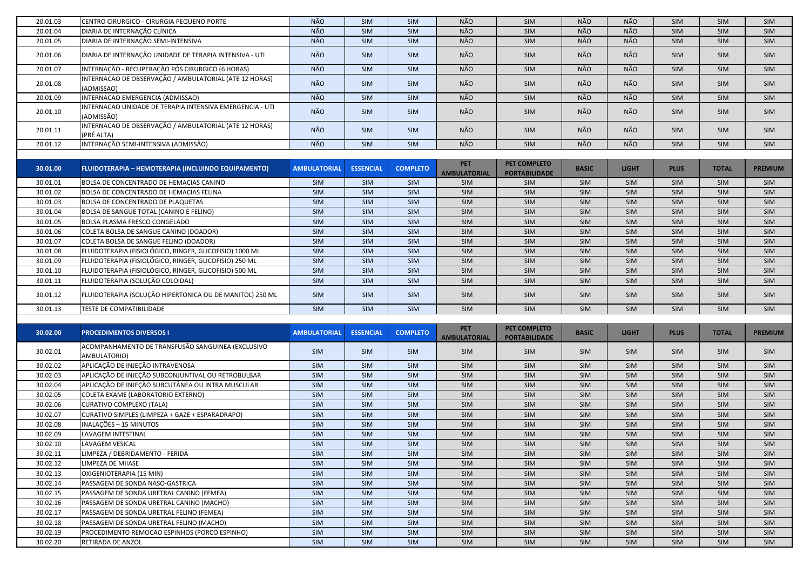| 20.01.03 | CENTRO CIRURGICO - CIRURGIA PEQUENO PORTE                              | NÃO                 | <b>SIM</b>       | <b>SIM</b>      | NÃO                               | SIM                                  | NÃO          | <b>NÃO</b>   | SIM         | <b>SIM</b>   | SIM            |
|----------|------------------------------------------------------------------------|---------------------|------------------|-----------------|-----------------------------------|--------------------------------------|--------------|--------------|-------------|--------------|----------------|
| 20.01.04 | DIARIA DE INTERNAÇÃO CLÍNICA                                           | NÃO                 | SIM              | <b>SIM</b>      | NÃO                               | SIM                                  | NÃO          | <b>NÃO</b>   | SIM         | <b>SIM</b>   | SIM            |
| 20.01.05 | DIARIA DE INTERNAÇÃO SEMI-INTENSIVA                                    | NÃO                 | SIM              | <b>SIM</b>      | NÃO                               | SIM                                  | NÃO          | <b>NÃO</b>   | SIM         | SIM          | SIM            |
| 20.01.06 | DIARIA DE INTERNAÇÃO UNIDADE DE TERAPIA INTENSIVA - UTI                | NÃO                 | SIM              | <b>SIM</b>      | NÃO                               | SIM                                  | NÃO          | NÃO          | SIM         | <b>SIM</b>   | SIM            |
| 20.01.07 | INTERNAÇÃO - RECUPERAÇÃO PÓS CIRURGICO (6 HORAS)                       | NÃO                 | SIM              | SIM             | NÃO                               | SIM                                  | NÃO          | NÃO          | SIM         | <b>SIM</b>   | SIM            |
| 20.01.08 | INTERNACAO DE OBSERVAÇÃO / AMBULATORIAL (ATE 12 HORAS)<br>(ADMISSAO)   | NÃO                 | SIM              | SIM             | NÃO                               | SIM                                  | NÃO          | NÃO          | <b>SIM</b>  | <b>SIM</b>   | SIM            |
| 20.01.09 | INTERNACAO EMERGENCIA (ADMISSAO)                                       | NÃO                 | SIM              | SIM             | NÃO                               | SIM                                  | NÃO          | NÃO          | SIM         | SIM          | SIM            |
| 20.01.10 | INTERNACAO UNIDADE DE TERAPIA INTENSIVA EMERGENCIA - UTI<br>(ADMISSÃO) | NÃO                 | SIM              | SIM             | NÃO                               | SIM                                  | NÃO          | NÃO          | SIM         | <b>SIM</b>   | SIM            |
| 20.01.11 | INTERNACAO DE OBSERVAÇÃO / AMBULATORIAL (ATE 12 HORAS)<br>(PRÉ ALTA)   | NÃO                 | <b>SIM</b>       | SIM             | NÃO                               | <b>SIM</b>                           | NÃO          | NÃO          | <b>SIM</b>  | <b>SIM</b>   | <b>SIM</b>     |
| 20.01.12 | INTERNAÇÃO SEMI-INTENSIVA (ADMISSÃO)                                   | NÃO                 | <b>SIM</b>       | SIM             | NÃO                               | SIM                                  | NÃO          | NÃO          | SIM         | <b>SIM</b>   | SIM            |
|          |                                                                        |                     |                  |                 |                                   |                                      |              |              |             |              |                |
| 30.01.00 | <b>FLUIDOTERAPIA - HEMOTERAPIA (INCLUINDO EQUIPAMENTO)</b>             | <b>AMBULATORIAL</b> | <b>ESSENCIAL</b> | <b>COMPLETO</b> | <b>PET</b><br><b>AMBULATORIAL</b> | PET COMPLETO<br><b>PORTABILIDADE</b> | <b>BASIC</b> | <b>LIGHT</b> | <b>PLUS</b> | <b>TOTAL</b> | <b>PREMIUM</b> |
| 30.01.01 | BOLSA DE CONCENTRADO DE HEMACIAS CANINO                                | <b>SIM</b>          | <b>SIM</b>       | <b>SIM</b>      | SIM                               | SIM                                  | <b>SIM</b>   | SIM          | SIM         | <b>SIM</b>   | SIM            |
| 30.01.02 | <b>BOLSA DE CONCENTRADO DE HEMACIAS FELINA</b>                         | SIM                 | <b>SIM</b>       | <b>SIM</b>      | SIM                               | SIM                                  | <b>SIM</b>   | <b>SIM</b>   | <b>SIM</b>  | <b>SIM</b>   | <b>SIM</b>     |
| 30.01.03 | <b>BOLSA DE CONCENTRADO DE PLAQUETAS</b>                               | SIM                 | SIM              | <b>SIM</b>      | SIM                               | SIM                                  | SIM          | SIM          | SIM         | <b>SIM</b>   | SIM            |
| 30.01.04 | BOLSA DE SANGUE TOTAL (CANINO E FELINO)                                | SIM                 | <b>SIM</b>       | <b>SIM</b>      | SIM                               | SIM                                  | <b>SIM</b>   | SIM          | SIM         | <b>SIM</b>   | SIM            |
| 30.01.05 | <b>BOLSA PLASMA FRESCO CONGELADO</b>                                   | SIM                 | <b>SIM</b>       | <b>SIM</b>      | SIM                               | SIM                                  | <b>SIM</b>   | SIM          | SIM         | <b>SIM</b>   | SIM            |
| 30.01.06 | COLETA BOLSA DE SANGUE CANINO (DOADOR)                                 | SIM                 | SIM              | <b>SIM</b>      | SIM                               | SIM                                  | <b>SIM</b>   | SIM          | SIM         | SIM          | SIM            |
| 30.01.07 | COLETA BOLSA DE SANGUE FELINO (DOADOR)                                 | SIM                 | SIM              | SIM             | SIM                               | SIM                                  | SIM          | SIM          | SIM         | SIM          | SIM            |
| 30.01.08 | FLUIDOTERAPIA (FISIOLÓGICO, RINGER, GLICOFISIO) 1000 ML                | SIM                 | SIM              | SIM             | SIM                               | SIM                                  | SIM          | SIM          | SIM         | SIM          | SIM            |
| 30.01.09 | FLUIDOTERAPIA (FISIOLÓGICO, RINGER, GLICOFISIO) 250 ML                 | SIM                 | SIM              | SIM             | SIM                               | SIM                                  | SIM          | SIM          | SIM         | SIM          | SIM            |
| 30.01.10 | FLUIDOTERAPIA (FISIOLÓGICO, RINGER, GLICOFISIO) 500 ML                 | <b>SIM</b>          | SIM              | SIM             | SIM                               | SIM                                  | SIM          | SIM          | SIM         | SIM          | SIM            |
| 30.01.11 | FLUIDOTERAPIA (SOLUÇÃO COLOIDAL)                                       | SIM                 | SIM              | <b>SIM</b>      | SIM                               | SIM                                  | <b>SIM</b>   | SIM          | SIM         | SIM          | SIM            |
| 30.01.12 | FLUIDOTERAPIA (SOLUÇÃO HIPERTONICA OU DE MANITOL) 250 ML               | SIM                 | <b>SIM</b>       | SIM             | SIM                               | SIM                                  | <b>SIM</b>   | <b>SIM</b>   | SIM         | <b>SIM</b>   | SIM            |
| 30.01.13 | TESTE DE COMPATIBILIDADE                                               | SIM                 | SIM              | <b>SIM</b>      | SIM                               | SIM                                  | SIM          | SIM          | SIM         | <b>SIM</b>   | SIM            |
|          |                                                                        |                     |                  |                 |                                   |                                      |              |              |             |              |                |
| 30.02.00 | <b>PROCEDIMENTOS DIVERSOS I</b>                                        | <b>AMBULATORIAL</b> | <b>ESSENCIAL</b> | <b>COMPLETO</b> | <b>PET</b><br><b>AMBULATORIAL</b> | PET COMPLETO<br><b>PORTABILIDADE</b> | <b>BASIC</b> | <b>LIGHT</b> | <b>PLUS</b> | <b>TOTAL</b> | <b>PREMIUM</b> |
| 30.02.01 | ACOMPANHAMENTO DE TRANSFUSÃO SANGUINEA (EXCLUSIVO<br>AMBULATORIO)      | SIM                 | <b>SIM</b>       | SIM             | SIM                               | SIM                                  | <b>SIM</b>   | <b>SIM</b>   | SIM         | <b>SIM</b>   | <b>SIM</b>     |
| 30.02.02 | APLICAÇÃO DE INJEÇÃO INTRAVENOSA                                       | SIM                 | SIM              | SIM             | <b>SIM</b>                        | <b>SIM</b>                           | <b>SIM</b>   | SIM          | SIM         | <b>SIM</b>   | <b>SIM</b>     |
| 30.02.03 | APLICAÇÃO DE INJEÇÃO SUBCONJUNTIVAL OU RETROBULBAR                     | <b>SIM</b>          | <b>SIM</b>       | <b>SIM</b>      | <b>SIM</b>                        | <b>SIM</b>                           | <b>SIM</b>   | SIM          | SIM         | <b>SIM</b>   | <b>SIM</b>     |
| 30.02.04 | APLICAÇÃO DE INJEÇÃO SUBCUTÂNEA OU INTRA MUSCULAR                      | SIM                 | SIM              | SIM             | SIM                               | SIM                                  | SIM          | <b>SIM</b>   | SIM         | <b>SIM</b>   | <b>SIM</b>     |
| 30.02.05 | COLETA EXAME (LABORATORIO EXTERNO)                                     | SIM                 | SIM              | SIM             | SIM                               | SIM                                  | SIM          | <b>SIM</b>   | SIM         | SIM          | <b>SIM</b>     |
| 30.02.06 | CURATIVO COMPLEXO (TALA)                                               | SIM                 | SIM              | SIM             | SIM                               | SIM                                  | SIM          | SIM          | SIM         | <b>SIM</b>   | SIM            |
| 30.02.07 | CURATIVO SIMPLES (LIMPEZA + GAZE + ESPARADRAPO)                        | SIM                 | SIM              | SIM             | SIM                               | SIM                                  | SIM          | SIM          | SIM         | <b>SIM</b>   | SIM            |
| 30.02.08 | INALAÇÕES - 15 MINUTOS                                                 | SIM                 | SIM              | SIM             | SIM                               | SIM                                  | SIM          | SIM          | SIM         | <b>SIM</b>   | SIM            |
| 30.02.09 | LAVAGEM INTESTINAL                                                     | <b>SIM</b>          | <b>SIM</b>       | <b>SIM</b>      | <b>SIM</b>                        | SIM                                  | <b>SIM</b>   | <b>SIM</b>   | SIM         | <b>SIM</b>   | SIM            |
| 30.02.10 | LAVAGEM VESICAL                                                        | SIM                 | SIM              | SIM             | SIM                               | SIM                                  | SIM          | SIM          | SIM         | <b>SIM</b>   | SIM            |
| 30.02.11 | LIMPEZA / DEBRIDAMENTO - FERIDA                                        | <b>SIM</b>          | SIM              | SIM             | SIM                               | SIM                                  | SIM          | SIM          | SIM         | <b>SIM</b>   | <b>SIM</b>     |
| 30.02.12 | LIMPEZA DE MIIASE                                                      | <b>SIM</b>          | <b>SIM</b>       | SIM             | SIM                               | SIM                                  | <b>SIM</b>   | <b>SIM</b>   | <b>SIM</b>  | <b>SIM</b>   | <b>SIM</b>     |
| 30.02.13 | OXIGENIOTERAPIA (15 MIN)                                               | SIM                 | SIM              | SIM             | SIM                               | SIM                                  | <b>SIM</b>   | SIM          | SIM         | <b>SIM</b>   | SIM            |
| 30.02.14 | PASSAGEM DE SONDA NASO-GASTRICA                                        | SIM                 | SIM              | SIM             | SIM                               | SIM                                  | SIM          | SIM          | SIM         | <b>SIM</b>   | SIM            |
| 30.02.15 | PASSAGEM DE SONDA URETRAL CANINO (FEMEA)                               | SIM                 | SIM              | SIM             | SIM                               | SIM                                  | SIM          | SIM          | SIM         | <b>SIM</b>   | SIM            |
| 30.02.16 | PASSAGEM DE SONDA URETRAL CANINO (MACHO)                               | SIM                 | SIM              | SIM             | SIM                               | SIM                                  | SIM          | SIM          | SIM         | <b>SIM</b>   | SIM            |
| 30.02.17 |                                                                        |                     |                  |                 |                                   |                                      |              |              |             |              |                |
|          | PASSAGEM DE SONDA URETRAL FELINO (FEMEA)                               | SIM                 | SIM              | SIM             | SIM                               | SIM                                  | SIM          | SIM          | SIM         | <b>SIM</b>   | SIM            |
| 30.02.18 | PASSAGEM DE SONDA URETRAL FELINO (MACHO)                               | SIM                 | SIM              | SIM             | SIM                               | SIM                                  | SIM          | SIM          | SIM         | <b>SIM</b>   | <b>SIM</b>     |
| 30.02.19 | PROCEDIMENTO REMOCAO ESPINHOS (PORCO ESPINHO)                          | SIM                 | SIM              | SIM             | SIM                               | SIM                                  | SIM          | SIM          | SIM         | <b>SIM</b>   | SIM            |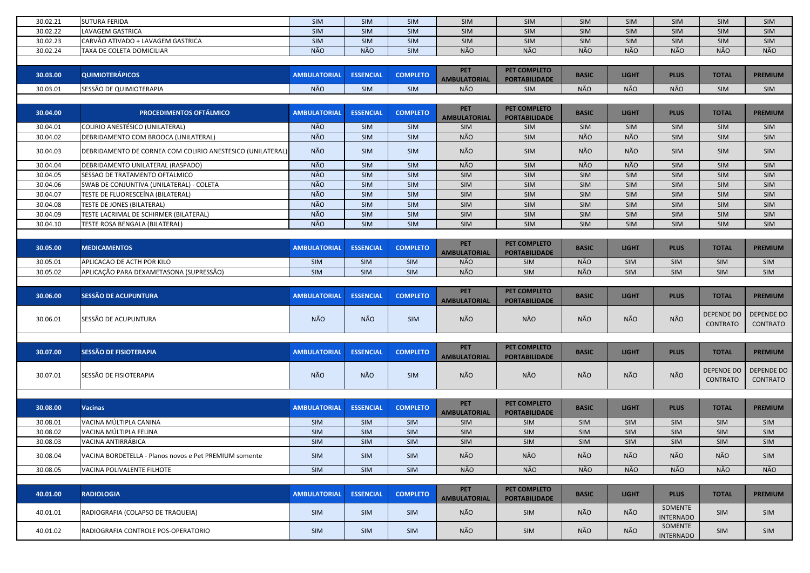| 30.02.21<br><b>SUTURA FERIDA</b><br><b>SIM</b><br><b>SIM</b><br><b>SIM</b><br>SIM<br>SIM<br><b>SIM</b><br>SIM<br>SIM<br><b>SIM</b><br><b>SIM</b><br>30.02.22<br>LAVAGEM GASTRICA<br>SIM<br>SIM<br>SIM<br>SIM<br>SIM<br><b>SIM</b><br>SIM<br>SIM<br>SIM<br><b>SIM</b><br>SIM<br>SIM<br>30.02.23<br>CARVÃO ATIVADO + LAVAGEM GASTRICA<br>SIM<br>SIM<br>SIM<br>SIM<br>SIM<br><b>SIM</b><br>SIM<br>SIM<br><b>NÃO</b><br><b>NÃO</b><br>NÃO<br>NÃO<br>NÃO<br>NÃO<br>NÃO<br>NÃO<br>NÃO<br>30.02.24<br>SIM<br>TAXA DE COLETA DOMICILIAR<br><b>PET</b><br>PET COMPLETO<br><b>QUIMIOTERÁPICOS</b><br><b>COMPLETO</b><br>30.03.00<br><b>AMBULATORIAL</b><br><b>ESSENCIAL</b><br><b>BASIC</b><br><b>LIGHT</b><br><b>PLUS</b><br><b>TOTAL</b><br><b>PREMIUM</b><br><b>AMBULATORIAL</b><br><b>PORTABILIDADE</b><br>NÃO<br>NÃO<br>NÃO<br>NÃO<br>SIM<br>NÃO<br>SIM<br>30.03.01<br>SESSÃO DE QUIMIOTERAPIA<br><b>SIM</b><br>SIM<br>SIM<br><b>PET</b><br>PET COMPLETO<br><b>PROCEDIMENTOS OFTÁLMICO</b><br>30.04.00<br><b>AMBULATORIAL</b><br><b>ESSENCIAL</b><br><b>COMPLETO</b><br><b>BASIC</b><br><b>LIGHT</b><br><b>PLUS</b><br><b>TOTAL</b><br><b>PREMIUM</b><br><b>AMBULATORIAL</b><br><b>PORTABILIDADE</b><br>COLIRIO ANESTÉSICO (UNILATERAL)<br>NÃO<br>SIM<br>30.04.01<br><b>SIM</b><br>SIM<br>SIM<br>SIM<br><b>SIM</b><br>SIM<br>SIM<br>SIM<br>NÃO<br>NÃO<br>NÃO<br>NÃO<br>SIM<br>30.04.02<br>SIM<br>SIM<br>SIM<br>SIM<br>SIM<br>DEBRIDAMENTO COM BROOCA (UNILATERAL)<br>NÃO<br>NÃO<br>NÃO<br>NÃO<br>30.04.03<br>SIM<br>SIM<br><b>SIM</b><br><b>SIM</b><br>DEBRIDAMENTO DE CORNEA COM COLIRIO ANESTESICO (UNILATERAL)<br><b>SIM</b><br><b>SIM</b><br>NÃO<br>NÃO<br>NÃO<br>NÃO<br>30.04.04<br>SIM<br>SIM<br>SIM<br>SIM<br>SIM<br>DEBRIDAMENTO UNILATERAL (RASPADO)<br><b>SIM</b><br>NÃO<br>30.04.05<br>SESSAO DE TRATAMENTO OFTALMICO<br>SIM<br>SIM<br>SIM<br>SIM<br>SIM<br><b>SIM</b><br>SIM<br>SIM<br>SIM<br>NÃO<br>SIM<br>SIM<br>SIM<br>SIM<br>SIM<br>SIM<br>30.04.06<br>SWAB DE CONJUNTIVA (UNILATERAL) - COLETA<br>SIM<br>SIM<br>SIM<br>NÃO<br>SIM<br>SIM<br>SIM<br>30.04.07<br>TESTE DE FLUORESCEÍNA (BILATERAL)<br>SIM<br>SIM<br>SIM<br><b>SIM</b><br>SIM<br>SIM<br>NÃO<br>30.04.08<br>SIM<br>SIM<br>SIM<br>SIM<br>SIM<br><b>SIM</b><br>SIM<br><b>TESTE DE JONES (BILATERAL)</b><br>SIM<br><b>SIM</b><br>NÃO<br>SIM<br>30.04.09<br>TESTE LACRIMAL DE SCHIRMER (BILATERAL)<br><b>SIM</b><br>SIM<br>SIM<br><b>SIM</b><br>SIM<br>SIM<br>SIM<br>SIM<br>NÃO<br>SIM<br>TESTE ROSA BENGALA (BILATERAL)<br><b>SIM</b><br><b>SIM</b><br>SIM<br><b>SIM</b><br>SIM<br>SIM<br><b>SIM</b><br>30.04.10<br><b>SIM</b><br><b>PET</b><br>PET COMPLETO<br>30.05.00<br><b>MEDICAMENTOS</b><br><b>AMBULATORIAL</b><br><b>ESSENCIAL</b><br><b>COMPLETO</b><br><b>BASIC</b><br><b>LIGHT</b><br><b>PLUS</b><br><b>TOTAL</b><br><b>PREMIUM</b><br><b>AMBULATORIAL</b><br><b>PORTABILIDADE</b><br>NÃO<br>NÃO<br>30.05.01<br>APLICACAO DE ACTH POR KILO<br>SIM<br>SIM<br>SIM<br>SIM<br>SIM<br>SIM<br>SIM<br>SIM<br>NÃO<br>APLICAÇÃO PARA DEXAMETASONA (SUPRESSÃO)<br>NÃO<br>30.05.02<br><b>SIM</b><br>SIM<br>SIM<br>SIM<br>SIM<br>SIM<br><b>SIM</b><br><b>SIM</b><br><b>PET</b><br>PET COMPLETO<br>30.06.00<br><b>SESSÃO DE ACUPUNTURA</b><br><b>AMBULATORIAL</b><br><b>ESSENCIAL</b><br><b>COMPLETO</b><br><b>BASIC</b><br><b>LIGHT</b><br><b>PLUS</b><br><b>TOTAL</b><br><b>PREMIUM</b><br><b>AMBULATORIAL</b><br><b>PORTABILIDADE</b><br><b>DEPENDE DO</b><br><b>DEPENDE DO</b><br>NÃO<br><b>NÃO</b><br>NÃO<br>NÃO<br>NÃO<br>NÃO<br>NÃO<br>SESSÃO DE ACUPUNTURA<br><b>SIM</b><br>30.06.01<br><b>CONTRATO</b><br><b>CONTRATO</b><br><b>PET</b><br>PET COMPLETO<br><b>SESSÃO DE FISIOTERAPIA</b><br>30.07.00<br><b>ESSENCIAL</b><br><b>COMPLETO</b><br><b>BASIC</b><br><b>LIGHT</b><br><b>PLUS</b><br><b>TOTAL</b><br><b>PREMIUM</b><br><b>AMBULATORIAL</b><br><b>AMBULATORIAL</b><br><b>PORTABILIDADE</b><br>DEPENDE DO   DEPENDE DO<br>NÃO<br>NÃO<br>NÃO<br>NÃO<br>NÃO<br>NÃO<br>NÃO<br>SESSÃO DE FISIOTERAPIA<br><b>SIM</b><br>30.07.01<br><b>CONTRATO</b><br>CONTRATO<br><b>PET</b><br>PET COMPLETO<br>30.08.00<br><b>AMBULATORIAL</b><br><b>ESSENCIAL</b><br><b>COMPLETO</b><br><b>LIGHT</b><br><b>PLUS</b><br><b>TOTAL</b><br><b>Vacinas</b><br><b>BASIC</b><br><b>PREMIUM</b><br><b>AMBULATORIAL</b><br><b>PORTABILIDADE</b><br>30.08.01<br>VACINA MÚLTIPLA CANINA<br>SIM<br>SIM<br>SIM<br>SIM<br>SIM<br>SIM<br>SIM<br><b>SIM</b><br><b>SIM</b><br>SIM<br>SIM<br>SIM<br>SIM<br>30.08.02<br>VACINA MÚLTIPLA FELINA<br>SIM<br>SIM<br>SIM<br><b>SIM</b><br>SIM<br>SIM<br><b>SIM</b><br>30.08.03<br>VACINA ANTIRRÁBICA<br>SIM<br>SIM<br>SIM<br>SIM<br><b>SIM</b><br>SIM<br>SIM<br>SIM<br><b>SIM</b><br><b>SIM</b><br>NÃO<br>NÃO<br>NÃO<br>NÃO<br>30.08.04<br>SIM<br>NÃO<br>NÃO<br>SIM<br>VACINA BORDETELLA - Planos novos e Pet PREMIUM somente<br>SIM<br><b>SIM</b><br>NÃO<br>NÃO<br>NÃO<br>NÃO<br>NÃO<br>NÃO<br>NÃO<br>SIM<br>SIM<br>SIM<br>30.08.05<br>VACINA POLIVALENTE FILHOTE<br><b>PET</b><br>PET COMPLETO<br>40.01.00<br><b>ESSENCIAL</b><br><b>RADIOLOGIA</b><br><b>AMBULATORIAL</b><br><b>COMPLETO</b><br><b>BASIC</b><br><b>LIGHT</b><br><b>PLUS</b><br><b>TOTAL</b><br><b>PREMIUM</b><br><b>AMBULATORIAL</b><br><b>PORTABILIDADE</b><br>SOMENTE<br>NÃO<br>NÃO<br>NÃO<br>40.01.01<br>SIM<br>SIM<br>SIM<br><b>SIM</b><br>SIM<br>RADIOGRAFIA (COLAPSO DE TRAQUEIA)<br><b>SIM</b><br><b>INTERNADO</b><br>SOMENTE<br>NÃO<br>NÃO<br>NÃO<br>40.01.02<br><b>SIM</b><br>SIM<br><b>SIM</b><br>RADIOGRAFIA CONTROLE POS-OPERATORIO<br>SIM<br><b>SIM</b><br><b>SIM</b><br><b>INTERNADO</b> |  |  |  |  |  |  |
|--------------------------------------------------------------------------------------------------------------------------------------------------------------------------------------------------------------------------------------------------------------------------------------------------------------------------------------------------------------------------------------------------------------------------------------------------------------------------------------------------------------------------------------------------------------------------------------------------------------------------------------------------------------------------------------------------------------------------------------------------------------------------------------------------------------------------------------------------------------------------------------------------------------------------------------------------------------------------------------------------------------------------------------------------------------------------------------------------------------------------------------------------------------------------------------------------------------------------------------------------------------------------------------------------------------------------------------------------------------------------------------------------------------------------------------------------------------------------------------------------------------------------------------------------------------------------------------------------------------------------------------------------------------------------------------------------------------------------------------------------------------------------------------------------------------------------------------------------------------------------------------------------------------------------------------------------------------------------------------------------------------------------------------------------------------------------------------------------------------------------------------------------------------------------------------------------------------------------------------------------------------------------------------------------------------------------------------------------------------------------------------------------------------------------------------------------------------------------------------------------------------------------------------------------------------------------------------------------------------------------------------------------------------------------------------------------------------------------------------------------------------------------------------------------------------------------------------------------------------------------------------------------------------------------------------------------------------------------------------------------------------------------------------------------------------------------------------------------------------------------------------------------------------------------------------------------------------------------------------------------------------------------------------------------------------------------------------------------------------------------------------------------------------------------------------------------------------------------------------------------------------------------------------------------------------------------------------------------------------------------------------------------------------------------------------------------------------------------------------------------------------------------------------------------------------------------------------------------------------------------------------------------------------------------------------------------------------------------------------------------------------------------------------------------------------------------------------------------------------------------------------------------------------------------------------------------------------------------------------------------------------------------------------------------------------------------------------------------------------------------------------------------------------------------------------------------------------------------------------------------------------------------------------------------------------------------------------------------------------------------------------------------------------------------------------------------------------------------------------------------------------------------------------------------------------------------------------------------------------------------------------------------------------------------------------------------------------------------------------------------------------------------------------------------------------------------------------------------------------------------------------------------------------------------------------------------------------------------------------------------------------------------------------------------------------------------------------------------------------------------------------------------------------------------------------------------------------------------------------------------------------------------------------------------------------------|--|--|--|--|--|--|
|                                                                                                                                                                                                                                                                                                                                                                                                                                                                                                                                                                                                                                                                                                                                                                                                                                                                                                                                                                                                                                                                                                                                                                                                                                                                                                                                                                                                                                                                                                                                                                                                                                                                                                                                                                                                                                                                                                                                                                                                                                                                                                                                                                                                                                                                                                                                                                                                                                                                                                                                                                                                                                                                                                                                                                                                                                                                                                                                                                                                                                                                                                                                                                                                                                                                                                                                                                                                                                                                                                                                                                                                                                                                                                                                                                                                                                                                                                                                                                                                                                                                                                                                                                                                                                                                                                                                                                                                                                                                                                                                                                                                                                                                                                                                                                                                                                                                                                                                                                                                                                                                                                                                                                                                                                                                                                                                                                                                                                                                                                                                                                    |  |  |  |  |  |  |
|                                                                                                                                                                                                                                                                                                                                                                                                                                                                                                                                                                                                                                                                                                                                                                                                                                                                                                                                                                                                                                                                                                                                                                                                                                                                                                                                                                                                                                                                                                                                                                                                                                                                                                                                                                                                                                                                                                                                                                                                                                                                                                                                                                                                                                                                                                                                                                                                                                                                                                                                                                                                                                                                                                                                                                                                                                                                                                                                                                                                                                                                                                                                                                                                                                                                                                                                                                                                                                                                                                                                                                                                                                                                                                                                                                                                                                                                                                                                                                                                                                                                                                                                                                                                                                                                                                                                                                                                                                                                                                                                                                                                                                                                                                                                                                                                                                                                                                                                                                                                                                                                                                                                                                                                                                                                                                                                                                                                                                                                                                                                                                    |  |  |  |  |  |  |
|                                                                                                                                                                                                                                                                                                                                                                                                                                                                                                                                                                                                                                                                                                                                                                                                                                                                                                                                                                                                                                                                                                                                                                                                                                                                                                                                                                                                                                                                                                                                                                                                                                                                                                                                                                                                                                                                                                                                                                                                                                                                                                                                                                                                                                                                                                                                                                                                                                                                                                                                                                                                                                                                                                                                                                                                                                                                                                                                                                                                                                                                                                                                                                                                                                                                                                                                                                                                                                                                                                                                                                                                                                                                                                                                                                                                                                                                                                                                                                                                                                                                                                                                                                                                                                                                                                                                                                                                                                                                                                                                                                                                                                                                                                                                                                                                                                                                                                                                                                                                                                                                                                                                                                                                                                                                                                                                                                                                                                                                                                                                                                    |  |  |  |  |  |  |
|                                                                                                                                                                                                                                                                                                                                                                                                                                                                                                                                                                                                                                                                                                                                                                                                                                                                                                                                                                                                                                                                                                                                                                                                                                                                                                                                                                                                                                                                                                                                                                                                                                                                                                                                                                                                                                                                                                                                                                                                                                                                                                                                                                                                                                                                                                                                                                                                                                                                                                                                                                                                                                                                                                                                                                                                                                                                                                                                                                                                                                                                                                                                                                                                                                                                                                                                                                                                                                                                                                                                                                                                                                                                                                                                                                                                                                                                                                                                                                                                                                                                                                                                                                                                                                                                                                                                                                                                                                                                                                                                                                                                                                                                                                                                                                                                                                                                                                                                                                                                                                                                                                                                                                                                                                                                                                                                                                                                                                                                                                                                                                    |  |  |  |  |  |  |
|                                                                                                                                                                                                                                                                                                                                                                                                                                                                                                                                                                                                                                                                                                                                                                                                                                                                                                                                                                                                                                                                                                                                                                                                                                                                                                                                                                                                                                                                                                                                                                                                                                                                                                                                                                                                                                                                                                                                                                                                                                                                                                                                                                                                                                                                                                                                                                                                                                                                                                                                                                                                                                                                                                                                                                                                                                                                                                                                                                                                                                                                                                                                                                                                                                                                                                                                                                                                                                                                                                                                                                                                                                                                                                                                                                                                                                                                                                                                                                                                                                                                                                                                                                                                                                                                                                                                                                                                                                                                                                                                                                                                                                                                                                                                                                                                                                                                                                                                                                                                                                                                                                                                                                                                                                                                                                                                                                                                                                                                                                                                                                    |  |  |  |  |  |  |
|                                                                                                                                                                                                                                                                                                                                                                                                                                                                                                                                                                                                                                                                                                                                                                                                                                                                                                                                                                                                                                                                                                                                                                                                                                                                                                                                                                                                                                                                                                                                                                                                                                                                                                                                                                                                                                                                                                                                                                                                                                                                                                                                                                                                                                                                                                                                                                                                                                                                                                                                                                                                                                                                                                                                                                                                                                                                                                                                                                                                                                                                                                                                                                                                                                                                                                                                                                                                                                                                                                                                                                                                                                                                                                                                                                                                                                                                                                                                                                                                                                                                                                                                                                                                                                                                                                                                                                                                                                                                                                                                                                                                                                                                                                                                                                                                                                                                                                                                                                                                                                                                                                                                                                                                                                                                                                                                                                                                                                                                                                                                                                    |  |  |  |  |  |  |
|                                                                                                                                                                                                                                                                                                                                                                                                                                                                                                                                                                                                                                                                                                                                                                                                                                                                                                                                                                                                                                                                                                                                                                                                                                                                                                                                                                                                                                                                                                                                                                                                                                                                                                                                                                                                                                                                                                                                                                                                                                                                                                                                                                                                                                                                                                                                                                                                                                                                                                                                                                                                                                                                                                                                                                                                                                                                                                                                                                                                                                                                                                                                                                                                                                                                                                                                                                                                                                                                                                                                                                                                                                                                                                                                                                                                                                                                                                                                                                                                                                                                                                                                                                                                                                                                                                                                                                                                                                                                                                                                                                                                                                                                                                                                                                                                                                                                                                                                                                                                                                                                                                                                                                                                                                                                                                                                                                                                                                                                                                                                                                    |  |  |  |  |  |  |
|                                                                                                                                                                                                                                                                                                                                                                                                                                                                                                                                                                                                                                                                                                                                                                                                                                                                                                                                                                                                                                                                                                                                                                                                                                                                                                                                                                                                                                                                                                                                                                                                                                                                                                                                                                                                                                                                                                                                                                                                                                                                                                                                                                                                                                                                                                                                                                                                                                                                                                                                                                                                                                                                                                                                                                                                                                                                                                                                                                                                                                                                                                                                                                                                                                                                                                                                                                                                                                                                                                                                                                                                                                                                                                                                                                                                                                                                                                                                                                                                                                                                                                                                                                                                                                                                                                                                                                                                                                                                                                                                                                                                                                                                                                                                                                                                                                                                                                                                                                                                                                                                                                                                                                                                                                                                                                                                                                                                                                                                                                                                                                    |  |  |  |  |  |  |
|                                                                                                                                                                                                                                                                                                                                                                                                                                                                                                                                                                                                                                                                                                                                                                                                                                                                                                                                                                                                                                                                                                                                                                                                                                                                                                                                                                                                                                                                                                                                                                                                                                                                                                                                                                                                                                                                                                                                                                                                                                                                                                                                                                                                                                                                                                                                                                                                                                                                                                                                                                                                                                                                                                                                                                                                                                                                                                                                                                                                                                                                                                                                                                                                                                                                                                                                                                                                                                                                                                                                                                                                                                                                                                                                                                                                                                                                                                                                                                                                                                                                                                                                                                                                                                                                                                                                                                                                                                                                                                                                                                                                                                                                                                                                                                                                                                                                                                                                                                                                                                                                                                                                                                                                                                                                                                                                                                                                                                                                                                                                                                    |  |  |  |  |  |  |
|                                                                                                                                                                                                                                                                                                                                                                                                                                                                                                                                                                                                                                                                                                                                                                                                                                                                                                                                                                                                                                                                                                                                                                                                                                                                                                                                                                                                                                                                                                                                                                                                                                                                                                                                                                                                                                                                                                                                                                                                                                                                                                                                                                                                                                                                                                                                                                                                                                                                                                                                                                                                                                                                                                                                                                                                                                                                                                                                                                                                                                                                                                                                                                                                                                                                                                                                                                                                                                                                                                                                                                                                                                                                                                                                                                                                                                                                                                                                                                                                                                                                                                                                                                                                                                                                                                                                                                                                                                                                                                                                                                                                                                                                                                                                                                                                                                                                                                                                                                                                                                                                                                                                                                                                                                                                                                                                                                                                                                                                                                                                                                    |  |  |  |  |  |  |
|                                                                                                                                                                                                                                                                                                                                                                                                                                                                                                                                                                                                                                                                                                                                                                                                                                                                                                                                                                                                                                                                                                                                                                                                                                                                                                                                                                                                                                                                                                                                                                                                                                                                                                                                                                                                                                                                                                                                                                                                                                                                                                                                                                                                                                                                                                                                                                                                                                                                                                                                                                                                                                                                                                                                                                                                                                                                                                                                                                                                                                                                                                                                                                                                                                                                                                                                                                                                                                                                                                                                                                                                                                                                                                                                                                                                                                                                                                                                                                                                                                                                                                                                                                                                                                                                                                                                                                                                                                                                                                                                                                                                                                                                                                                                                                                                                                                                                                                                                                                                                                                                                                                                                                                                                                                                                                                                                                                                                                                                                                                                                                    |  |  |  |  |  |  |
|                                                                                                                                                                                                                                                                                                                                                                                                                                                                                                                                                                                                                                                                                                                                                                                                                                                                                                                                                                                                                                                                                                                                                                                                                                                                                                                                                                                                                                                                                                                                                                                                                                                                                                                                                                                                                                                                                                                                                                                                                                                                                                                                                                                                                                                                                                                                                                                                                                                                                                                                                                                                                                                                                                                                                                                                                                                                                                                                                                                                                                                                                                                                                                                                                                                                                                                                                                                                                                                                                                                                                                                                                                                                                                                                                                                                                                                                                                                                                                                                                                                                                                                                                                                                                                                                                                                                                                                                                                                                                                                                                                                                                                                                                                                                                                                                                                                                                                                                                                                                                                                                                                                                                                                                                                                                                                                                                                                                                                                                                                                                                                    |  |  |  |  |  |  |
|                                                                                                                                                                                                                                                                                                                                                                                                                                                                                                                                                                                                                                                                                                                                                                                                                                                                                                                                                                                                                                                                                                                                                                                                                                                                                                                                                                                                                                                                                                                                                                                                                                                                                                                                                                                                                                                                                                                                                                                                                                                                                                                                                                                                                                                                                                                                                                                                                                                                                                                                                                                                                                                                                                                                                                                                                                                                                                                                                                                                                                                                                                                                                                                                                                                                                                                                                                                                                                                                                                                                                                                                                                                                                                                                                                                                                                                                                                                                                                                                                                                                                                                                                                                                                                                                                                                                                                                                                                                                                                                                                                                                                                                                                                                                                                                                                                                                                                                                                                                                                                                                                                                                                                                                                                                                                                                                                                                                                                                                                                                                                                    |  |  |  |  |  |  |
|                                                                                                                                                                                                                                                                                                                                                                                                                                                                                                                                                                                                                                                                                                                                                                                                                                                                                                                                                                                                                                                                                                                                                                                                                                                                                                                                                                                                                                                                                                                                                                                                                                                                                                                                                                                                                                                                                                                                                                                                                                                                                                                                                                                                                                                                                                                                                                                                                                                                                                                                                                                                                                                                                                                                                                                                                                                                                                                                                                                                                                                                                                                                                                                                                                                                                                                                                                                                                                                                                                                                                                                                                                                                                                                                                                                                                                                                                                                                                                                                                                                                                                                                                                                                                                                                                                                                                                                                                                                                                                                                                                                                                                                                                                                                                                                                                                                                                                                                                                                                                                                                                                                                                                                                                                                                                                                                                                                                                                                                                                                                                                    |  |  |  |  |  |  |
|                                                                                                                                                                                                                                                                                                                                                                                                                                                                                                                                                                                                                                                                                                                                                                                                                                                                                                                                                                                                                                                                                                                                                                                                                                                                                                                                                                                                                                                                                                                                                                                                                                                                                                                                                                                                                                                                                                                                                                                                                                                                                                                                                                                                                                                                                                                                                                                                                                                                                                                                                                                                                                                                                                                                                                                                                                                                                                                                                                                                                                                                                                                                                                                                                                                                                                                                                                                                                                                                                                                                                                                                                                                                                                                                                                                                                                                                                                                                                                                                                                                                                                                                                                                                                                                                                                                                                                                                                                                                                                                                                                                                                                                                                                                                                                                                                                                                                                                                                                                                                                                                                                                                                                                                                                                                                                                                                                                                                                                                                                                                                                    |  |  |  |  |  |  |
|                                                                                                                                                                                                                                                                                                                                                                                                                                                                                                                                                                                                                                                                                                                                                                                                                                                                                                                                                                                                                                                                                                                                                                                                                                                                                                                                                                                                                                                                                                                                                                                                                                                                                                                                                                                                                                                                                                                                                                                                                                                                                                                                                                                                                                                                                                                                                                                                                                                                                                                                                                                                                                                                                                                                                                                                                                                                                                                                                                                                                                                                                                                                                                                                                                                                                                                                                                                                                                                                                                                                                                                                                                                                                                                                                                                                                                                                                                                                                                                                                                                                                                                                                                                                                                                                                                                                                                                                                                                                                                                                                                                                                                                                                                                                                                                                                                                                                                                                                                                                                                                                                                                                                                                                                                                                                                                                                                                                                                                                                                                                                                    |  |  |  |  |  |  |
|                                                                                                                                                                                                                                                                                                                                                                                                                                                                                                                                                                                                                                                                                                                                                                                                                                                                                                                                                                                                                                                                                                                                                                                                                                                                                                                                                                                                                                                                                                                                                                                                                                                                                                                                                                                                                                                                                                                                                                                                                                                                                                                                                                                                                                                                                                                                                                                                                                                                                                                                                                                                                                                                                                                                                                                                                                                                                                                                                                                                                                                                                                                                                                                                                                                                                                                                                                                                                                                                                                                                                                                                                                                                                                                                                                                                                                                                                                                                                                                                                                                                                                                                                                                                                                                                                                                                                                                                                                                                                                                                                                                                                                                                                                                                                                                                                                                                                                                                                                                                                                                                                                                                                                                                                                                                                                                                                                                                                                                                                                                                                                    |  |  |  |  |  |  |
|                                                                                                                                                                                                                                                                                                                                                                                                                                                                                                                                                                                                                                                                                                                                                                                                                                                                                                                                                                                                                                                                                                                                                                                                                                                                                                                                                                                                                                                                                                                                                                                                                                                                                                                                                                                                                                                                                                                                                                                                                                                                                                                                                                                                                                                                                                                                                                                                                                                                                                                                                                                                                                                                                                                                                                                                                                                                                                                                                                                                                                                                                                                                                                                                                                                                                                                                                                                                                                                                                                                                                                                                                                                                                                                                                                                                                                                                                                                                                                                                                                                                                                                                                                                                                                                                                                                                                                                                                                                                                                                                                                                                                                                                                                                                                                                                                                                                                                                                                                                                                                                                                                                                                                                                                                                                                                                                                                                                                                                                                                                                                                    |  |  |  |  |  |  |
|                                                                                                                                                                                                                                                                                                                                                                                                                                                                                                                                                                                                                                                                                                                                                                                                                                                                                                                                                                                                                                                                                                                                                                                                                                                                                                                                                                                                                                                                                                                                                                                                                                                                                                                                                                                                                                                                                                                                                                                                                                                                                                                                                                                                                                                                                                                                                                                                                                                                                                                                                                                                                                                                                                                                                                                                                                                                                                                                                                                                                                                                                                                                                                                                                                                                                                                                                                                                                                                                                                                                                                                                                                                                                                                                                                                                                                                                                                                                                                                                                                                                                                                                                                                                                                                                                                                                                                                                                                                                                                                                                                                                                                                                                                                                                                                                                                                                                                                                                                                                                                                                                                                                                                                                                                                                                                                                                                                                                                                                                                                                                                    |  |  |  |  |  |  |
|                                                                                                                                                                                                                                                                                                                                                                                                                                                                                                                                                                                                                                                                                                                                                                                                                                                                                                                                                                                                                                                                                                                                                                                                                                                                                                                                                                                                                                                                                                                                                                                                                                                                                                                                                                                                                                                                                                                                                                                                                                                                                                                                                                                                                                                                                                                                                                                                                                                                                                                                                                                                                                                                                                                                                                                                                                                                                                                                                                                                                                                                                                                                                                                                                                                                                                                                                                                                                                                                                                                                                                                                                                                                                                                                                                                                                                                                                                                                                                                                                                                                                                                                                                                                                                                                                                                                                                                                                                                                                                                                                                                                                                                                                                                                                                                                                                                                                                                                                                                                                                                                                                                                                                                                                                                                                                                                                                                                                                                                                                                                                                    |  |  |  |  |  |  |
|                                                                                                                                                                                                                                                                                                                                                                                                                                                                                                                                                                                                                                                                                                                                                                                                                                                                                                                                                                                                                                                                                                                                                                                                                                                                                                                                                                                                                                                                                                                                                                                                                                                                                                                                                                                                                                                                                                                                                                                                                                                                                                                                                                                                                                                                                                                                                                                                                                                                                                                                                                                                                                                                                                                                                                                                                                                                                                                                                                                                                                                                                                                                                                                                                                                                                                                                                                                                                                                                                                                                                                                                                                                                                                                                                                                                                                                                                                                                                                                                                                                                                                                                                                                                                                                                                                                                                                                                                                                                                                                                                                                                                                                                                                                                                                                                                                                                                                                                                                                                                                                                                                                                                                                                                                                                                                                                                                                                                                                                                                                                                                    |  |  |  |  |  |  |
|                                                                                                                                                                                                                                                                                                                                                                                                                                                                                                                                                                                                                                                                                                                                                                                                                                                                                                                                                                                                                                                                                                                                                                                                                                                                                                                                                                                                                                                                                                                                                                                                                                                                                                                                                                                                                                                                                                                                                                                                                                                                                                                                                                                                                                                                                                                                                                                                                                                                                                                                                                                                                                                                                                                                                                                                                                                                                                                                                                                                                                                                                                                                                                                                                                                                                                                                                                                                                                                                                                                                                                                                                                                                                                                                                                                                                                                                                                                                                                                                                                                                                                                                                                                                                                                                                                                                                                                                                                                                                                                                                                                                                                                                                                                                                                                                                                                                                                                                                                                                                                                                                                                                                                                                                                                                                                                                                                                                                                                                                                                                                                    |  |  |  |  |  |  |
|                                                                                                                                                                                                                                                                                                                                                                                                                                                                                                                                                                                                                                                                                                                                                                                                                                                                                                                                                                                                                                                                                                                                                                                                                                                                                                                                                                                                                                                                                                                                                                                                                                                                                                                                                                                                                                                                                                                                                                                                                                                                                                                                                                                                                                                                                                                                                                                                                                                                                                                                                                                                                                                                                                                                                                                                                                                                                                                                                                                                                                                                                                                                                                                                                                                                                                                                                                                                                                                                                                                                                                                                                                                                                                                                                                                                                                                                                                                                                                                                                                                                                                                                                                                                                                                                                                                                                                                                                                                                                                                                                                                                                                                                                                                                                                                                                                                                                                                                                                                                                                                                                                                                                                                                                                                                                                                                                                                                                                                                                                                                                                    |  |  |  |  |  |  |
|                                                                                                                                                                                                                                                                                                                                                                                                                                                                                                                                                                                                                                                                                                                                                                                                                                                                                                                                                                                                                                                                                                                                                                                                                                                                                                                                                                                                                                                                                                                                                                                                                                                                                                                                                                                                                                                                                                                                                                                                                                                                                                                                                                                                                                                                                                                                                                                                                                                                                                                                                                                                                                                                                                                                                                                                                                                                                                                                                                                                                                                                                                                                                                                                                                                                                                                                                                                                                                                                                                                                                                                                                                                                                                                                                                                                                                                                                                                                                                                                                                                                                                                                                                                                                                                                                                                                                                                                                                                                                                                                                                                                                                                                                                                                                                                                                                                                                                                                                                                                                                                                                                                                                                                                                                                                                                                                                                                                                                                                                                                                                                    |  |  |  |  |  |  |
|                                                                                                                                                                                                                                                                                                                                                                                                                                                                                                                                                                                                                                                                                                                                                                                                                                                                                                                                                                                                                                                                                                                                                                                                                                                                                                                                                                                                                                                                                                                                                                                                                                                                                                                                                                                                                                                                                                                                                                                                                                                                                                                                                                                                                                                                                                                                                                                                                                                                                                                                                                                                                                                                                                                                                                                                                                                                                                                                                                                                                                                                                                                                                                                                                                                                                                                                                                                                                                                                                                                                                                                                                                                                                                                                                                                                                                                                                                                                                                                                                                                                                                                                                                                                                                                                                                                                                                                                                                                                                                                                                                                                                                                                                                                                                                                                                                                                                                                                                                                                                                                                                                                                                                                                                                                                                                                                                                                                                                                                                                                                                                    |  |  |  |  |  |  |
|                                                                                                                                                                                                                                                                                                                                                                                                                                                                                                                                                                                                                                                                                                                                                                                                                                                                                                                                                                                                                                                                                                                                                                                                                                                                                                                                                                                                                                                                                                                                                                                                                                                                                                                                                                                                                                                                                                                                                                                                                                                                                                                                                                                                                                                                                                                                                                                                                                                                                                                                                                                                                                                                                                                                                                                                                                                                                                                                                                                                                                                                                                                                                                                                                                                                                                                                                                                                                                                                                                                                                                                                                                                                                                                                                                                                                                                                                                                                                                                                                                                                                                                                                                                                                                                                                                                                                                                                                                                                                                                                                                                                                                                                                                                                                                                                                                                                                                                                                                                                                                                                                                                                                                                                                                                                                                                                                                                                                                                                                                                                                                    |  |  |  |  |  |  |
|                                                                                                                                                                                                                                                                                                                                                                                                                                                                                                                                                                                                                                                                                                                                                                                                                                                                                                                                                                                                                                                                                                                                                                                                                                                                                                                                                                                                                                                                                                                                                                                                                                                                                                                                                                                                                                                                                                                                                                                                                                                                                                                                                                                                                                                                                                                                                                                                                                                                                                                                                                                                                                                                                                                                                                                                                                                                                                                                                                                                                                                                                                                                                                                                                                                                                                                                                                                                                                                                                                                                                                                                                                                                                                                                                                                                                                                                                                                                                                                                                                                                                                                                                                                                                                                                                                                                                                                                                                                                                                                                                                                                                                                                                                                                                                                                                                                                                                                                                                                                                                                                                                                                                                                                                                                                                                                                                                                                                                                                                                                                                                    |  |  |  |  |  |  |
|                                                                                                                                                                                                                                                                                                                                                                                                                                                                                                                                                                                                                                                                                                                                                                                                                                                                                                                                                                                                                                                                                                                                                                                                                                                                                                                                                                                                                                                                                                                                                                                                                                                                                                                                                                                                                                                                                                                                                                                                                                                                                                                                                                                                                                                                                                                                                                                                                                                                                                                                                                                                                                                                                                                                                                                                                                                                                                                                                                                                                                                                                                                                                                                                                                                                                                                                                                                                                                                                                                                                                                                                                                                                                                                                                                                                                                                                                                                                                                                                                                                                                                                                                                                                                                                                                                                                                                                                                                                                                                                                                                                                                                                                                                                                                                                                                                                                                                                                                                                                                                                                                                                                                                                                                                                                                                                                                                                                                                                                                                                                                                    |  |  |  |  |  |  |
|                                                                                                                                                                                                                                                                                                                                                                                                                                                                                                                                                                                                                                                                                                                                                                                                                                                                                                                                                                                                                                                                                                                                                                                                                                                                                                                                                                                                                                                                                                                                                                                                                                                                                                                                                                                                                                                                                                                                                                                                                                                                                                                                                                                                                                                                                                                                                                                                                                                                                                                                                                                                                                                                                                                                                                                                                                                                                                                                                                                                                                                                                                                                                                                                                                                                                                                                                                                                                                                                                                                                                                                                                                                                                                                                                                                                                                                                                                                                                                                                                                                                                                                                                                                                                                                                                                                                                                                                                                                                                                                                                                                                                                                                                                                                                                                                                                                                                                                                                                                                                                                                                                                                                                                                                                                                                                                                                                                                                                                                                                                                                                    |  |  |  |  |  |  |
|                                                                                                                                                                                                                                                                                                                                                                                                                                                                                                                                                                                                                                                                                                                                                                                                                                                                                                                                                                                                                                                                                                                                                                                                                                                                                                                                                                                                                                                                                                                                                                                                                                                                                                                                                                                                                                                                                                                                                                                                                                                                                                                                                                                                                                                                                                                                                                                                                                                                                                                                                                                                                                                                                                                                                                                                                                                                                                                                                                                                                                                                                                                                                                                                                                                                                                                                                                                                                                                                                                                                                                                                                                                                                                                                                                                                                                                                                                                                                                                                                                                                                                                                                                                                                                                                                                                                                                                                                                                                                                                                                                                                                                                                                                                                                                                                                                                                                                                                                                                                                                                                                                                                                                                                                                                                                                                                                                                                                                                                                                                                                                    |  |  |  |  |  |  |
|                                                                                                                                                                                                                                                                                                                                                                                                                                                                                                                                                                                                                                                                                                                                                                                                                                                                                                                                                                                                                                                                                                                                                                                                                                                                                                                                                                                                                                                                                                                                                                                                                                                                                                                                                                                                                                                                                                                                                                                                                                                                                                                                                                                                                                                                                                                                                                                                                                                                                                                                                                                                                                                                                                                                                                                                                                                                                                                                                                                                                                                                                                                                                                                                                                                                                                                                                                                                                                                                                                                                                                                                                                                                                                                                                                                                                                                                                                                                                                                                                                                                                                                                                                                                                                                                                                                                                                                                                                                                                                                                                                                                                                                                                                                                                                                                                                                                                                                                                                                                                                                                                                                                                                                                                                                                                                                                                                                                                                                                                                                                                                    |  |  |  |  |  |  |
|                                                                                                                                                                                                                                                                                                                                                                                                                                                                                                                                                                                                                                                                                                                                                                                                                                                                                                                                                                                                                                                                                                                                                                                                                                                                                                                                                                                                                                                                                                                                                                                                                                                                                                                                                                                                                                                                                                                                                                                                                                                                                                                                                                                                                                                                                                                                                                                                                                                                                                                                                                                                                                                                                                                                                                                                                                                                                                                                                                                                                                                                                                                                                                                                                                                                                                                                                                                                                                                                                                                                                                                                                                                                                                                                                                                                                                                                                                                                                                                                                                                                                                                                                                                                                                                                                                                                                                                                                                                                                                                                                                                                                                                                                                                                                                                                                                                                                                                                                                                                                                                                                                                                                                                                                                                                                                                                                                                                                                                                                                                                                                    |  |  |  |  |  |  |
|                                                                                                                                                                                                                                                                                                                                                                                                                                                                                                                                                                                                                                                                                                                                                                                                                                                                                                                                                                                                                                                                                                                                                                                                                                                                                                                                                                                                                                                                                                                                                                                                                                                                                                                                                                                                                                                                                                                                                                                                                                                                                                                                                                                                                                                                                                                                                                                                                                                                                                                                                                                                                                                                                                                                                                                                                                                                                                                                                                                                                                                                                                                                                                                                                                                                                                                                                                                                                                                                                                                                                                                                                                                                                                                                                                                                                                                                                                                                                                                                                                                                                                                                                                                                                                                                                                                                                                                                                                                                                                                                                                                                                                                                                                                                                                                                                                                                                                                                                                                                                                                                                                                                                                                                                                                                                                                                                                                                                                                                                                                                                                    |  |  |  |  |  |  |
|                                                                                                                                                                                                                                                                                                                                                                                                                                                                                                                                                                                                                                                                                                                                                                                                                                                                                                                                                                                                                                                                                                                                                                                                                                                                                                                                                                                                                                                                                                                                                                                                                                                                                                                                                                                                                                                                                                                                                                                                                                                                                                                                                                                                                                                                                                                                                                                                                                                                                                                                                                                                                                                                                                                                                                                                                                                                                                                                                                                                                                                                                                                                                                                                                                                                                                                                                                                                                                                                                                                                                                                                                                                                                                                                                                                                                                                                                                                                                                                                                                                                                                                                                                                                                                                                                                                                                                                                                                                                                                                                                                                                                                                                                                                                                                                                                                                                                                                                                                                                                                                                                                                                                                                                                                                                                                                                                                                                                                                                                                                                                                    |  |  |  |  |  |  |
|                                                                                                                                                                                                                                                                                                                                                                                                                                                                                                                                                                                                                                                                                                                                                                                                                                                                                                                                                                                                                                                                                                                                                                                                                                                                                                                                                                                                                                                                                                                                                                                                                                                                                                                                                                                                                                                                                                                                                                                                                                                                                                                                                                                                                                                                                                                                                                                                                                                                                                                                                                                                                                                                                                                                                                                                                                                                                                                                                                                                                                                                                                                                                                                                                                                                                                                                                                                                                                                                                                                                                                                                                                                                                                                                                                                                                                                                                                                                                                                                                                                                                                                                                                                                                                                                                                                                                                                                                                                                                                                                                                                                                                                                                                                                                                                                                                                                                                                                                                                                                                                                                                                                                                                                                                                                                                                                                                                                                                                                                                                                                                    |  |  |  |  |  |  |
|                                                                                                                                                                                                                                                                                                                                                                                                                                                                                                                                                                                                                                                                                                                                                                                                                                                                                                                                                                                                                                                                                                                                                                                                                                                                                                                                                                                                                                                                                                                                                                                                                                                                                                                                                                                                                                                                                                                                                                                                                                                                                                                                                                                                                                                                                                                                                                                                                                                                                                                                                                                                                                                                                                                                                                                                                                                                                                                                                                                                                                                                                                                                                                                                                                                                                                                                                                                                                                                                                                                                                                                                                                                                                                                                                                                                                                                                                                                                                                                                                                                                                                                                                                                                                                                                                                                                                                                                                                                                                                                                                                                                                                                                                                                                                                                                                                                                                                                                                                                                                                                                                                                                                                                                                                                                                                                                                                                                                                                                                                                                                                    |  |  |  |  |  |  |
|                                                                                                                                                                                                                                                                                                                                                                                                                                                                                                                                                                                                                                                                                                                                                                                                                                                                                                                                                                                                                                                                                                                                                                                                                                                                                                                                                                                                                                                                                                                                                                                                                                                                                                                                                                                                                                                                                                                                                                                                                                                                                                                                                                                                                                                                                                                                                                                                                                                                                                                                                                                                                                                                                                                                                                                                                                                                                                                                                                                                                                                                                                                                                                                                                                                                                                                                                                                                                                                                                                                                                                                                                                                                                                                                                                                                                                                                                                                                                                                                                                                                                                                                                                                                                                                                                                                                                                                                                                                                                                                                                                                                                                                                                                                                                                                                                                                                                                                                                                                                                                                                                                                                                                                                                                                                                                                                                                                                                                                                                                                                                                    |  |  |  |  |  |  |
|                                                                                                                                                                                                                                                                                                                                                                                                                                                                                                                                                                                                                                                                                                                                                                                                                                                                                                                                                                                                                                                                                                                                                                                                                                                                                                                                                                                                                                                                                                                                                                                                                                                                                                                                                                                                                                                                                                                                                                                                                                                                                                                                                                                                                                                                                                                                                                                                                                                                                                                                                                                                                                                                                                                                                                                                                                                                                                                                                                                                                                                                                                                                                                                                                                                                                                                                                                                                                                                                                                                                                                                                                                                                                                                                                                                                                                                                                                                                                                                                                                                                                                                                                                                                                                                                                                                                                                                                                                                                                                                                                                                                                                                                                                                                                                                                                                                                                                                                                                                                                                                                                                                                                                                                                                                                                                                                                                                                                                                                                                                                                                    |  |  |  |  |  |  |
|                                                                                                                                                                                                                                                                                                                                                                                                                                                                                                                                                                                                                                                                                                                                                                                                                                                                                                                                                                                                                                                                                                                                                                                                                                                                                                                                                                                                                                                                                                                                                                                                                                                                                                                                                                                                                                                                                                                                                                                                                                                                                                                                                                                                                                                                                                                                                                                                                                                                                                                                                                                                                                                                                                                                                                                                                                                                                                                                                                                                                                                                                                                                                                                                                                                                                                                                                                                                                                                                                                                                                                                                                                                                                                                                                                                                                                                                                                                                                                                                                                                                                                                                                                                                                                                                                                                                                                                                                                                                                                                                                                                                                                                                                                                                                                                                                                                                                                                                                                                                                                                                                                                                                                                                                                                                                                                                                                                                                                                                                                                                                                    |  |  |  |  |  |  |
|                                                                                                                                                                                                                                                                                                                                                                                                                                                                                                                                                                                                                                                                                                                                                                                                                                                                                                                                                                                                                                                                                                                                                                                                                                                                                                                                                                                                                                                                                                                                                                                                                                                                                                                                                                                                                                                                                                                                                                                                                                                                                                                                                                                                                                                                                                                                                                                                                                                                                                                                                                                                                                                                                                                                                                                                                                                                                                                                                                                                                                                                                                                                                                                                                                                                                                                                                                                                                                                                                                                                                                                                                                                                                                                                                                                                                                                                                                                                                                                                                                                                                                                                                                                                                                                                                                                                                                                                                                                                                                                                                                                                                                                                                                                                                                                                                                                                                                                                                                                                                                                                                                                                                                                                                                                                                                                                                                                                                                                                                                                                                                    |  |  |  |  |  |  |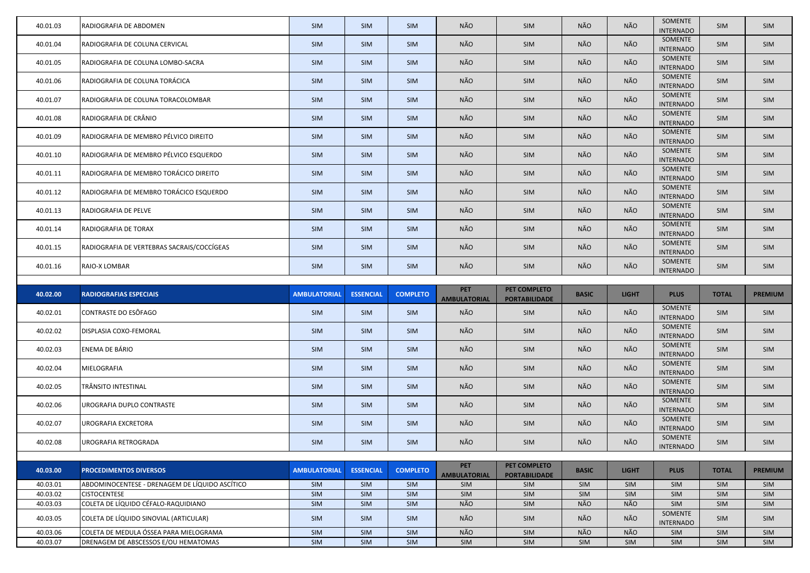| 40.01.03             | RADIOGRAFIA DE ABDOMEN                                                         | SIM                 | <b>SIM</b>       | SIM               | NÃO                               | SIM                                  | NÃO          | NÃO          | SOMENTE<br><b>INTERNADO</b> | <b>SIM</b>   | SIM            |
|----------------------|--------------------------------------------------------------------------------|---------------------|------------------|-------------------|-----------------------------------|--------------------------------------|--------------|--------------|-----------------------------|--------------|----------------|
| 40.01.04             | RADIOGRAFIA DE COLUNA CERVICAL                                                 | <b>SIM</b>          | <b>SIM</b>       | SIM               | NÃO                               | SIM                                  | NÃO          | NÃO          | SOMENTE<br><b>INTERNADO</b> | <b>SIM</b>   | <b>SIM</b>     |
| 40.01.05             | RADIOGRAFIA DE COLUNA LOMBO-SACRA                                              | SIM                 | SIM              | SIM               | NÃO                               | SIM                                  | NÃO          | NÃO          | SOMENTE<br><b>INTERNADO</b> | SIM          | SIM            |
| 40.01.06             | RADIOGRAFIA DE COLUNA TORÁCICA                                                 | SIM                 | SIM              | SIM               | NÃO                               | SIM                                  | NÃO          | NÃO          | SOMENTE<br><b>INTERNADO</b> | SIM          | <b>SIM</b>     |
| 40.01.07             | RADIOGRAFIA DE COLUNA TORACOLOMBAR                                             | SIM                 | SIM              | SIM               | NÃO                               | SIM                                  | NÃO          | NÃO          | SOMENTE<br><b>INTERNADO</b> | <b>SIM</b>   | SIM            |
| 40.01.08             | RADIOGRAFIA DE CRÂNIO                                                          | SIM                 | SIM              | SIM               | NÃO                               | SIM                                  | NÃO          | NÃO          | SOMENTE<br><b>INTERNADO</b> | <b>SIM</b>   | SIM            |
| 40.01.09             | RADIOGRAFIA DE MEMBRO PÉLVICO DIREITO                                          | SIM                 | SIM              | SIM               | NÃO                               | SIM                                  | NÃO          | NÃO          | SOMENTE<br><b>INTERNADO</b> | <b>SIM</b>   | SIM            |
| 40.01.10             | RADIOGRAFIA DE MEMBRO PÉLVICO ESQUERDO                                         | SIM                 | SIM              | SIM               | NÃO                               | SIM                                  | NÃO          | NÃO          | SOMENTE<br><b>INTERNADO</b> | SIM          | SIM            |
| 40.01.11             | RADIOGRAFIA DE MEMBRO TORÁCICO DIREITO                                         | SIM                 | SIM              | SIM               | NÃO                               | SIM                                  | NÃO          | NÃO          | SOMENTE<br><b>INTERNADO</b> | <b>SIM</b>   | SIM            |
| 40.01.12             | RADIOGRAFIA DE MEMBRO TORÁCICO ESQUERDO                                        | SIM                 | SIM              | SIM               | NÃO                               | SIM                                  | NÃO          | NÃO          | SOMENTE<br><b>INTERNADO</b> | SIM          | SIM            |
| 40.01.13             | RADIOGRAFIA DE PELVE                                                           | SIM                 | SIM              | SIM               | NÃO                               | SIM                                  | NÃO          | NÃO          | SOMENTE<br><b>INTERNADO</b> | SIM          | SIM            |
| 40.01.14             | RADIOGRAFIA DE TORAX                                                           | SIM                 | SIM              | SIM               | NÃO                               | SIM                                  | NÃO          | NÃO          | SOMENTE<br><b>INTERNADO</b> | SIM          | SIM            |
| 40.01.15             | RADIOGRAFIA DE VERTEBRAS SACRAIS/COCCÍGEAS                                     | SIM                 | SIM              | SIM               | NÃO                               | SIM                                  | NÃO          | NÃO          | SOMENTE<br><b>INTERNADO</b> | SIM          | SIM            |
| 40.01.16             | RAIO-X LOMBAR                                                                  | <b>SIM</b>          | SIM              | SIM               | NÃO                               | SIM                                  | NÃO          | NÃO          | SOMENTE<br><b>INTERNADO</b> | SIM          | SIM            |
|                      |                                                                                |                     |                  |                   |                                   |                                      |              |              |                             |              |                |
|                      |                                                                                |                     |                  |                   |                                   |                                      |              |              |                             |              |                |
| 40.02.00             | <b>RADIOGRAFIAS ESPECIAIS</b>                                                  | <b>AMBULATORIAL</b> | <b>ESSENCIAL</b> | <b>COMPLETO</b>   | <b>PET</b><br><b>AMBULATORIAL</b> | PET COMPLETO<br><b>PORTABILIDADE</b> | <b>BASIC</b> | <b>LIGHT</b> | <b>PLUS</b>                 | <b>TOTAL</b> | <b>PREMIUM</b> |
| 40.02.01             | CONTRASTE DO ESÔFAGO                                                           | SIM                 | <b>SIM</b>       | SIM               | NÃO                               | SIM                                  | NÃO          | NÃO          | SOMENTE<br><b>INTERNADO</b> | <b>SIM</b>   | SIM            |
| 40.02.02             | DISPLASIA COXO-FEMORAL                                                         | <b>SIM</b>          | SIM              | SIM               | NÃO                               | SIM                                  | NÃO          | NÃO          | SOMENTE<br><b>INTERNADO</b> | <b>SIM</b>   | <b>SIM</b>     |
| 40.02.03             | ENEMA DE BÁRIO                                                                 | <b>SIM</b>          | <b>SIM</b>       | SIM               | NÃO                               | SIM                                  | NÃO          | NÃO          | SOMENTE<br><b>INTERNADO</b> | <b>SIM</b>   | <b>SIM</b>     |
| 40.02.04             | MIELOGRAFIA                                                                    | SIM                 | SIM              | SIM               | NÃO                               | SIM                                  | NÃO          | NÃO          | SOMENTE<br><b>INTERNADO</b> | SIM          | SIM            |
| 40.02.05             | TRÂNSITO INTESTINAL                                                            | SIM                 | <b>SIM</b>       | <b>SIM</b>        | NÃO                               | <b>SIM</b>                           | NÃO          | NÃO          | SOMENTE<br><b>INTERNADO</b> | <b>SIM</b>   | <b>SIM</b>     |
| 40.02.06             | UROGRAFIA DUPLO CONTRASTE                                                      | SIM                 | SIM              | SIM               | NÃO                               | SIM                                  | NÃO          | NÃO          | SOMENTE<br><b>INTERNADO</b> | SIM          | SIM            |
| 40.02.07             | UROGRAFIA EXCRETORA                                                            | SIM                 | <b>SIM</b>       | SIM               | NÃO                               | SIM                                  | NÃO          | NÃO          | SOMENTE<br><b>INTERNADO</b> | <b>SIM</b>   | SIM            |
| 40.02.08             | <b>UROGRAFIA RETROGRADA</b>                                                    | <b>SIM</b>          | SIM              | SIM               | NÃO                               | SIM                                  | NÃO          | NÃO          | SOMENTE<br><b>INTERNADO</b> | SIM          | SIM            |
|                      |                                                                                |                     |                  |                   |                                   |                                      |              |              |                             |              |                |
| 40.03.00             | <b>PROCEDIMENTOS DIVERSOS</b>                                                  | <b>AMBULATORIAL</b> | <b>ESSENCIAL</b> | <b>COMPLETO</b>   | <b>PET</b><br><b>AMBULATORIAL</b> | PET COMPLETO<br><b>PORTABILIDADE</b> | <b>BASIC</b> | <b>LIGHT</b> | <b>PLUS</b>                 | <b>TOTAL</b> | <b>PREMIUM</b> |
| 40.03.01             | ABDOMINOCENTESE - DRENAGEM DE LÍQUIDO ASCÍTICO                                 | SIM                 | SIM              | SIM               | SIM                               | SIM                                  | SIM          | SIM          | SIM                         | SIM          | SIM            |
| 40.03.02             | <b>CISTOCENTESE</b>                                                            | SIM                 | SIM              | SIM               | SIM                               | SIM                                  | <b>SIM</b>   | SIM          | SIM                         | SIM          | SIM            |
| 40.03.03             | COLETA DE LÍQUIDO CÉFALO-RAQUIDIANO                                            | SIM                 | SIM              | SIM               | NÃO                               | SIM                                  | NÃO          | NÃO          | SIM                         | <b>SIM</b>   | SIM            |
| 40.03.05             | COLETA DE LÍQUIDO SINOVIAL (ARTICULAR)                                         | SIM                 | <b>SIM</b>       | <b>SIM</b>        | NÃO                               | SIM                                  | NÃO          | NÃO          | SOMENTE<br><b>INTERNADO</b> | SIM          | <b>SIM</b>     |
| 40.03.06<br>40.03.07 | COLETA DE MEDULA ÓSSEA PARA MIELOGRAMA<br>DRENAGEM DE ABSCESSOS E/OU HEMATOMAS | SIM<br>SIM          | SIM<br>SIM       | SIM<br><b>SIM</b> | NÃO<br>SIM                        | SIM<br>SIM                           | NÃO<br>SIM   | NÃO<br>SIM   | SIM<br>SIM                  | SIM<br>SIM   | SIM<br>SIM     |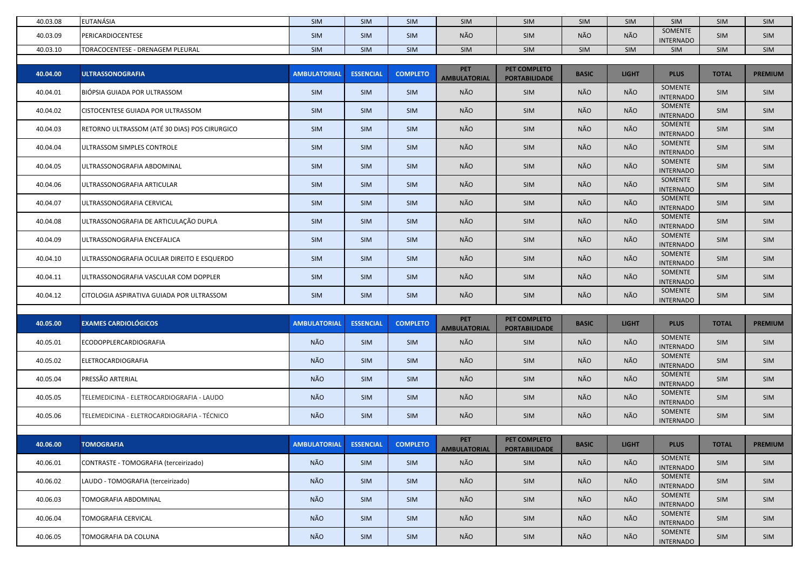| 40.03.08 | <b>EUTANÁSIA</b>                              | <b>SIM</b>          | <b>SIM</b>       | SIM             | SIM                               | SIM                                  | <b>SIM</b>   | <b>SIM</b>   | SIM                         | <b>SIM</b>   | <b>SIM</b>     |
|----------|-----------------------------------------------|---------------------|------------------|-----------------|-----------------------------------|--------------------------------------|--------------|--------------|-----------------------------|--------------|----------------|
| 40.03.09 | PERICARDIOCENTESE                             | SIM                 | <b>SIM</b>       | SIM             | NÃO                               | SIM                                  | NÃO          | NÃO          | SOMENTE<br><b>INTERNADO</b> | <b>SIM</b>   | SIM            |
| 40.03.10 | TORACOCENTESE - DRENAGEM PLEURAL              | SIM                 | SIM              | SIM             | SIM                               | SIM                                  | SIM          | SIM          | SIM                         | SIM          | SIM            |
|          |                                               |                     |                  |                 | <b>PET</b>                        | PET COMPLETO                         |              |              |                             |              |                |
| 40.04.00 | <b>ULTRASSONOGRAFIA</b>                       | <b>AMBULATORIAL</b> | <b>ESSENCIAL</b> | <b>COMPLETO</b> | <b>AMBULATORIAL</b>               | <b>PORTABILIDADE</b>                 | <b>BASIC</b> | <b>LIGHT</b> | <b>PLUS</b>                 | <b>TOTAL</b> | <b>PREMIUM</b> |
| 40.04.01 | BIÓPSIA GUIADA POR ULTRASSOM                  | <b>SIM</b>          | <b>SIM</b>       | SIM             | NÃO                               | SIM                                  | NÃO          | NÃO          | SOMENTE<br><b>INTERNADO</b> | <b>SIM</b>   | <b>SIM</b>     |
| 40.04.02 | <b>CISTOCENTESE GUIADA POR ULTRASSOM</b>      | SIM                 | <b>SIM</b>       | SIM             | NÃO                               | SIM                                  | NÃO          | NÃO          | SOMENTE<br><b>INTERNADO</b> | <b>SIM</b>   | SIM            |
| 40.04.03 | RETORNO ULTRASSOM (ATÉ 30 DIAS) POS CIRURGICO | <b>SIM</b>          | <b>SIM</b>       | SIM             | NÃO                               | <b>SIM</b>                           | NÃO          | NÃO          | SOMENTE<br><b>INTERNADO</b> | <b>SIM</b>   | <b>SIM</b>     |
| 40.04.04 | ULTRASSOM SIMPLES CONTROLE                    | SIM                 | SIM              | SIM             | NÃO                               | <b>SIM</b>                           | NÃO          | NÃO          | SOMENTE<br><b>INTERNADO</b> | <b>SIM</b>   | SIM            |
| 40.04.05 | ULTRASSONOGRAFIA ABDOMINAL                    | SIM                 | SIM              | SIM             | NÃO                               | SIM                                  | NÃO          | NÃO          | SOMENTE<br><b>INTERNADO</b> | SIM          | <b>SIM</b>     |
| 40.04.06 | ULTRASSONOGRAFIA ARTICULAR                    | SIM                 | <b>SIM</b>       | SIM             | NÃO                               | SIM                                  | NÃO          | NÃO          | SOMENTE<br><b>INTERNADO</b> | <b>SIM</b>   | <b>SIM</b>     |
| 40.04.07 | ULTRASSONOGRAFIA CERVICAL                     | SIM                 | <b>SIM</b>       | SIM             | NÃO                               | SIM                                  | NÃO          | NÃO          | SOMENTE<br><b>INTERNADO</b> | <b>SIM</b>   | <b>SIM</b>     |
| 40.04.08 | ULTRASSONOGRAFIA DE ARTICULAÇÃO DUPLA         | <b>SIM</b>          | <b>SIM</b>       | SIM             | NÃO                               | <b>SIM</b>                           | NÃO          | NÃO          | SOMENTE<br><b>INTERNADO</b> | <b>SIM</b>   | SIM            |
| 40.04.09 | ULTRASSONOGRAFIA ENCEFALICA                   | SIM                 | <b>SIM</b>       | SIM             | NÃO                               | SIM                                  | NÃO          | NÃO          | SOMENTE<br><b>INTERNADO</b> | <b>SIM</b>   | <b>SIM</b>     |
| 40.04.10 | ULTRASSONOGRAFIA OCULAR DIREITO E ESQUERDO    | SIM                 | <b>SIM</b>       | SIM             | NÃO                               | SIM                                  | NÃO          | NÃO          | SOMENTE<br><b>INTERNADO</b> | <b>SIM</b>   | <b>SIM</b>     |
| 40.04.11 | ULTRASSONOGRAFIA VASCULAR COM DOPPLER         | SIM                 | SIM              | SIM             | NÃO                               | <b>SIM</b>                           | NÃO          | NÃO          | SOMENTE<br><b>INTERNADO</b> | <b>SIM</b>   | <b>SIM</b>     |
| 40.04.12 | CITOLOGIA ASPIRATIVA GUIADA POR ULTRASSOM     | <b>SIM</b>          | <b>SIM</b>       | SIM             | NÃO                               | SIM                                  | NÃO          | NÃO          | SOMENTE<br><b>INTERNADO</b> | <b>SIM</b>   | <b>SIM</b>     |
|          |                                               |                     |                  |                 |                                   |                                      |              |              |                             |              |                |
| 40.05.00 | <b>EXAMES CARDIOLÓGICOS</b>                   | <b>AMBULATORIAL</b> | <b>ESSENCIAL</b> | <b>COMPLETO</b> | <b>PET</b><br><b>AMBULATORIAL</b> | PET COMPLETO<br><b>PORTABILIDADE</b> | <b>BASIC</b> | <b>LIGHT</b> | <b>PLUS</b>                 | <b>TOTAL</b> | <b>PREMIUM</b> |
| 40.05.01 | <b>ECODOPPLERCARDIOGRAFIA</b>                 | NÃO                 | SIM              | SIM             | NÃO                               | SIM                                  | NÃO          | NÃO          | SOMENTE<br><b>INTERNADO</b> | <b>SIM</b>   | <b>SIM</b>     |
| 40.05.02 | <b>ELETROCARDIOGRAFIA</b>                     | NÃO                 | <b>SIM</b>       | <b>SIM</b>      | NÃO                               | <b>SIM</b>                           | NÃO          | NÃO          | SOMENTE<br><b>INTERNADO</b> | <b>SIM</b>   | <b>SIM</b>     |
| 40.05.04 | PRESSÃO ARTERIAL                              | NÃO                 | SIM              | SIM             | NÃO                               | <b>SIM</b>                           | NÃO          | NÃO          | SOMENTE<br><b>INTERNADO</b> | <b>SIM</b>   | <b>SIM</b>     |
| 40.05.05 | TELEMEDICINA - ELETROCARDIOGRAFIA - LAUDO     | NÃO                 | <b>SIM</b>       | <b>SIM</b>      | NÃO                               | SIM                                  | NÃO          | NÃO          | SOMENTE<br><b>INTERNADO</b> | <b>SIM</b>   | SIM            |
| 40.05.06 | TELEMEDICINA - ELETROCARDIOGRAFIA - TÉCNICO   | NÃO                 | SIM              | SIM             | NÃO                               | SIM                                  | NÃO          | NÃO          | SOMENTE<br><b>INTERNADO</b> | SIM          | SIM            |
|          |                                               |                     |                  |                 |                                   |                                      |              |              |                             |              |                |
| 40.06.00 | <b>TOMOGRAFIA</b>                             | <b>AMBULATORIAL</b> | <b>ESSENCIAL</b> | <b>COMPLETO</b> | <b>PET</b><br><b>AMBULATORIAL</b> | PET COMPLETO<br><b>PORTABILIDADE</b> | <b>BASIC</b> | <b>LIGHT</b> | <b>PLUS</b>                 | <b>TOTAL</b> | <b>PREMIUM</b> |
| 40.06.01 | CONTRASTE - TOMOGRAFIA (terceirizado)         | NÃO                 | SIM              | SIM             | NÃO                               | SIM                                  | NÃO          | NÃO          | SOMENTE<br><b>INTERNADO</b> | SIM          | SIM            |
| 40.06.02 | LAUDO - TOMOGRAFIA (terceirizado)             | NÃO                 | <b>SIM</b>       | SIM             | NÃO                               | SIM                                  | NÃO          | NÃO          | SOMENTE<br><b>INTERNADO</b> | <b>SIM</b>   | SIM            |
| 40.06.03 | <b>TOMOGRAFIA ABDOMINAL</b>                   | NÃO                 | SIM              | SIM             | NÃO                               | SIM                                  | NÃO          | NÃO          | SOMENTE<br><b>INTERNADO</b> | <b>SIM</b>   | SIM            |
| 40.06.04 | TOMOGRAFIA CERVICAL                           | NÃO                 | SIM              | SIM             | NÃO                               | SIM                                  | NÃO          | NÃO          | SOMENTE<br><b>INTERNADO</b> | <b>SIM</b>   | <b>SIM</b>     |
|          |                                               |                     |                  |                 |                                   |                                      |              |              |                             |              |                |
| 40.06.05 | TOMOGRAFIA DA COLUNA                          | NÃO                 | SIM              | SIM             | NÃO                               | SIM                                  | NÃO          | NÃO          | SOMENTE<br><b>INTERNADO</b> | <b>SIM</b>   | SIM            |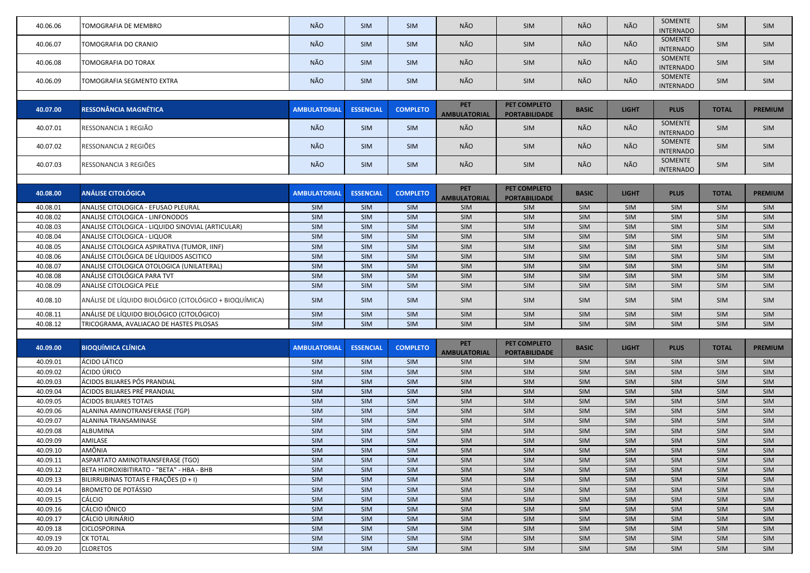| 40.06.06 | TOMOGRAFIA DE MEMBRO                                   | NÃO                 | SIM              | <b>SIM</b>      | NÃO                               | SIM                                  | NÃO          | NÃO          | SOMENTE                     | <b>SIM</b>   | <b>SIM</b>     |
|----------|--------------------------------------------------------|---------------------|------------------|-----------------|-----------------------------------|--------------------------------------|--------------|--------------|-----------------------------|--------------|----------------|
|          |                                                        |                     |                  |                 |                                   |                                      |              |              | <b>INTERNADO</b>            |              |                |
| 40.06.07 | TOMOGRAFIA DO CRANIO                                   | NÃO                 | SIM              | SIM             | NÃO                               | SIM                                  | NÃO          | NÃO          | SOMENTE                     | <b>SIM</b>   | SIM            |
|          |                                                        |                     |                  |                 |                                   |                                      |              |              | <b>INTERNADO</b><br>SOMENTE |              |                |
| 40.06.08 | TOMOGRAFIA DO TORAX                                    | NÃO                 | SIM              | SIM             | NÃO                               | SIM                                  | NÃO          | NÃO          | <b>INTERNADO</b>            | <b>SIM</b>   | <b>SIM</b>     |
|          |                                                        |                     |                  |                 |                                   |                                      |              | NÃO          | SOMENTE                     |              |                |
| 40.06.09 | TOMOGRAFIA SEGMENTO EXTRA                              | NÃO                 | <b>SIM</b>       | SIM             | NÃO                               | SIM                                  | NÃO          |              | <b>INTERNADO</b>            | <b>SIM</b>   | <b>SIM</b>     |
|          |                                                        |                     |                  |                 |                                   |                                      |              |              |                             |              |                |
| 40.07.00 | <b>RESSONÂNCIA MAGNÉTICA</b>                           | <b>AMBULATORIAL</b> | <b>ESSENCIAL</b> | <b>COMPLETO</b> | <b>PET</b><br><b>AMBULATORIAL</b> | PET COMPLETO<br><b>PORTABILIDADE</b> | <b>BASIC</b> | <b>LIGHT</b> | <b>PLUS</b>                 | <b>TOTAL</b> | <b>PREMIUM</b> |
|          | RESSONANCIA 1 REGIÃO                                   | NÃO                 |                  | SIM             | NÃO                               |                                      | NÃO          | NÃO          | SOMENTE                     | <b>SIM</b>   |                |
| 40.07.01 |                                                        |                     | <b>SIM</b>       |                 |                                   | SIM                                  |              |              | <b>INTERNADO</b>            |              | SIM            |
| 40.07.02 | RESSONANCIA 2 REGIÕES                                  | NÃO                 | <b>SIM</b>       | SIM             | NÃO                               | SIM                                  | NÃO          | NÃO          | SOMENTE                     | <b>SIM</b>   | <b>SIM</b>     |
|          |                                                        |                     |                  |                 |                                   |                                      |              |              | <b>INTERNADO</b><br>SOMENTE |              |                |
| 40.07.03 | RESSONANCIA 3 REGIÕES                                  | NÃO                 | SIM              | SIM             | NÃO                               | SIM                                  | NÃO          | NÃO          | <b>INTERNADO</b>            | <b>SIM</b>   | <b>SIM</b>     |
|          |                                                        |                     |                  |                 |                                   |                                      |              |              |                             |              |                |
| 40.08.00 | <b>ANÁLISE CITOLÓGICA</b>                              | <b>AMBULATORIAL</b> | <b>ESSENCIAL</b> | <b>COMPLETO</b> | <b>PET</b>                        | PET COMPLETO                         | <b>BASIC</b> | <b>LIGHT</b> | <b>PLUS</b>                 | <b>TOTAL</b> | <b>PREMIUM</b> |
|          |                                                        |                     |                  |                 | <b>AMBULATORIAL</b>               | <b>PORTABILIDADE</b>                 |              |              |                             |              |                |
| 40.08.01 | ANALISE CITOLOGICA - EFUSAO PLEURAL                    | SIM                 | SIM              | SIM             | SIM                               | SIM                                  | SIM          | SIM          | SIM                         | SIM          | <b>SIM</b>     |
| 40.08.02 | ANALISE CITOLOGICA - LINFONODOS                        | SIM                 | <b>SIM</b>       | SIM             | SIM                               | SIM                                  | <b>SIM</b>   | SIM          | SIM                         | <b>SIM</b>   | <b>SIM</b>     |
| 40.08.03 | ANALISE CITOLOGICA - LIQUIDO SINOVIAL (ARTICULAR)      | SIM                 | <b>SIM</b>       | SIM             | SIM                               | SIM                                  | <b>SIM</b>   | SIM          | SIM                         | <b>SIM</b>   | <b>SIM</b>     |
| 40.08.04 | ANALISE CITOLOGICA - LIQUOR                            | SIM                 | SIM              | SIM             | SIM                               | SIM                                  | <b>SIM</b>   | SIM          | SIM                         | SIM          | <b>SIM</b>     |
| 40.08.05 | ANALISE CITOLOGICA ASPIRATIVA (TUMOR, IINF)            | <b>SIM</b>          | SIM              | SIM             | SIM                               | SIM                                  | SIM          | SIM          | SIM                         | <b>SIM</b>   | <b>SIM</b>     |
| 40.08.06 | ANÁLISE CITOLÓGICA DE LÍQUIDOS ASCITICO                | SIM                 | SIM              | SIM             | SIM                               | SIM                                  | SIM          | SIM          | SIM                         | SIM          | SIM            |
| 40.08.07 | ANALISE CITOLOGICA OTOLOGICA (UNILATERAL)              | SIM                 | SIM              | SIM             | SIM                               | SIM                                  | SIM          | SIM          | SIM                         | SIM          | SIM            |
| 40.08.08 | ANÁLISE CITOLÓGICA PARA TVT                            | <b>SIM</b>          | SIM              | SIM             | SIM                               | SIM                                  | <b>SIM</b>   | SIM          | SIM                         | SIM          | <b>SIM</b>     |
| 40.08.09 | ANALISE CITOLOGICA PELE                                | <b>SIM</b>          | SIM              | SIM             | SIM                               | SIM                                  | <b>SIM</b>   | SIM          | SIM                         | SIM          | <b>SIM</b>     |
| 40.08.10 | ANÁLISE DE LÍQUIDO BIOLÓGICO (CITOLÓGICO + BIOQUÍMICA) | SIM                 | SIM              | SIM             | SIM                               | SIM                                  | <b>SIM</b>   | <b>SIM</b>   | SIM                         | SIM          | <b>SIM</b>     |
| 40.08.11 | ANÁLISE DE LÍQUIDO BIOLÓGICO (CITOLÓGICO)              | SIM                 | SIM              | <b>SIM</b>      | SIM                               | SIM                                  | <b>SIM</b>   | SIM          | SIM                         | SIM          | <b>SIM</b>     |
| 40.08.12 | TRICOGRAMA, AVALIACAO DE HASTES PILOSAS                | <b>SIM</b>          | SIM              | <b>SIM</b>      | SIM                               | SIM                                  | <b>SIM</b>   | SIM          | SIM                         | SIM          | <b>SIM</b>     |
|          |                                                        |                     |                  |                 |                                   |                                      |              |              |                             |              |                |
| 40.09.00 | <b>BIOQUÍMICA CLÍNICA</b>                              | <b>AMBULATORIAL</b> | <b>ESSENCIAL</b> | <b>COMPLETO</b> | <b>PET</b>                        | PET COMPLETO                         | <b>BASIC</b> | <b>LIGHT</b> | <b>PLUS</b>                 | <b>TOTAL</b> | <b>PREMIUM</b> |
| 40.09.01 | ÁCIDO LÁTICO                                           | SIM                 | <b>SIM</b>       | <b>SIM</b>      | <b>AMBULATORIAL</b><br>SIM        | <b>PORTABILIDADE</b><br>SIM          | <b>SIM</b>   | SIM          | SIM                         | SIM          | <b>SIM</b>     |
| 40.09.02 | ÁCIDO ÚRICO                                            | SIM                 | SIM              | SIM             | SIM                               | SIM                                  | SIM          | SIM          | SIM                         | SIM          | SIM            |
| 40.09.03 | ÁCIDOS BILIARES PÓS PRANDIAL                           | SIM                 | SIM              | SIM             | SIM                               | SIM                                  | SIM          | <b>SIM</b>   | SIM                         | SIM          | <b>SIM</b>     |
| 40.09.04 | ÁCIDOS BILIARES PRÉ PRANDIAL                           | <b>SIM</b>          | SIM              | SIM             | SIM                               | SIM                                  | SIM          | SIM          | SIM                         | SIM          | <b>SIM</b>     |
| 40.09.05 | <b>ÁCIDOS BILIARES TOTAIS</b>                          | SIM                 | SIM              | SIM             | SIM                               | SIM                                  | SIM          | SIM          | SIM                         | SIM          | <b>SIM</b>     |
| 40.09.06 | ALANINA AMINOTRANSFERASE (TGP)                         | SIM                 | SIM              | SIM             | SIM                               | SIM                                  | SIM          | SIM          | SIM                         | SIM          | <b>SIM</b>     |
| 40.09.07 | ALANINA TRANSAMINASE                                   | SIM                 | SIM              | SIM             | SIM                               | SIM                                  | SIM          | SIM          | SIM                         | SIM          | SIM            |
| 40.09.08 | ALBUMINA                                               | SIM                 | SIM              | SIM             | SIM                               | SIM                                  | SIM          | <b>SIM</b>   | SIM                         | SIM          | <b>SIM</b>     |
| 40.09.09 | AMILASE                                                | <b>SIM</b>          | SIM              | SIM             | SIM                               | SIM                                  | <b>SIM</b>   | <b>SIM</b>   | SIM                         | <b>SIM</b>   | <b>SIM</b>     |
| 40.09.10 | AMÔNIA                                                 | SIM                 | SIM              | SIM             | SIM                               | SIM                                  | SIM          | SIM          | SIM                         | SIM          | SIM            |
| 40.09.11 | ASPARTATO AMINOTRANSFERASE (TGO)                       | SIM                 | SIM              | SIM             | SIM                               | SIM                                  | SIM          | SIM          | SIM                         | <b>SIM</b>   | <b>SIM</b>     |
| 40.09.12 | BETA HIDROXIBITIRATO - "BETA" - HBA - BHB              | <b>SIM</b>          | SIM              | SIM             | SIM                               | SIM                                  | <b>SIM</b>   | SIM          | SIM                         | <b>SIM</b>   | <b>SIM</b>     |
| 40.09.13 | BILIRRUBINAS TOTAIS E FRAÇÕES (D + I)                  | SIM                 | SIM              | SIM             | SIM                               | SIM                                  | <b>SIM</b>   | SIM          | SIM                         | <b>SIM</b>   | <b>SIM</b>     |
| 40.09.14 | <b>BROMETO DE POTÁSSIO</b>                             | SIM                 | SIM              | SIM             | SIM                               | SIM                                  | <b>SIM</b>   | SIM          | SIM                         | SIM          | <b>SIM</b>     |
| 40.09.15 | <b>CÁLCIO</b>                                          | SIM                 | SIM              | SIM             | SIM                               | SIM                                  | SIM          | SIM          | SIM                         | SIM          | <b>SIM</b>     |
| 40.09.16 | CÁLCIO IÔNICO                                          | SIM                 | SIM              | SIM             | SIM                               | SIM                                  | SIM          | SIM          | SIM                         | SIM          | <b>SIM</b>     |
| 40.09.17 | CÁLCIO URINÁRIO                                        | SIM                 | SIM              | SIM             | SIM                               | SIM                                  | SIM          | SIM          | SIM                         | SIM          | <b>SIM</b>     |
| 40.09.18 | CICLOSPORINA                                           | SIM                 | SIM              | SIM             | SIM                               | SIM                                  | SIM          | SIM          | SIM                         | SIM          | <b>SIM</b>     |
| 40.09.19 | <b>CK TOTAL</b>                                        | SIM                 | SIM              | SIM             | SIM                               | SIM                                  | <b>SIM</b>   | <b>SIM</b>   | SIM                         | <b>SIM</b>   | <b>SIM</b>     |
| 40.09.20 | <b>CLORETOS</b>                                        | SIM                 | SIM              | SIM             | SIM                               | SIM                                  | SIM          | SIM          | SIM                         | SIM          | SIM            |
|          |                                                        |                     |                  |                 |                                   |                                      |              |              |                             |              |                |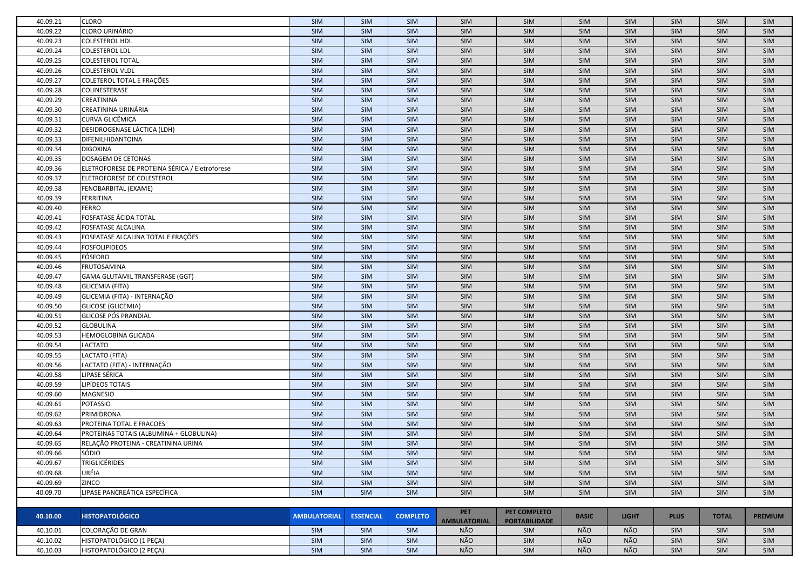| 40.09.21 | <b>CLORO</b>                                   | SIM                 | SIM              | <b>SIM</b>      | SIM                               | SIM                                  | SIM          | <b>SIM</b>   | <b>SIM</b>  | <b>SIM</b>   | <b>SIM</b>     |
|----------|------------------------------------------------|---------------------|------------------|-----------------|-----------------------------------|--------------------------------------|--------------|--------------|-------------|--------------|----------------|
| 40.09.22 | <b>CLORO URINÁRIO</b>                          | SIM                 | SIM              | <b>SIM</b>      | SIM                               | SIM                                  | <b>SIM</b>   | <b>SIM</b>   | SIM         | SIM          | <b>SIM</b>     |
| 40.09.23 | <b>COLESTEROL HDL</b>                          | SIM                 | SIM              | SIM             | SIM                               | SIM                                  | SIM          | SIM          | SIM         | <b>SIM</b>   | <b>SIM</b>     |
| 40.09.24 | <b>COLESTEROL LDL</b>                          | SIM                 | SIM              | <b>SIM</b>      | SIM                               | SIM                                  | SIM          | <b>SIM</b>   | SIM         | <b>SIM</b>   | <b>SIM</b>     |
| 40.09.25 | <b>COLESTEROL TOTAL</b>                        | SIM                 | SIM              | <b>SIM</b>      | SIM                               | SIM                                  | SIM          | <b>SIM</b>   | SIM         | <b>SIM</b>   | <b>SIM</b>     |
| 40.09.26 | <b>COLESTEROL VLDL</b>                         | SIM                 | SIM              | <b>SIM</b>      | SIM                               | SIM                                  | <b>SIM</b>   | <b>SIM</b>   | SIM         | SIM          | <b>SIM</b>     |
| 40.09.27 | COLETEROL TOTAL E FRAÇÕES                      | SIM                 | SIM              | <b>SIM</b>      | SIM                               | SIM                                  | SIM          | <b>SIM</b>   | SIM         | <b>SIM</b>   | <b>SIM</b>     |
| 40.09.28 | COLINESTERASE                                  | SIM                 | SIM              | <b>SIM</b>      | SIM                               | SIM                                  | SIM          | <b>SIM</b>   | SIM         | SIM          | <b>SIM</b>     |
| 40.09.29 | CREATININA                                     | SIM                 | SIM              | SIM             | SIM                               | SIM                                  | SIM          | <b>SIM</b>   | SIM         | <b>SIM</b>   | <b>SIM</b>     |
| 40.09.30 | CREATININA URINÁRIA                            | SIM                 | SIM              | SIM             | SIM                               | SIM                                  | SIM          | SIM          | SIM         | SIM          | SIM            |
| 40.09.31 | <b>CURVA GLICÊMICA</b>                         | SIM                 | SIM              | SIM             | SIM                               | SIM                                  | SIM          | SIM          | SIM         | SIM          | SIM            |
| 40.09.32 | DESIDROGENASE LÁCTICA (LDH)                    | SIM                 | SIM              | SIM             | SIM                               | SIM                                  | SIM          | SIM          | SIM         | SIM          | SIM            |
| 40.09.33 | DIFENILHIDANTOINA                              | SIM                 | SIM              | <b>SIM</b>      | SIM                               | SIM                                  | SIM          | <b>SIM</b>   | SIM         | SIM          | SIM            |
| 40.09.34 | <b>DIGOXINA</b>                                | SIM                 | SIM              | <b>SIM</b>      | SIM                               | SIM                                  | SIM          | SIM          | SIM         | SIM          | SIM            |
| 40.09.35 | DOSAGEM DE CETONAS                             | SIM                 | SIM              | <b>SIM</b>      | SIM                               | SIM                                  | SIM          | <b>SIM</b>   | SIM         | SIM          | <b>SIM</b>     |
| 40.09.36 | ELETROFORESE DE PROTEINA SÉRICA / Eletroforese | SIM                 | SIM              | <b>SIM</b>      | SIM                               | SIM                                  | SIM          | SIM          | SIM         | SIM          | SIM            |
| 40.09.37 | <b>ELETROFORESE DE COLESTEROL</b>              | SIM                 | SIM              | <b>SIM</b>      | SIM                               | SIM                                  | SIM          | <b>SIM</b>   | SIM         | SIM          | SIM            |
| 40.09.38 | FENOBARBITAL (EXAME)                           | SIM                 | SIM              | <b>SIM</b>      | <b>SIM</b>                        | SIM                                  | SIM          | <b>SIM</b>   | SIM         | SIM          | <b>SIM</b>     |
| 40.09.39 | FERRITINA                                      | SIM                 | SIM              | SIM             | SIM                               | SIM                                  | SIM          | SIM          | SIM         | SIM          | SIM            |
| 40.09.40 | <b>FERRO</b>                                   | SIM                 | SIM              | SIM             | SIM                               | SIM                                  | SIM          | <b>SIM</b>   | SIM         | SIM          | SIM            |
| 40.09.41 | FOSFATASE ÁCIDA TOTAL                          | SIM                 | SIM              | SIM             | SIM                               | SIM                                  | SIM          | SIM          | SIM         | SIM          | SIM            |
| 40.09.42 | <b>FOSFATASE ALCALINA</b>                      | SIM                 | SIM              | SIM             | SIM                               | SIM                                  | SIM          | SIM          | SIM         | SIM          | SIM            |
| 40.09.43 | FOSFATASE ALCALINA TOTAL E FRAÇÕES             | SIM                 | SIM              | SIM             | SIM                               | SIM                                  | SIM          | <b>SIM</b>   | SIM         | SIM          | <b>SIM</b>     |
| 40.09.44 | <b>FOSFOLIPIDEOS</b>                           | SIM                 | SIM              | <b>SIM</b>      | SIM                               | SIM                                  | SIM          | <b>SIM</b>   | SIM         | <b>SIM</b>   | <b>SIM</b>     |
| 40.09.45 | <b>FÓSFORO</b>                                 | SIM                 | SIM              | <b>SIM</b>      | SIM                               | SIM                                  | SIM          | <b>SIM</b>   | SIM         | <b>SIM</b>   | <b>SIM</b>     |
| 40.09.46 | <b>FRUTOSAMINA</b>                             | SIM                 | SIM              | <b>SIM</b>      | SIM                               | SIM                                  | SIM          | SIM          | SIM         | SIM          | SIM            |
| 40.09.47 | GAMA GLUTAMIL TRANSFERASE (GGT)                | SIM                 | SIM              | <b>SIM</b>      | SIM                               | SIM                                  | SIM          | <b>SIM</b>   | SIM         | <b>SIM</b>   | <b>SIM</b>     |
| 40.09.48 | <b>GLICEMIA (FITA)</b>                         | SIM                 | SIM              | <b>SIM</b>      | <b>SIM</b>                        | <b>SIM</b>                           | SIM          | <b>SIM</b>   | SIM         | <b>SIM</b>   | <b>SIM</b>     |
| 40.09.49 | GLICEMIA (FITA) - INTERNAÇÃO                   | SIM                 | SIM              | <b>SIM</b>      | SIM                               | SIM                                  | SIM          | SIM          | SIM         | <b>SIM</b>   | <b>SIM</b>     |
| 40.09.50 | <b>GLICOSE (GLICEMIA)</b>                      | SIM                 | SIM              | SIM             | SIM                               | SIM                                  | SIM          | SIM          | SIM         | SIM          | SIM            |
| 40.09.51 | <b>GLICOSE PÓS PRANDIAL</b>                    | SIM                 | SIM              | SIM             | SIM                               | SIM                                  | SIM          | SIM          | SIM         | SIM          | SIM            |
| 40.09.52 | <b>GLOBULINA</b>                               | SIM                 | SIM              | SIM             | SIM                               | SIM                                  | SIM          | SIM          | SIM         | SIM          | SIM            |
| 40.09.53 | HEMOGLOBINA GLICADA                            | SIM                 | SIM              | SIM             | SIM                               | SIM                                  | SIM          | SIM          | SIM         | SIM          | SIM            |
| 40.09.54 | <b>LACTATO</b>                                 | SIM                 | SIM              | SIM             | SIM                               | SIM                                  | SIM          | SIM          | SIM         | SIM          | SIM            |
| 40.09.55 | LACTATO (FITA)                                 | SIM                 | SIM              | <b>SIM</b>      | SIM                               | SIM                                  | SIM          | <b>SIM</b>   | SIM         | SIM          | SIM            |
| 40.09.56 | LACTATO (FITA) - INTERNAÇÃO                    | <b>SIM</b>          | SIM              | <b>SIM</b>      | <b>SIM</b>                        | <b>SIM</b>                           | <b>SIM</b>   | <b>SIM</b>   | <b>SIM</b>  | <b>SIM</b>   | <b>SIM</b>     |
| 40.09.58 | LIPASE SÉRICA                                  | SIM                 | SIM              | SIM             | SIM                               | SIM                                  | SIM          | SIM          | SIM         | SIM          | SIM            |
| 40.09.59 | LIPÍDEOS TOTAIS                                | SIM                 | SIM              | <b>SIM</b>      | <b>SIM</b>                        | <b>SIM</b>                           | <b>SIM</b>   | <b>SIM</b>   | <b>SIM</b>  | <b>SIM</b>   | <b>SIM</b>     |
| 40.09.60 | <b>MAGNESIO</b>                                | SIM                 | SIM              | <b>SIM</b>      | SIM                               | SIM                                  | SIM          | <b>SIM</b>   | SIM         | <b>SIM</b>   | <b>SIM</b>     |
| 40.09.61 | <b>POTASSIO</b>                                | SIM                 | SIM              | <b>SIM</b>      | SIM                               | SIM                                  | SIM          | SIM          | SIM         | <b>SIM</b>   | <b>SIM</b>     |
| 40.09.62 | PRIMIDRONA                                     | SIM                 | SIM              | <b>SIM</b>      | SIM                               | SIM                                  | SIM          | <b>SIM</b>   | SIM         | SIM          | SIM            |
| 40.09.63 | PROTEINA TOTAL E FRACOES                       | SIM                 | SIM              | <b>SIM</b>      | SIM                               | SIM                                  | SIM          | SIM          | SIM         | SIM          | SIM            |
| 40.09.64 | PROTEINAS TOTAIS (ALBUMINA + GLOBULINA)        | SIM                 | SIM              | SIM             | SIM                               | SIM                                  | SIM          | SIM          | SIM         | SIM          | <b>SIM</b>     |
| 40.09.65 | RELAÇÃO PROTEINA - CREATININA URINA            | SIM                 | SIM              | SIM             | SIM                               | SIM                                  | SIM          | SIM          | SIM         | SIM          | SIM            |
| 40.09.66 | <b>SÓDIO</b>                                   | SIM                 | SIM              | SIM             | SIM                               | SIM                                  | SIM          | <b>SIM</b>   | SIM         | SIM          | SIM            |
| 40.09.67 | <b>TRIGLICÉRIDES</b>                           | SIM                 | SIM              | <b>SIM</b>      | SIM                               | <b>SIM</b>                           | SIM          | <b>SIM</b>   | SIM         | <b>SIM</b>   | <b>SIM</b>     |
| 40.09.68 | URÉIA                                          | SIM                 | SIM              | <b>SIM</b>      | SIM                               | SIM                                  | <b>SIM</b>   | <b>SIM</b>   | SIM         | <b>SIM</b>   | <b>SIM</b>     |
| 40.09.69 | <b>ZINCO</b>                                   | SIM                 | SIM              | <b>SIM</b>      | SIM                               | <b>SIM</b>                           | <b>SIM</b>   | <b>SIM</b>   | SIM         | <b>SIM</b>   | <b>SIM</b>     |
| 40.09.70 | LIPASE PANCREÁTICA ESPECÍFICA                  | SIM                 | SIM              | <b>SIM</b>      | SIM                               | SIM                                  | SIM          | SIM          | SIM         | <b>SIM</b>   | <b>SIM</b>     |
|          |                                                |                     |                  |                 |                                   |                                      |              |              |             |              |                |
| 40.10.00 | <b>HISTOPATOLÓGICO</b>                         | <b>AMBULATORIAL</b> | <b>ESSENCIAL</b> | <b>COMPLETO</b> | <b>PET</b><br><b>AMBULATORIAL</b> | PET COMPLETO<br><b>PORTABILIDADE</b> | <b>BASIC</b> | <b>LIGHT</b> | <b>PLUS</b> | <b>TOTAL</b> | <b>PREMIUM</b> |
| 40.10.01 | COLORAÇÃO DE GRAN                              | SIM                 | SIM              | SIM             | NÃO                               | SIM                                  | NÃO          | NÃO          | SIM         | SIM          | SIM            |

40.10.02 HISTOPATOLÓGICO (1 PEÇA) SIM SIM SIM NÃO SIM NÃO NÃO SIM SIM SIM 40.10.03 HISTOPATOLÓGICO(2 PEÇA) SIM | SIM | NÃO | SIM | NÃO | NÃO | SIM | SIM | SIM | SIM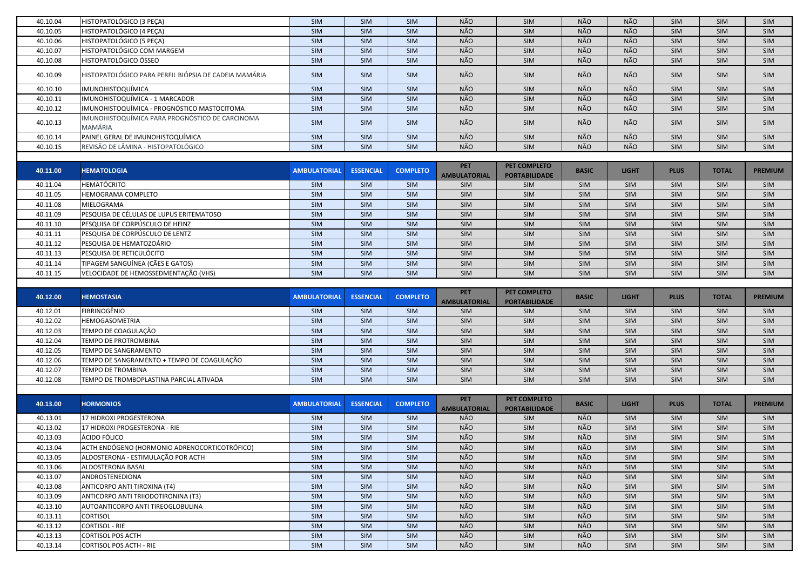| 40.10.04             | HISTOPATOLÓGICO (3 PEÇA)                                   | SIM                 | SIM              | <b>SIM</b>               | NÃO                               | SIM                                  | NÃO          | NÃO          | <b>SIM</b>        | SIM          | <b>SIM</b>               |
|----------------------|------------------------------------------------------------|---------------------|------------------|--------------------------|-----------------------------------|--------------------------------------|--------------|--------------|-------------------|--------------|--------------------------|
| 40.10.05             | HISTOPATOLÓGICO (4 PEÇA)                                   | <b>SIM</b>          | SIM              | <b>SIM</b>               | NÃO                               | <b>SIM</b>                           | NÃO          | NÃO          | <b>SIM</b>        | SIM          | <b>SIM</b>               |
| 40.10.06             | HISTOPATOLÓGICO (5 PECA)                                   | SIM                 | SIM              | <b>SIM</b>               | NÃO                               | SIM                                  | NÃO          | NÃO          | SIM               | SIM          | <b>SIM</b>               |
| 40.10.07             | HISTOPATOLÓGICO COM MARGEM                                 | SIM                 | SIM              | <b>SIM</b>               | NÃO                               | SIM                                  | NÃO          | NÃO          | SIM               | SIM          | <b>SIM</b>               |
| 40.10.08             | HISTOPATOLÓGICO ÓSSEO                                      | SIM                 | SIM              | <b>SIM</b>               | NÃO                               | SIM                                  | NÃO          | <b>NÃO</b>   | <b>SIM</b>        | SIM          | <b>SIM</b>               |
| 40.10.09             | HISTOPATOLÓGICO PARA PERFIL BIÓPSIA DE CADEIA MAMÁRIA      | <b>SIM</b>          | SIM              | <b>SIM</b>               | NÃO                               | SIM                                  | NÃO          | NÃO          | <b>SIM</b>        | SIM          | <b>SIM</b>               |
| 40.10.10             | IMUNOHISTOQUÍMICA                                          | SIM                 | SIM              | SIM                      | NÃO                               | SIM                                  | NÃO          | NÃO          | SIM               | SIM          | SIM                      |
| 40.10.11             | IMUNOHISTOQUÍMICA - 1 MARCADOR                             | SIM                 | SIM              | <b>SIM</b>               | NÃO                               | SIM                                  | NÃO          | NÃO          | SIM               | SIM          | <b>SIM</b>               |
| 40.10.12             | IMUNOHISTOQUÍMICA - PROGNÓSTICO MASTOCITOMA                | <b>SIM</b>          | SIM              | <b>SIM</b>               | NÃO                               | SIM                                  | NÃO          | NÃO          | <b>SIM</b>        | SIM          | <b>SIM</b>               |
| 40.10.13             | IMUNOHISTOQUÍMICA PARA PROGNÓSTICO DE CARCINOMA<br>MAMÁRIA | <b>SIM</b>          | <b>SIM</b>       | <b>SIM</b>               | NÃO                               | SIM                                  | NÃO          | NÃO          | <b>SIM</b>        | SIM          | <b>SIM</b>               |
| 40.10.14             | PAINEL GERAL DE IMUNOHISTOQUÍMICA                          | SIM                 | SIM              | SIM                      | NÃO                               | SIM                                  | NÃO          | NÃO          | SIM               | SIM          | SIM                      |
| 40.10.15             | REVISÃO DE LÂMINA - HISTOPATOLÓGICO                        | SIM                 | SIM              | <b>SIM</b>               | NÃO                               | SIM                                  | NÃO          | NÃO          | <b>SIM</b>        | SIM          | <b>SIM</b>               |
|                      |                                                            |                     |                  |                          |                                   |                                      |              |              |                   |              |                          |
| 40.11.00             | <b>HEMATOLOGIA</b>                                         | <b>AMBULATORIAL</b> | <b>ESSENCIAL</b> | <b>COMPLETO</b>          | <b>PET</b><br><b>AMBULATORIAL</b> | PET COMPLETO<br><b>PORTABILIDADE</b> | <b>BASIC</b> | <b>LIGHT</b> | <b>PLUS</b>       | <b>TOTAL</b> | <b>PREMIUM</b>           |
| 40.11.04             | <b>HEMATÓCRITO</b>                                         | SIM                 | SIM              | SIM                      | <b>SIM</b>                        | SIM                                  | SIM          | SIM          | <b>SIM</b>        | SIM          | <b>SIM</b>               |
| 40.11.05             | <b>HEMOGRAMA COMPLETO</b>                                  | SIM                 | SIM              | SIM                      | SIM                               | SIM                                  | SIM          | SIM          | SIM               | SIM          | <b>SIM</b>               |
| 40.11.08             | MIELOGRAMA                                                 | SIM                 | SIM              | <b>SIM</b>               | <b>SIM</b>                        | SIM                                  | <b>SIM</b>   | SIM          | <b>SIM</b>        | SIM          | <b>SIM</b>               |
| 40.11.09             | PESQUISA DE CÉLULAS DE LUPUS ERITEMATOSO                   | SIM                 | SIM              | SIM                      | SIM                               | <b>SIM</b>                           | <b>SIM</b>   | SIM          | <b>SIM</b>        | SIM          | <b>SIM</b>               |
| 40.11.10             | PESQUISA DE CORPÚSCULO DE HEINZ                            | SIM                 | SIM              | SIM                      | SIM                               | SIM                                  | SIM          | SIM          | SIM               | SIM          | <b>SIM</b>               |
| 40.11.11             | PESQUISA DE CORPÚSCULO DE LENTZ                            | SIM                 | SIM              | SIM                      | SIM                               | <b>SIM</b>                           | SIM          | SIM          | SIM               | SIM          | SIM                      |
| 40.11.12             | PESQUISA DE HEMATOZOÁRIO                                   | SIM                 | SIM              | SIM                      | SIM                               | <b>SIM</b>                           | SIM          | SIM          | SIM               | SIM          | <b>SIM</b>               |
| 40.11.13             | PESQUISA DE RETICULÓCITO                                   | SIM                 | SIM              | SIM                      | <b>SIM</b>                        | <b>SIM</b>                           | <b>SIM</b>   | SIM          | SIM               | SIM          | <b>SIM</b>               |
| 40.11.14             | TIPAGEM SANGUÍNEA (CÃES E GATOS)                           | SIM                 | SIM              | <b>SIM</b>               | SIM                               | SIM                                  | SIM          | SIM          | <b>SIM</b>        | SIM          | <b>SIM</b>               |
| 40.11.15             | VELOCIDADE DE HEMOSSEDMENTAÇÃO (VHS)                       | <b>SIM</b>          | <b>SIM</b>       | <b>SIM</b>               | <b>SIM</b>                        | <b>SIM</b>                           | <b>SIM</b>   | <b>SIM</b>   | <b>SIM</b>        | SIM          | <b>SIM</b>               |
|                      |                                                            |                     |                  |                          |                                   |                                      |              |              |                   |              |                          |
|                      |                                                            |                     |                  |                          |                                   |                                      |              |              |                   |              |                          |
| 40.12.00             | <b>HEMOSTASIA</b>                                          | <b>AMBULATORIAL</b> | <b>ESSENCIAL</b> | <b>COMPLETO</b>          | <b>PET</b><br><b>AMBULATORIAL</b> | PET COMPLETO<br><b>PORTABILIDADE</b> | <b>BASIC</b> | <b>LIGHT</b> | <b>PLUS</b>       | <b>TOTAL</b> | <b>PREMIUM</b>           |
| 40.12.01             | <b>FIBRINOGÊNIO</b>                                        | SIM                 | SIM              | <b>SIM</b>               | <b>SIM</b>                        | <b>SIM</b>                           | <b>SIM</b>   | SIM          | <b>SIM</b>        | SIM          | <b>SIM</b>               |
| 40.12.02             | <b>HEMOGASOMETRIA</b>                                      | SIM                 | SIM              | <b>SIM</b>               | <b>SIM</b>                        | SIM                                  | <b>SIM</b>   | SIM          | <b>SIM</b>        | SIM          | <b>SIM</b>               |
| 40.12.03             | TEMPO DE COAGULAÇÃO                                        | SIM                 | SIM              | <b>SIM</b>               | <b>SIM</b>                        | SIM                                  | SIM          | SIM          | SIM               | SIM          | <b>SIM</b>               |
| 40.12.04             | TEMPO DE PROTROMBINA                                       | SIM                 | SIM              | <b>SIM</b>               | <b>SIM</b>                        | SIM                                  | SIM          | SIM          | <b>SIM</b>        | SIM          | <b>SIM</b>               |
| 40.12.05             | <b>TEMPO DE SANGRAMENTO</b>                                | SIM                 | SIM              | <b>SIM</b>               | <b>SIM</b>                        | <b>SIM</b>                           | <b>SIM</b>   | SIM          | <b>SIM</b>        | SIM          | <b>SIM</b>               |
| 40.12.06             | TEMPO DE SANGRAMENTO + TEMPO DE COAGULAÇÃO                 | SIM                 | SIM              | <b>SIM</b>               | SIM                               | SIM                                  | <b>SIM</b>   | SIM          | <b>SIM</b>        | SIM          | <b>SIM</b>               |
| 40.12.07             | <b>TEMPO DE TROMBINA</b>                                   | SIM                 | <b>SIM</b>       | <b>SIM</b>               | <b>SIM</b>                        | <b>SIM</b>                           | SIM          | SIM          | <b>SIM</b>        | SIM          | <b>SIM</b>               |
| 40.12.08             | TEMPO DE TROMBOPLASTINA PARCIAL ATIVADA                    | <b>SIM</b>          | <b>SIM</b>       | <b>SIM</b>               | <b>SIM</b>                        | <b>SIM</b>                           | <b>SIM</b>   | <b>SIM</b>   | <b>SIM</b>        | <b>SIM</b>   | <b>SIM</b>               |
|                      |                                                            |                     |                  |                          |                                   |                                      |              |              |                   |              |                          |
|                      |                                                            |                     |                  |                          | <b>PET</b>                        | PET COMPLETO                         |              |              |                   |              |                          |
| 40.13.00             | <b>HORMONIOS</b>                                           | <b>AMBULATORIAL</b> | <b>ESSENCIAL</b> | <b>COMPLETO</b>          | <b>AMBULATORIAL</b>               | <b>PORTABILIDADE</b>                 | <b>BASIC</b> | <b>LIGHT</b> | <b>PLUS</b>       | <b>TOTAL</b> | <b>PREMIUM</b>           |
| 40.13.01             | 17 HIDROXI PROGESTERONA                                    | SIM                 | <b>SIM</b>       | <b>SIM</b>               | NÃO                               | SIM                                  | NÃO          | SIM          | SIM               | SIM          | SIM                      |
| 40.13.02             | 17 HIDROXI PROGESTERONA - RIE                              | SIM                 | SIM              | SIM                      | NÃO                               | <b>SIM</b>                           | NÃO          | SIM          | SIM               | SIM          | SIM                      |
| 40.13.03             | ÁCIDO FÓLICO                                               | SIM                 | SIM              | SIM                      | NÃO                               | SIM                                  | NÃO          | SIM          | SIM               | SIM          | <b>SIM</b>               |
| 40.13.04             | ACTH ENDÓGENO (HORMONIO ADRENOCORTICOTRÓFICO)              | SIM                 | SIM              | SIM                      | NÃO                               | SIM                                  | NÃO          | SIM          | <b>SIM</b>        | SIM          | <b>SIM</b>               |
| 40.13.05             | ALDOSTERONA - ESTIMULAÇÃO POR ACTH                         | SIM                 | SIM              | <b>SIM</b>               | NÃO                               | <b>SIM</b>                           | NÃO          | SIM          | <b>SIM</b>        | SIM          | <b>SIM</b>               |
| 40.13.06             | ALDOSTERONA BASAL                                          | SIM                 | SIM              | <b>SIM</b>               | NÃO                               | SIM                                  | NÃO          | <b>SIM</b>   | <b>SIM</b>        | SIM          | <b>SIM</b>               |
| 40.13.07             | ANDROSTENEDIONA                                            | SIM                 | SIM              | SIM                      | NÃO                               | SIM                                  | NÃO          | SIM          | <b>SIM</b>        | SIM          | <b>SIM</b>               |
| 40.13.08             | ANTICORPO ANTI TIROXINA (T4)                               | SIM                 | SIM              | <b>SIM</b>               | NÃO                               | SIM                                  | NÃO          | SIM          | <b>SIM</b>        | SIM          | <b>SIM</b>               |
| 40.13.09             | ANTICORPO ANTI TRIIODOTIRONINA (T3)                        | SIM                 | SIM              | <b>SIM</b>               | NÃO                               | SIM                                  | NÃO          | SIM          | <b>SIM</b>        | SIM          | <b>SIM</b>               |
| 40.13.10             | AUTOANTICORPO ANTI TIREOGLOBULINA                          | SIM                 | SIM              | <b>SIM</b>               | NÃO                               | <b>SIM</b>                           | NÃO          | SIM          | <b>SIM</b>        | SIM          | <b>SIM</b>               |
| 40.13.11             | <b>CORTISOL</b>                                            | SIM                 | SIM              | SIM                      | NÃO                               | <b>SIM</b>                           | NÃO          | SIM          | <b>SIM</b>        | SIM          | <b>SIM</b>               |
| 40.13.12             | <b>CORTISOL - RIE</b>                                      | SIM                 | SIM              | <b>SIM</b>               | NÃO                               | SIM                                  | NÃO          | SIM          | <b>SIM</b>        | SIM          | <b>SIM</b>               |
| 40.13.13<br>40.13.14 | <b>CORTISOL POS ACTH</b><br><b>CORTISOL POS ACTH - RIE</b> | SIM<br>SIM          | SIM<br>SIM       | <b>SIM</b><br><b>SIM</b> | NÃO<br>NÃO                        | SIM<br>SIM                           | NÃO<br>NÃO   | SIM<br>SIM   | <b>SIM</b><br>SIM | SIM<br>SIM   | <b>SIM</b><br><b>SIM</b> |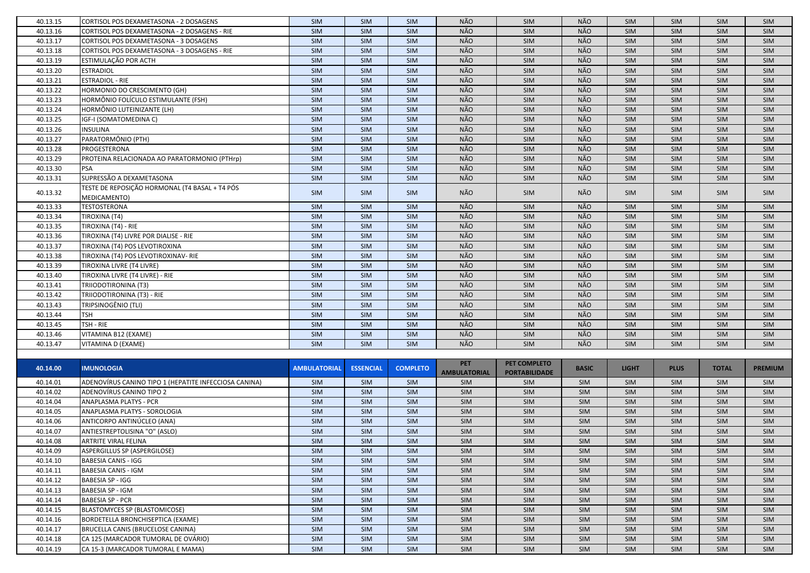| 40.13.15             | CORTISOL POS DEXAMETASONA - 2 DOSAGENS                                   | SIM                 | <b>SIM</b>       | SIM             | NÃO               | SIM                          | NÃO          | <b>SIM</b>        | <b>SIM</b>  | <b>SIM</b>        | <b>SIM</b>        |
|----------------------|--------------------------------------------------------------------------|---------------------|------------------|-----------------|-------------------|------------------------------|--------------|-------------------|-------------|-------------------|-------------------|
| 40.13.16             | CORTISOL POS DEXAMETASONA - 2 DOSAGENS - RIE                             | SIM                 | <b>SIM</b>       | SIM             | NÃO               | SIM                          | NÃO          | <b>SIM</b>        | SIM         | SIM               | <b>SIM</b>        |
| 40.13.17             | CORTISOL POS DEXAMETASONA - 3 DOSAGENS                                   | SIM                 | SIM              | SIM             | NÃO               | SIM                          | NÃO          | <b>SIM</b>        | SIM         | SIM               | <b>SIM</b>        |
| 40.13.18             | CORTISOL POS DEXAMETASONA - 3 DOSAGENS - RIE                             | SIM                 | SIM              | SIM             | NÃO               | SIM                          | NÃO          | <b>SIM</b>        | SIM         | SIM               | SIM               |
| 40.13.19             | ESTIMULAÇÃO POR ACTH                                                     | SIM                 | SIM              | SIM             | NÃO               | SIM                          | NÃO          | <b>SIM</b>        | SIM         | <b>SIM</b>        | <b>SIM</b>        |
| 40.13.20             | <b>ESTRADIOL</b>                                                         | SIM                 | SIM              | SIM             | NÃO               | SIM                          | NÃO          | SIM               | SIM         | SIM               | SIM               |
| 40.13.21             | <b>ESTRADIOL - RIE</b>                                                   | SIM                 | SIM              | SIM             | NÃO               | SIM                          | NÃO          | SIM               | SIM         | SIM               | SIM               |
| 40.13.22             | HORMONIO DO CRESCIMENTO (GH)                                             | SIM                 | SIM              | SIM             | NÃO               | SIM                          | NÃO          | SIM               | SIM         | SIM               | SIM               |
| 40.13.23             | HORMÔNIO FOLÍCULO ESTIMULANTE (FSH)                                      | SIM                 | <b>SIM</b>       | SIM             | NÃO               | SIM                          | NÃO          | SIM               | SIM         | <b>SIM</b>        | SIM               |
| 40.13.24             | HORMÔNIO LUTEINIZANTE (LH)                                               | SIM                 | <b>SIM</b>       | SIM             | NÃO               | SIM                          | NÃO          | SIM               | SIM         | <b>SIM</b>        | SIM               |
| 40.13.25             | IGF-I (SOMATOMEDINA C)                                                   | SIM                 | SIM              | SIM             | NÃO               | SIM                          | NÃO          | SIM               | SIM         | <b>SIM</b>        | SIM               |
| 40.13.26             | <b>INSULINA</b>                                                          | SIM                 | SIM              | SIM             | NÃO               | SIM                          | <b>NÃO</b>   | SIM               | SIM         | SIM               | <b>SIM</b>        |
| 40.13.27             | PARATORMÔNIO (PTH)                                                       | SIM                 | SIM              | SIM             | NÃO               | SIM                          | NÃO          | <b>SIM</b>        | SIM         | SIM               | <b>SIM</b>        |
| 40.13.28             | PROGESTERONA                                                             | SIM                 | <b>SIM</b>       | SIM             | NÃO               | SIM                          | NÃO          | SIM               | SIM         | SIM               | <b>SIM</b>        |
| 40.13.29             | PROTEINA RELACIONADA AO PARATORMONIO (PTHrp)                             | SIM                 | SIM              | <b>SIM</b>      | NÃO               | <b>SIM</b>                   | NÃO          | SIM               | SIM         | <b>SIM</b>        | <b>SIM</b>        |
| 40.13.30             | <b>PSA</b>                                                               | SIM                 | <b>SIM</b>       | SIM             | NÃO               | SIM                          | NÃO          | SIM               | SIM         | SIM               | <b>SIM</b>        |
| 40.13.31             | SUPRESSÃO A DEXAMETASONA                                                 | SIM                 | <b>SIM</b>       | SIM             | <b>NÃO</b>        | SIM                          | <b>NÃO</b>   | SIM               | SIM         | SIM               | <b>SIM</b>        |
|                      | TESTE DE REPOSIÇÃO HORMONAL (T4 BASAL + T4 PÓS                           |                     |                  |                 |                   |                              |              |                   |             |                   |                   |
| 40.13.32             | MEDICAMENTO)                                                             | SIM                 | <b>SIM</b>       | SIM             | NÃO               | SIM                          | NÃO          | <b>SIM</b>        | SIM         | <b>SIM</b>        | SIM               |
| 40.13.33             | <b>TESTOSTERONA</b>                                                      | <b>SIM</b>          | <b>SIM</b>       | SIM             | NÃO               | SIM                          | NÃO          | <b>SIM</b>        | SIM         | SIM               | <b>SIM</b>        |
| 40.13.34             | TIROXINA (T4)                                                            | SIM                 | SIM              | SIM             | NÃO               | SIM                          | NÃO          | SIM               | SIM         | SIM               | SIM               |
| 40.13.35             | TIROXINA (T4) - RIE                                                      | SIM                 | SIM              | SIM             | <b>NÃO</b>        | SIM                          | NÃO          | SIM               | SIM         | SIM               | SIM               |
| 40.13.36             | TIROXINA (T4) LIVRE POR DIALISE - RIE                                    | SIM                 | SIM              | SIM             | NÃO               | SIM                          | NÃO          | SIM               | SIM         | SIM               | SIM               |
| 40.13.37             | TIROXINA (T4) POS LEVOTIROXINA                                           | SIM                 | SIM              | SIM             | NÃO               | SIM                          | NÃO          | SIM               | SIM         | SIM               | <b>SIM</b>        |
| 40.13.38             | TIROXINA (T4) POS LEVOTIROXINAV- RIE                                     | SIM                 | SIM              | SIM             | NÃO               | SIM                          | NÃO          | <b>SIM</b>        | SIM         | SIM               | <b>SIM</b>        |
| 40.13.39             | TIROXINA LIVRE (T4 LIVRE)                                                | SIM                 | <b>SIM</b>       | SIM             | NÃO               | SIM                          | NÃO          | <b>SIM</b>        | SIM         | <b>SIM</b>        | <b>SIM</b>        |
| 40.13.40             | <b>TIROXINA LIVRE (T4 LIVRE) - RIE</b>                                   | SIM                 | SIM              | SIM             | NÃO               | SIM                          | <b>NÃO</b>   | <b>SIM</b>        | SIM         | SIM               | <b>SIM</b>        |
| 40.13.41             | TRIIODOTIRONINA (T3)                                                     | SIM                 | SIM              | SIM             | NÃO               | SIM                          | NÃO          | <b>SIM</b>        | SIM         | SIM               | <b>SIM</b>        |
| 40.13.42             | TRIIODOTIRONINA (T3) - RIE                                               | SIM                 | SIM              | SIM             | NÃO               | SIM                          | NÃO          | <b>SIM</b>        | SIM         | <b>SIM</b>        | <b>SIM</b>        |
| 40.13.43             | TRIPSINOGÊNIO (TLI)                                                      | SIM                 | SIM              | SIM             | NÃO               | SIM                          | NÃO          | <b>SIM</b>        | SIM         | <b>SIM</b>        | <b>SIM</b>        |
| 40.13.44             | <b>TSH</b>                                                               | SIM                 | SIM              | SIM             | NÃO               | SIM                          | NÃO          | SIM               | SIM         | SIM               | <b>SIM</b>        |
| 40.13.45             | TSH - RIE                                                                | SIM                 | SIM              | SIM             | NÃO               | SIM                          | NÃO          | SIM               | SIM         | SIM               | <b>SIM</b>        |
| 40.13.46             | VITAMINA B12 (EXAME)                                                     | SIM                 | SIM              | SIM             | NÃO               | SIM                          | NÃO          | SIM               | SIM         | SIM               | SIM               |
| 40.13.47             | VITAMINA D (EXAME)                                                       | <b>SIM</b>          | <b>SIM</b>       | SIM             | NÃO               | <b>SIM</b>                   | NÃO          | SIM               | SIM         | <b>SIM</b>        | <b>SIM</b>        |
|                      |                                                                          |                     |                  |                 |                   |                              |              |                   |             |                   |                   |
| 40.14.00             | <b>IMUNOLOGIA</b>                                                        | <b>AMBULATORIAL</b> | <b>ESSENCIAL</b> | <b>COMPLETO</b> | <b>PET</b>        | PET COMPLETO                 | <b>BASIC</b> | <b>LIGHT</b>      | <b>PLUS</b> | <b>TOTAL</b>      | <b>PREMIUM</b>    |
|                      |                                                                          |                     |                  |                 |                   | AMBULATORIAL   PORTABILIDADE |              |                   |             |                   |                   |
| 40.14.01             | ADENOVÍRUS CANINO TIPO 1 (HEPATITE INFECCIOSA CANINA)                    | <b>SIM</b>          | <b>SIM</b>       | <b>SIM</b>      | <b>SIM</b>        | <b>SIM</b>                   | <b>SIM</b>   | SIM               | SIM         | <b>SIM</b>        | <b>SIM</b>        |
| 40.14.02             | ADENOVÍRUS CANINO TIPO 2                                                 | SIM                 | SIM              | SIM             | <b>SIM</b>        | SIM                          | SIM          | SIM               | SIM         | SIM               | <b>SIM</b>        |
| 40.14.04             | <b>ANAPLASMA PLATYS - PCR</b>                                            | SIM                 | SIM              | SIM             | SIM               | SIM                          | SIM          | SIM               | SIM         | <b>SIM</b>        | <b>SIM</b>        |
| 40.14.05             | ANAPLASMA PLATYS - SOROLOGIA                                             | SIM                 | SIM              | SIM             | <b>SIM</b>        | SIM                          | SIM          | SIM               | SIM         | SIM               | <b>SIM</b>        |
| 40.14.06             | ANTICORPO ANTINÚCLEO (ANA)                                               | SIM                 | <b>SIM</b>       | SIM             | <b>SIM</b>        | SIM                          | SIM          | <b>SIM</b>        | SIM         | <b>SIM</b>        | <b>SIM</b>        |
| 40.14.07             | ANTIESTREPTOLISINA "O" (ASLO)                                            | SIM                 | SIM              | SIM             | <b>SIM</b>        | SIM                          | SIM          | <b>SIM</b>        | SIM         | SIM               | SIM               |
| 40.14.08             | ARTRITE VIRAL FELINA                                                     | SIM                 | <b>SIM</b>       | SIM             | <b>SIM</b>        | SIM                          | SIM          | <b>SIM</b>        | SIM         | SIM               | <b>SIM</b>        |
| 40.14.09             | ASPERGILLUS SP (ASPERGILOSE)                                             | SIM                 | SIM              | SIM             | <b>SIM</b>        | SIM                          | SIM          | <b>SIM</b>        | SIM         | <b>SIM</b>        | <b>SIM</b>        |
| 40.14.10             | <b>BABESIA CANIS - IGG</b>                                               | SIM                 | SIM              | SIM             | <b>SIM</b>        | SIM                          | SIM          | <b>SIM</b>        | SIM         | <b>SIM</b>        | <b>SIM</b>        |
| 40.14.11             |                                                                          |                     |                  |                 |                   |                              | SIM          | <b>SIM</b>        | SIM         | <b>SIM</b>        | SIM               |
|                      | <b>BABESIA CANIS - IGM</b>                                               | SIM                 | SIM              | SIM             | SIM               | SIM                          |              |                   |             |                   |                   |
| 40.14.12             | <b>BABESIA SP - IGG</b>                                                  | SIM                 | SIM              | SIM             | SIM               | SIM                          | SIM          | <b>SIM</b>        | SIM         | SIM               | SIM               |
| 40.14.13             | <b>BABESIA SP - IGM</b>                                                  | SIM                 | SIM              | SIM             | <b>SIM</b>        | SIM                          | SIM          | SIM               | SIM         | <b>SIM</b>        | <b>SIM</b>        |
| 40.14.14             | <b>BABESIA SP - PCR</b>                                                  | SIM                 | SIM              | SIM             | SIM               | SIM                          | SIM          | SIM               | SIM         | <b>SIM</b>        | <b>SIM</b>        |
| 40.14.15             | <b>BLASTOMYCES SP (BLASTOMICOSE)</b>                                     | SIM                 | SIM              | SIM             | <b>SIM</b>        | SIM                          | SIM          | SIM               | SIM         | <b>SIM</b>        | <b>SIM</b>        |
| 40.14.16             | BORDETELLA BRONCHISEPTICA (EXAME)                                        | SIM                 | <b>SIM</b>       | SIM             | <b>SIM</b>        | SIM                          | <b>SIM</b>   | SIM               | <b>SIM</b>  | <b>SIM</b>        | <b>SIM</b>        |
| 40.14.17             | BRUCELLA CANIS (BRUCELOSE CANINA)                                        | SIM                 | SIM              | SIM             | <b>SIM</b>        | SIM                          | SIM          | <b>SIM</b>        | SIM         | SIM               | <b>SIM</b>        |
| 40.14.18<br>40.14.19 | CA 125 (MARCADOR TUMORAL DE OVÁRIO)<br>CA 15-3 (MARCADOR TUMORAL E MAMA) | SIM<br>SIM          | SIM<br>SIM       | SIM<br>SIM      | <b>SIM</b><br>SIM | SIM<br>SIM                   | SIM<br>SIM   | <b>SIM</b><br>SIM | SIM<br>SIM  | <b>SIM</b><br>SIM | <b>SIM</b><br>SIM |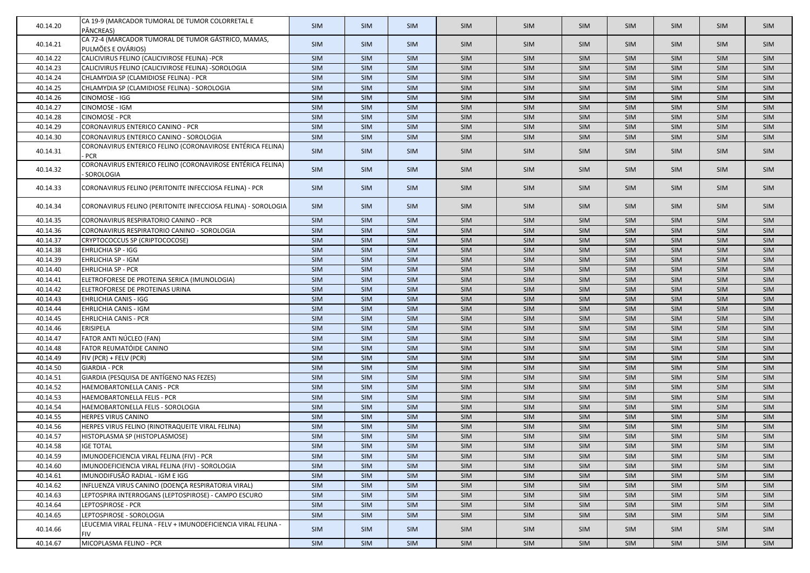| 40.14.20 | CA 19-9 (MARCADOR TUMORAL DE TUMOR COLORRETAL E<br>PÂNCREAS)              | <b>SIM</b> | <b>SIM</b> | <b>SIM</b> | <b>SIM</b> | <b>SIM</b> | <b>SIM</b> | <b>SIM</b> | <b>SIM</b> | <b>SIM</b> | <b>SIM</b> |
|----------|---------------------------------------------------------------------------|------------|------------|------------|------------|------------|------------|------------|------------|------------|------------|
| 40.14.21 | CA 72-4 (MARCADOR TUMORAL DE TUMOR GÁSTRICO, MAMAS,<br>PULMÕES E OVÁRIOS) | <b>SIM</b> | <b>SIM</b> | <b>SIM</b> | SIM        | <b>SIM</b> | <b>SIM</b> | <b>SIM</b> | <b>SIM</b> | <b>SIM</b> | <b>SIM</b> |
| 40.14.22 | CALICIVIRUS FELINO (CALICIVIROSE FELINA) -PCR                             | SIM        | SIM        | SIM        | SIM        | SIM        | SIM        | <b>SIM</b> | <b>SIM</b> | <b>SIM</b> | SIM        |
| 40.14.23 | CALICIVIRUS FELINO (CALICIVIROSE FELINA) -SOROLOGIA                       | SIM        | SIM        | SIM        | SIM        | SIM        | <b>SIM</b> | SIM        | SIM        | SIM        | SIM        |
| 40.14.24 | CHLAMYDIA SP (CLAMIDIOSE FELINA) - PCR                                    | SIM        | SIM        | SIM        | SIM        | <b>SIM</b> | SIM        | SIM        | SIM        | SIM        | <b>SIM</b> |
| 40.14.25 | CHLAMYDIA SP (CLAMIDIOSE FELINA) - SOROLOGIA                              | SIM        | SIM        | SIM        | SIM        | SIM        | SIM        | <b>SIM</b> | SIM        | <b>SIM</b> | <b>SIM</b> |
| 40.14.26 | CINOMOSE - IGG                                                            | SIM        | SIM        | SIM        | SIM        | <b>SIM</b> | SIM        | <b>SIM</b> | SIM        | <b>SIM</b> | SIM        |
| 40.14.27 | CINOMOSE - IGM                                                            | SIM        | SIM        | SIM        | SIM        | <b>SIM</b> | <b>SIM</b> | <b>SIM</b> | <b>SIM</b> | <b>SIM</b> | <b>SIM</b> |
| 40.14.28 | <b>CINOMOSE - PCR</b>                                                     | SIM        | SIM        | SIM        | SIM        | <b>SIM</b> | SIM        | SIM        | SIM        | <b>SIM</b> | SIM        |
| 40.14.29 | CORONAVIRUS ENTERICO CANINO - PCR                                         | SIM        | SIM        | SIM        | SIM        | <b>SIM</b> | <b>SIM</b> | <b>SIM</b> | SIM        | <b>SIM</b> | <b>SIM</b> |
| 40.14.30 | CORONAVIRUS ENTERICO CANINO - SOROLOGIA                                   | SIM        | SIM        | SIM        | SIM        | SIM        | SIM        | SIM        | <b>SIM</b> | <b>SIM</b> | SIM        |
|          | CORONAVIRUS ENTERICO FELINO (CORONAVIROSE ENTÉRICA FELINA)                |            |            |            |            |            |            |            |            |            |            |
| 40.14.31 | <b>PCR</b>                                                                | SIM        | <b>SIM</b> | <b>SIM</b> | SIM        | SIM        | SIM        | <b>SIM</b> | <b>SIM</b> | <b>SIM</b> | <b>SIM</b> |
| 40.14.32 | CORONAVIRUS ENTERICO FELINO (CORONAVIROSE ENTÉRICA FELINA)<br>SOROLOGIA   | <b>SIM</b> | <b>SIM</b> | <b>SIM</b> | SIM        | <b>SIM</b> | <b>SIM</b> | <b>SIM</b> | <b>SIM</b> | <b>SIM</b> | <b>SIM</b> |
| 40.14.33 | CORONAVIRUS FELINO (PERITONITE INFECCIOSA FELINA) - PCR                   | <b>SIM</b> | <b>SIM</b> | SIM        | <b>SIM</b> | <b>SIM</b> | <b>SIM</b> | <b>SIM</b> | <b>SIM</b> | <b>SIM</b> | <b>SIM</b> |
| 40.14.34 | CORONAVIRUS FELINO (PERITONITE INFECCIOSA FELINA) - SOROLOGIA             | SIM        | <b>SIM</b> | <b>SIM</b> | SIM        | <b>SIM</b> | SIM        | <b>SIM</b> | <b>SIM</b> | <b>SIM</b> | SIM        |
| 40.14.35 | CORONAVIRUS RESPIRATORIO CANINO - PCR                                     | SIM        | <b>SIM</b> | SIM        | SIM        | <b>SIM</b> | SIM        | <b>SIM</b> | <b>SIM</b> | <b>SIM</b> | <b>SIM</b> |
| 40.14.36 | CORONAVIRUS RESPIRATORIO CANINO - SOROLOGIA                               | SIM        | SIM        | SIM        | SIM        | SIM        | SIM        | <b>SIM</b> | SIM        | SIM        | <b>SIM</b> |
| 40.14.37 | CRYPTOCOCCUS SP (CRIPTOCOCOSE)                                            | SIM        | SIM        | SIM        | SIM        | SIM        | <b>SIM</b> | SIM        | SIM        | SIM        | <b>SIM</b> |
| 40.14.38 | EHRLICHIA SP - IGG                                                        | SIM        | SIM        | SIM        | SIM        | SIM        | SIM        | SIM        | SIM        | SIM        | SIM        |
| 40.14.39 | EHRLICHIA SP - IGM                                                        | SIM        | SIM        | SIM        | SIM        | SIM        | SIM        | SIM        | SIM        | SIM        | SIM        |
| 40.14.40 | <b>EHRLICHIA SP - PCR</b>                                                 | SIM        | SIM        | SIM        | SIM        | <b>SIM</b> | SIM        | SIM        | SIM        | SIM        | <b>SIM</b> |
| 40.14.41 | ELETROFORESE DE PROTEINA SERICA (IMUNOLOGIA)                              | SIM        | SIM        | SIM        | SIM        | <b>SIM</b> | SIM        | <b>SIM</b> | SIM        | <b>SIM</b> | <b>SIM</b> |
| 40.14.42 | ELETROFORESE DE PROTEINAS URINA                                           | SIM        | SIM        | SIM        | SIM        | <b>SIM</b> | <b>SIM</b> | <b>SIM</b> | SIM        | <b>SIM</b> | <b>SIM</b> |
| 40.14.43 | <b>EHRLICHIA CANIS - IGG</b>                                              | SIM        | SIM        | SIM        | SIM        | <b>SIM</b> | SIM        | SIM        | <b>SIM</b> | SIM        | SIM        |
| 40.14.44 | EHRLICHIA CANIS - IGM                                                     | SIM        | SIM        | SIM        | SIM        | <b>SIM</b> | SIM        | SIM        | SIM        | <b>SIM</b> | SIM        |
| 40.14.45 | <b>EHRLICHIA CANIS - PCR</b>                                              | SIM        | SIM        | <b>SIM</b> | SIM        | SIM        | <b>SIM</b> | SIM        | <b>SIM</b> | <b>SIM</b> | SIM        |
| 40.14.46 | ERISIPELA                                                                 | SIM        | <b>SIM</b> | <b>SIM</b> | SIM        | SIM        | SIM        | SIM        | SIM        | <b>SIM</b> | <b>SIM</b> |
| 40.14.47 | FATOR ANTI NÚCLEO (FAN)                                                   | SIM        | SIM        | SIM        | SIM        | SIM        | SIM        | SIM        | SIM        | <b>SIM</b> | SIM        |
| 40.14.48 | FATOR REUMATÓIDE CANINO                                                   | SIM        | SIM        | SIM        | SIM        | SIM        | SIM        | SIM        | SIM        | SIM        | SIM        |
| 40.14.49 | FIV (PCR) + FELV (PCR)                                                    | SIM        | SIM        | SIM        | SIM        | SIM        | SIM        | SIM        | SIM        | SIM        | SIM        |
| 40.14.50 | <b>GIARDIA - PCR</b>                                                      | SIM        | SIM        | SIM        | SIM        | SIM        | SIM        | <b>SIM</b> | <b>SIM</b> | SIM        | <b>SIM</b> |
| 40.14.51 | GIARDIA (PESQUISA DE ANTÍGENO NAS FEZES)                                  | SIM        | <b>SIM</b> | <b>SIM</b> | SIM        | SIM        | <b>SIM</b> | SIM        | SIM        | <b>SIM</b> | <b>SIM</b> |
| 40.14.52 | HAEMOBARTONELLA CANIS - PCR                                               | SIM        | SIM        | SIM        | SIM        | SIM        | SIM        | <b>SIM</b> | <b>SIM</b> | <b>SIM</b> | <b>SIM</b> |
| 40.14.53 | <b>HAEMOBARTONELLA FELIS - PCR</b>                                        | SIM        | <b>SIM</b> | <b>SIM</b> | SIM        | SIM        | <b>SIM</b> | SIM        | <b>SIM</b> | <b>SIM</b> | <b>SIM</b> |
| 40.14.54 | HAEMOBARTONELLA FELIS - SOROLOGIA                                         | SIM        | SIM        | SIM        | SIM        | SIM        | SIM        | SIM        | SIM        | <b>SIM</b> | SIM        |
| 40.14.55 | <b>HERPES VIRUS CANINO</b>                                                | SIM        | SIM        | SIM        | SIM        | SIM        | SIM        | <b>SIM</b> | <b>SIM</b> | <b>SIM</b> | <b>SIM</b> |
| 40.14.56 | HERPES VIRUS FELINO (RINOTRAQUEITE VIRAL FELINA)                          | SIM        | SIM        | SIM        | SIM        | SIM        | SIM        | <b>SIM</b> | SIM        | <b>SIM</b> | <b>SIM</b> |
| 40.14.57 | HISTOPLASMA SP (HISTOPLASMOSE)                                            | SIM        | SIM        | SIM        | SIM        | SIM        | SIM        | <b>SIM</b> | SIM        | <b>SIM</b> | <b>SIM</b> |
| 40.14.58 | <b>IGE TOTAL</b>                                                          | SIM        | SIM        | SIM        | SIM        | SIM        | SIM        | <b>SIM</b> | SIM        | <b>SIM</b> | <b>SIM</b> |
| 40.14.59 | IMUNODEFICIENCIA VIRAL FELINA (FIV) - PCR                                 | SIM        | SIM        | SIM        | SIM        | <b>SIM</b> | <b>SIM</b> | <b>SIM</b> | SIM        | <b>SIM</b> | <b>SIM</b> |
| 40.14.60 | IMUNODEFICIENCIA VIRAL FELINA (FIV) - SOROLOGIA                           | SIM        | SIM        | SIM        | SIM        | SIM        | SIM        | <b>SIM</b> | <b>SIM</b> | <b>SIM</b> | <b>SIM</b> |
| 40.14.61 | IMUNODIFUSÃO RADIAL - IGM E IGG                                           | SIM        | SIM        | SIM        | SIM        | <b>SIM</b> | <b>SIM</b> | SIM        | SIM        | <b>SIM</b> | <b>SIM</b> |
| 40.14.62 | INFLUENZA VIRUS CANINO (DOENÇA RESPIRATORIA VIRAL)                        | SIM        | SIM        | SIM        | SIM        | <b>SIM</b> | <b>SIM</b> | <b>SIM</b> | <b>SIM</b> | <b>SIM</b> | <b>SIM</b> |
| 40.14.63 | LEPTOSPIRA INTERROGANS (LEPTOSPIROSE) - CAMPO ESCURO                      | SIM        | <b>SIM</b> | <b>SIM</b> | SIM        | <b>SIM</b> | <b>SIM</b> | <b>SIM</b> | <b>SIM</b> | <b>SIM</b> | <b>SIM</b> |
| 40.14.64 | LEPTOSPIROSE - PCR                                                        | SIM        | SIM        | SIM        | SIM        | <b>SIM</b> | <b>SIM</b> | <b>SIM</b> | <b>SIM</b> | <b>SIM</b> | <b>SIM</b> |
| 40.14.65 | LEPTOSPIROSE - SOROLOGIA                                                  | SIM        | SIM        | <b>SIM</b> | SIM        | <b>SIM</b> | <b>SIM</b> | <b>SIM</b> | <b>SIM</b> | <b>SIM</b> | <b>SIM</b> |
| 40.14.66 | LEUCEMIA VIRAL FELINA - FELV + IMUNODEFICIENCIA VIRAL FELINA -<br>FIV     | SIM        | <b>SIM</b> | <b>SIM</b> | <b>SIM</b> | <b>SIM</b> | SIM        | <b>SIM</b> | <b>SIM</b> | <b>SIM</b> | <b>SIM</b> |
| 40.14.67 | MICOPLASMA FELINO - PCR                                                   | SIM        | SIM        | SIM        | SIM        | SIM        | SIM        | SIM        | SIM        | SIM        | SIM        |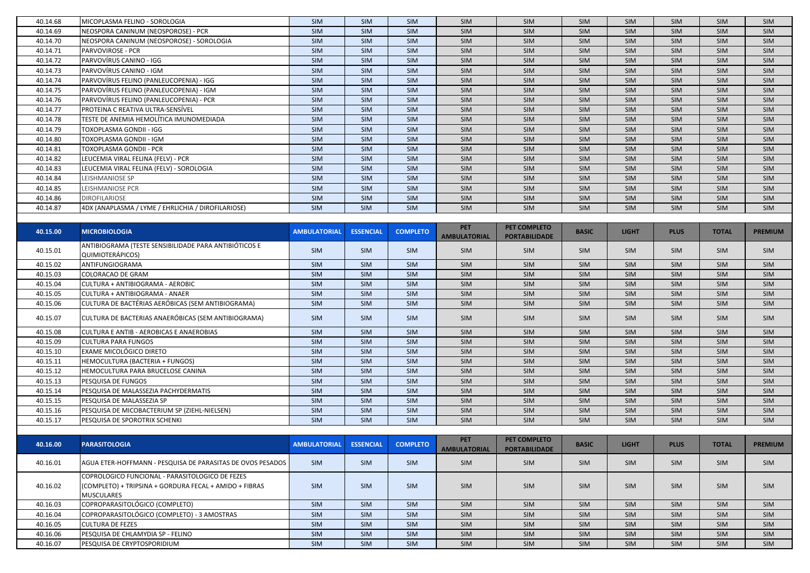| 40.14.68 | MICOPLASMA FELINO - SOROLOGIA                                             | <b>SIM</b>          | <b>SIM</b>       | <b>SIM</b>      | <b>SIM</b>                        | SIM                                  | SIM          | SIM          | <b>SIM</b>  | <b>SIM</b>   | <b>SIM</b>     |
|----------|---------------------------------------------------------------------------|---------------------|------------------|-----------------|-----------------------------------|--------------------------------------|--------------|--------------|-------------|--------------|----------------|
| 40.14.69 | NEOSPORA CANINUM (NEOSPOROSE) - PCR                                       | <b>SIM</b>          | SIM              | SIM             | SIM                               | SIM                                  | SIM          | <b>SIM</b>   | SIM         | <b>SIM</b>   | <b>SIM</b>     |
| 40.14.70 | NEOSPORA CANINUM (NEOSPOROSE) - SOROLOGIA                                 | <b>SIM</b>          | SIM              | <b>SIM</b>      | SIM                               | SIM                                  | SIM          | SIM          | <b>SIM</b>  | <b>SIM</b>   | SIM            |
| 40.14.71 | <b>PARVOVIROSE - PCR</b>                                                  | <b>SIM</b>          | <b>SIM</b>       | <b>SIM</b>      | <b>SIM</b>                        | SIM                                  | SIM          | SIM          | <b>SIM</b>  | <b>SIM</b>   | SIM            |
| 40.14.72 | PARVOVÍRUS CANINO - IGG                                                   | <b>SIM</b>          | SIM              | SIM             | SIM                               | SIM                                  | SIM          | SIM          | <b>SIM</b>  | <b>SIM</b>   | SIM            |
| 40.14.73 | PARVOVÍRUS CANINO - IGM                                                   | <b>SIM</b>          | SIM              | SIM             | SIM                               | SIM                                  | SIM          | SIM          | <b>SIM</b>  | <b>SIM</b>   | SIM            |
| 40.14.74 | PARVOVÍRUS FELINO (PANLEUCOPENIA) - IGG                                   | <b>SIM</b>          | SIM              | SIM             | SIM                               | SIM                                  | SIM          | SIM          | <b>SIM</b>  | <b>SIM</b>   | SIM            |
| 40.14.75 | PARVOVÍRUS FELINO (PANLEUCOPENIA) - IGM                                   | <b>SIM</b>          | SIM              | SIM             | SIM                               | SIM                                  | SIM          | SIM          | <b>SIM</b>  | <b>SIM</b>   | SIM            |
| 40.14.76 | PARVOVÍRUS FELINO (PANLEUCOPENIA) - PCR                                   | <b>SIM</b>          | SIM              | SIM             | SIM                               | SIM                                  | SIM          | SIM          | <b>SIM</b>  | SIM          | SIM            |
| 40.14.77 | PROTEINA C REATIVA ULTRA-SENSÍVEL                                         | SIM                 | SIM              | <b>SIM</b>      | SIM                               | SIM                                  | SIM          | SIM          | SIM         | <b>SIM</b>   | SIM            |
| 40.14.78 | TESTE DE ANEMIA HEMOLÍTICA IMUNOMEDIADA                                   | SIM                 | SIM              | SIM             | SIM                               | SIM                                  | SIM          | SIM          | SIM         | SIM          | SIM            |
| 40.14.79 | TOXOPLASMA GONDII - IGG                                                   | SIM                 | SIM              | SIM             | SIM                               | SIM                                  | SIM          | SIM          | SIM         | SIM          | SIM            |
| 40.14.80 | TOXOPLASMA GONDII - IGM                                                   | <b>SIM</b>          | SIM              | <b>SIM</b>      | <b>SIM</b>                        | SIM                                  | SIM          | SIM          | <b>SIM</b>  | SIM          | SIM            |
| 40.14.81 | TOXOPLASMA GONDII - PCR                                                   | <b>SIM</b>          | SIM              | <b>SIM</b>      | <b>SIM</b>                        | SIM                                  | SIM          | SIM          | <b>SIM</b>  | <b>SIM</b>   | SIM            |
| 40.14.82 | LEUCEMIA VIRAL FELINA (FELV) - PCR                                        | <b>SIM</b>          | <b>SIM</b>       | <b>SIM</b>      | <b>SIM</b>                        | SIM                                  | <b>SIM</b>   | <b>SIM</b>   | <b>SIM</b>  | <b>SIM</b>   | SIM            |
| 40.14.83 | LEUCEMIA VIRAL FELINA (FELV) - SOROLOGIA                                  | SIM                 | SIM              | SIM             | SIM                               | SIM                                  | SIM          | SIM          | SIM         | <b>SIM</b>   | SIM            |
| 40.14.84 | LEISHMANIOSE SP                                                           | SIM                 | SIM              | <b>SIM</b>      | SIM                               | SIM                                  | SIM          | SIM          | SIM         | <b>SIM</b>   | SIM            |
| 40.14.85 | LEISHMANIOSE PCR                                                          | <b>SIM</b>          | SIM              | <b>SIM</b>      | <b>SIM</b>                        | SIM                                  | SIM          | SIM          | SIM         | <b>SIM</b>   | SIM            |
| 40.14.86 | <b>DIROFILARIOSE</b>                                                      | <b>SIM</b>          | SIM              | SIM             | SIM                               | SIM                                  | SIM          | SIM          | SIM         | <b>SIM</b>   | SIM            |
| 40.14.87 | 4DX (ANAPLASMA / LYME / EHRLICHIA / DIROFILARIOSE)                        | <b>SIM</b>          | SIM              | SIM             | SIM                               | SIM                                  | SIM          | SIM          | SIM         | <b>SIM</b>   | <b>SIM</b>     |
|          |                                                                           |                     |                  |                 |                                   |                                      |              |              |             |              |                |
| 40.15.00 | <b>MICROBIOLOGIA</b>                                                      | <b>AMBULATORIAL</b> | <b>ESSENCIAL</b> | <b>COMPLETO</b> | <b>PET</b>                        | PET COMPLETO                         | <b>BASIC</b> | <b>LIGHT</b> | <b>PLUS</b> | <b>TOTAL</b> | <b>PREMIUM</b> |
|          |                                                                           |                     |                  |                 | <b>AMBULATORIAL</b>               | <b>PORTABILIDADE</b>                 |              |              |             |              |                |
| 40.15.01 | ANTIBIOGRAMA (TESTE SENSIBILIDADE PARA ANTIBIÓTICOS E<br>QUIMIOTERÁPICOS) | SIM                 | <b>SIM</b>       | <b>SIM</b>      | <b>SIM</b>                        | SIM                                  | <b>SIM</b>   | <b>SIM</b>   | <b>SIM</b>  | <b>SIM</b>   | SIM            |
| 40.15.02 | ANTIFUNGIOGRAMA                                                           | SIM                 | SIM              | SIM             | SIM                               | SIM                                  | SIM          | SIM          | SIM         | SIM          | SIM            |
| 40.15.03 | <b>COLORACAO DE GRAM</b>                                                  | SIM                 | SIM              | SIM             | SIM                               | SIM                                  | SIM          | SIM          | SIM         | SIM          | SIM            |
| 40.15.04 | CULTURA + ANTIBIOGRAMA - AEROBIC                                          | <b>SIM</b>          | SIM              | SIM             | <b>SIM</b>                        | SIM                                  | SIM          | SIM          | <b>SIM</b>  | <b>SIM</b>   | SIM            |
| 40.15.05 | CULTURA + ANTIBIOGRAMA - ANAER                                            | SIM                 | SIM              | SIM             | SIM                               | SIM                                  | SIM          | SIM          | <b>SIM</b>  | <b>SIM</b>   | SIM            |
| 40.15.06 | CULTURA DE BACTÉRIAS AERÓBICAS (SEM ANTIBIOGRAMA)                         | <b>SIM</b>          | SIM              | SIM             | SIM                               | SIM                                  | <b>SIM</b>   | SIM          | <b>SIM</b>  | <b>SIM</b>   | SIM            |
|          |                                                                           |                     |                  |                 |                                   |                                      |              |              |             |              |                |
| 40.15.07 | CULTURA DE BACTERIAS ANAERÓBICAS (SEM ANTIBIOGRAMA)                       | <b>SIM</b>          | SIM              | SIM             | SIM                               | SIM                                  | SIM          | <b>SIM</b>   | SIM         | SIM          | SIM            |
| 40.15.08 | <b>CULTURA E ANTIB - AEROBICAS E ANAEROBIAS</b>                           | <b>SIM</b>          | SIM              | <b>SIM</b>      | <b>SIM</b>                        | SIM                                  | SIM          | <b>SIM</b>   | SIM         | <b>SIM</b>   | SIM            |
| 40.15.09 | <b>CULTURA PARA FUNGOS</b>                                                | <b>SIM</b>          | SIM              | SIM             | SIM                               | SIM                                  | SIM          | SIM          | <b>SIM</b>  | <b>SIM</b>   | SIM            |
| 40.15.10 | <b>EXAME MICOLÓGICO DIRETO</b>                                            | <b>SIM</b>          | SIM              | SIM             | SIM                               | SIM                                  | SIM          | SIM          | SIM         | <b>SIM</b>   | SIM            |
| 40.15.11 | HEMOCULTURA (BACTERIA + FUNGOS)                                           | SIM                 | SIM              | SIM             | SIM                               | SIM                                  | SIM          | SIM          | SIM         | <b>SIM</b>   | SIM            |
| 40.15.12 | HEMOCULTURA PARA BRUCELOSE CANINA                                         | <b>SIM</b>          | SIM              | <b>SIM</b>      | SIM                               | SIM                                  | <b>SIM</b>   | <b>SIM</b>   | <b>SIM</b>  | <b>SIM</b>   | SIM            |
| 40.15.13 | PESQUISA DE FUNGOS                                                        | SIM                 | SIM              | SIM             | <b>SIM</b>                        | <b>SIM</b>                           | <b>SIM</b>   | <b>SIM</b>   | <b>SIM</b>  | SIM          | <b>SIM</b>     |
| 40.15.14 | PESQUISA DE MALASSEZIA PACHYDERMATIS                                      | SIM                 | SIM              | SIM             | SIM                               | SIM                                  | SIM          | <b>SIM</b>   | SIM         | <b>SIM</b>   | SIM            |
| 40.15.15 | PESQUISA DE MALASSEZIA SP                                                 | <b>SIM</b>          | <b>SIM</b>       | <b>SIM</b>      | <b>SIM</b>                        | SIM                                  | SIM          | <b>SIM</b>   | <b>SIM</b>  | <b>SIM</b>   | SIM            |
| 40.15.16 | PESQUISA DE MICOBACTERIUM SP (ZIEHL-NIELSEN)                              | SIM                 | SIM              | <b>SIM</b>      | <b>SIM</b>                        | SIM                                  | SIM          | SIM          | <b>SIM</b>  | <b>SIM</b>   | <b>SIM</b>     |
| 40.15.17 | PESQUISA DE SPOROTRIX SCHENKI                                             | <b>SIM</b>          | SIM              | <b>SIM</b>      | <b>SIM</b>                        | SIM                                  | SIM          | SIM          | SIM         | <b>SIM</b>   | SIM            |
|          |                                                                           |                     |                  |                 |                                   |                                      |              |              |             |              |                |
| 40.16.00 | <b>PARASITOLOGIA</b>                                                      | <b>AMBULATORIAL</b> | <b>ESSENCIAL</b> | <b>COMPLETO</b> | <b>PET</b><br><b>AMBULATORIAL</b> | PET COMPLETO<br><b>PORTABILIDADE</b> | <b>BASIC</b> | <b>LIGHT</b> | <b>PLUS</b> | <b>TOTAL</b> | <b>PREMIUM</b> |
| 40.16.01 | AGUA ETER-HOFFMANN - PESQUISA DE PARASITAS DE OVOS PESADOS                | <b>SIM</b>          | <b>SIM</b>       | SIM             | SIM                               | SIM                                  | SIM          | <b>SIM</b>   | <b>SIM</b>  | SIM          | SIM            |
|          | COPROLOGICO FUNCIONAL - PARASITOLOGICO DE FEZES                           |                     |                  |                 |                                   |                                      |              |              |             |              |                |
| 40.16.02 | (COMPLETO) + TRIPSINA + GORDURA FECAL + AMIDO + FIBRAS                    | <b>SIM</b>          | <b>SIM</b>       | <b>SIM</b>      | <b>SIM</b>                        | SIM                                  | <b>SIM</b>   | <b>SIM</b>   | <b>SIM</b>  | <b>SIM</b>   | <b>SIM</b>     |
|          | <b>MUSCULARES</b>                                                         |                     |                  |                 |                                   |                                      |              |              |             |              |                |
| 40.16.03 | COPROPARASITOLÓGICO (COMPLETO)                                            | SIM                 | SIM              | SIM             | SIM                               | SIM                                  | SIM          | SIM          | SIM         | SIM          | SIM            |
| 40.16.04 | COPROPARASITOLÓGICO (COMPLETO) - 3 AMOSTRAS                               | SIM                 | SIM              | SIM             | SIM                               | SIM                                  | SIM          | SIM          | SIM         | <b>SIM</b>   | SIM            |
| 40.16.05 | <b>CULTURA DE FEZES</b>                                                   | SIM                 | SIM              | SIM             | SIM                               | SIM                                  | SIM          | SIM          | SIM         | SIM          | SIM            |
| 40.16.06 |                                                                           |                     |                  |                 |                                   |                                      |              |              |             |              |                |
|          | PESQUISA DE CHLAMYDIA SP - FELINO                                         | SIM                 | SIM              | SIM             | SIM                               | SIM                                  | SIM          | SIM          | SIM         | SIM          | SIM            |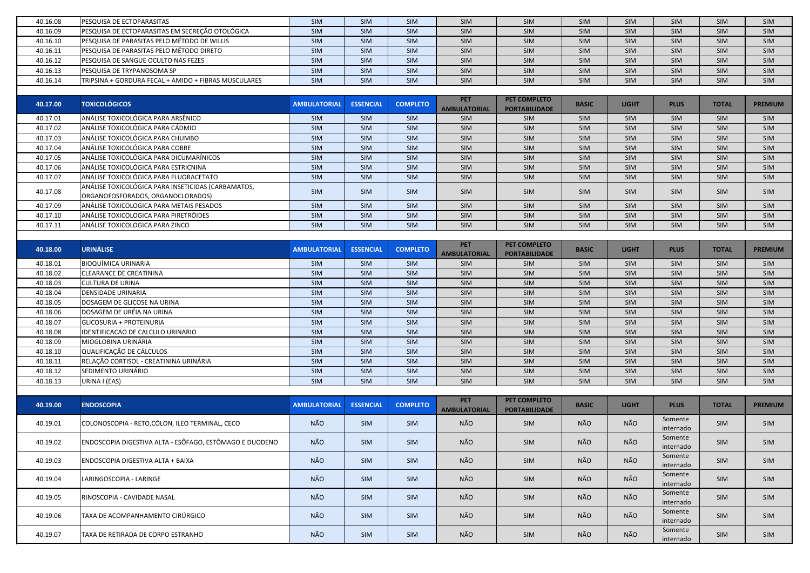| 40.16.08 | PESQUISA DE ECTOPARASITAS                                                               | SIM                 | <b>SIM</b>       | SIM             | SIM                               | SIM                                  | <b>SIM</b>   | SIM          | SIM                  | <b>SIM</b>   | <b>SIM</b>     |
|----------|-----------------------------------------------------------------------------------------|---------------------|------------------|-----------------|-----------------------------------|--------------------------------------|--------------|--------------|----------------------|--------------|----------------|
| 40.16.09 | PESQUISA DE ECTOPARASITAS EM SECREÇÃO OTOLÓGICA                                         | <b>SIM</b>          | SIM              | SIM             | SIM                               | SIM                                  | SIM          | SIM          | SIM                  | <b>SIM</b>   | <b>SIM</b>     |
| 40.16.10 | PESQUISA DE PARASITAS PELO MÉTODO DE WILLIS                                             | <b>SIM</b>          | SIM              | SIM             | SIM                               | SIM                                  | SIM          | SIM          | SIM                  | <b>SIM</b>   | SIM            |
| 40.16.11 | PESQUISA DE PARASITAS PELO MÉTODO DIRETO                                                | <b>SIM</b>          | SIM              | SIM             | SIM                               | SIM                                  | SIM          | SIM          | SIM                  | <b>SIM</b>   | SIM            |
| 40.16.12 | PESQUISA DE SANGUE OCULTO NAS FEZES                                                     | SIM                 | SIM              | SIM             | SIM                               | SIM                                  | SIM          | SIM          | SIM                  | SIM          | SIM            |
| 40.16.13 | PESQUISA DE TRYPANOSOMA SP                                                              | SIM                 | SIM              | SIM             | SIM                               | SIM                                  | SIM          | SIM          | SIM                  | SIM          | SIM            |
| 40.16.14 | TRIPSINA + GORDURA FECAL + AMIDO + FIBRAS MUSCULARES                                    | <b>SIM</b>          | SIM              | SIM             | SIM                               | SIM                                  | SIM          | SIM          | SIM                  | SIM          | SIM            |
|          |                                                                                         |                     |                  |                 |                                   |                                      |              |              |                      |              |                |
| 40.17.00 | <b>TOXICOLÓGICOS</b>                                                                    | <b>AMBULATORIAL</b> | <b>ESSENCIAL</b> | <b>COMPLETO</b> | <b>PET</b><br><b>AMBULATORIAL</b> | PET COMPLETO<br><b>PORTABILIDADE</b> | <b>BASIC</b> | <b>LIGHT</b> | <b>PLUS</b>          | <b>TOTAL</b> | <b>PREMIUM</b> |
| 40.17.01 | ANÁLISE TOXICOLÓGICA PARA ARSÊNICO                                                      | SIM                 | SIM              | SIM             | SIM                               | SIM                                  | <b>SIM</b>   | SIM          | SIM                  | <b>SIM</b>   | SIM            |
| 40.17.02 | ANÁLISE TOXICOLÓGICA PARA CÁDMIO                                                        | SIM                 | SIM              | SIM             | SIM                               | SIM                                  | <b>SIM</b>   | SIM          | SIM                  | SIM          | <b>SIM</b>     |
| 40.17.03 | ANÁLISE TOXICOLÓGICA PARA CHUMBO                                                        | SIM                 | SIM              | SIM             | SIM                               | SIM                                  | <b>SIM</b>   | SIM          | SIM                  | SIM          | SIM            |
| 40.17.04 | ANÁLISE TOXICOLÓGICA PARA COBRE                                                         | SIM                 | SIM              | SIM             | SIM                               | SIM                                  | SIM          | SIM          | SIM                  | SIM          | <b>SIM</b>     |
| 40.17.05 | ANÁLISE TOXICOLÓGICA PARA DICUMARÍNICOS                                                 | SIM                 | SIM              | SIM             | SIM                               | SIM                                  | SIM          | SIM          | SIM                  | <b>SIM</b>   | SIM            |
| 40.17.06 | ANÁLISE TOXICOLÓGICA PARA ESTRICNINA                                                    | <b>SIM</b>          | SIM              | SIM             | SIM                               | SIM                                  | SIM          | SIM          | SIM                  | <b>SIM</b>   | <b>SIM</b>     |
| 40.17.07 | ANÁLISE TOXICOLÓGICA PARA FLUORACETATO                                                  | SIM                 | SIM              | SIM             | SIM                               | SIM                                  | SIM          | SIM          | SIM                  | SIM          | SIM            |
| 40.17.08 | ANÁLISE TOXICOLÓGICA PARA INSETICIDAS (CARBAMATOS,<br>ORGANOFOSFORADOS, ORGANOCLORADOS) | <b>SIM</b>          | <b>SIM</b>       | SIM             | <b>SIM</b>                        | SIM                                  | <b>SIM</b>   | <b>SIM</b>   | <b>SIM</b>           | <b>SIM</b>   | SIM            |
| 40.17.09 | ANÁLISE TOXICOLOGICA PARA METAIS PESADOS                                                | SIM                 | SIM              | SIM             | SIM                               | SIM                                  | SIM          | SIM          | SIM                  | <b>SIM</b>   | SIM            |
| 40.17.10 | ANÁLISE TOXICOLOGICA PARA PIRETRÓIDES                                                   | SIM                 | SIM              | SIM             | SIM                               | SIM                                  | <b>SIM</b>   | SIM          | SIM                  | <b>SIM</b>   | <b>SIM</b>     |
| 40.17.11 | ANÁLISE TOXICOLOGICA PARA ZINCO                                                         | <b>SIM</b>          | SIM              | SIM             | SIM                               | SIM                                  | SIM          | SIM          | SIM                  | <b>SIM</b>   | SIM            |
| 40.18.00 | <b>URINÁLISE</b>                                                                        | <b>AMBULATORIAL</b> | <b>ESSENCIAL</b> | <b>COMPLETO</b> | <b>PET</b><br><b>AMBULATORIAL</b> | PET COMPLETO<br><b>PORTABILIDADE</b> | <b>BASIC</b> | <b>LIGHT</b> | <b>PLUS</b>          | <b>TOTAL</b> | <b>PREMIUM</b> |
| 40.18.01 | BIOQUÍMICA URINARIA                                                                     | SIM                 | SIM              | SIM             | <b>SIM</b>                        | SIM                                  | <b>SIM</b>   | SIM          | SIM                  | <b>SIM</b>   | <b>SIM</b>     |
| 40.18.02 | <b>CLEARANCE DE CREATININA</b>                                                          | SIM                 | SIM              | SIM             | SIM                               | SIM                                  | SIM          | SIM          | SIM                  | <b>SIM</b>   | <b>SIM</b>     |
| 40.18.03 | <b>CULTURA DE URINA</b>                                                                 | SIM                 | SIM              | SIM             | SIM                               | SIM                                  | SIM          | SIM          | SIM                  | SIM          | SIM            |
| 40.18.04 | DENSIDADE URINARIA                                                                      | SIM                 | SIM              | SIM             | SIM                               | SIM                                  | SIM          | SIM          | SIM                  | SIM          | SIM            |
| 40.18.05 | DOSAGEM DE GLICOSE NA URINA                                                             | SIM                 | SIM              | SIM             | SIM                               | SIM                                  | SIM          | SIM          | SIM                  | SIM          | SIM            |
| 40.18.06 | DOSAGEM DE URÉIA NA URINA                                                               | SIM                 | SIM              | SIM             | SIM                               | SIM                                  | SIM          | SIM          | SIM                  | SIM          | SIM            |
| 40.18.07 | <b>GLICOSURIA + PROTEINURIA</b>                                                         | SIM                 | SIM              | SIM             | SIM                               | SIM                                  | SIM          | SIM          | SIM                  | SIM          | SIM            |
| 40.18.08 | IDENTIFICACAO DE CALCULO URINARIO                                                       | SIM                 | SIM              | SIM             | SIM                               | SIM                                  | SIM          | SIM          | SIM                  | SIM          | SIM            |
| 40.18.09 | MIOGLOBINA URINÁRIA                                                                     | <b>SIM</b>          | SIM              | <b>SIM</b>      | SIM                               | SIM                                  | SIM          | <b>SIM</b>   | SIM                  | <b>SIM</b>   | SIM            |
| 40.18.10 | QUALIFICAÇÃO DE CÁLCULOS                                                                | SIM                 | SIM              | SIM             | SIM                               | SIM                                  | SIM          | SIM          | SIM                  | <b>SIM</b>   | SIM            |
| 40.18.11 | RELAÇÃO CORTISOL - CREATININA URINÁRIA                                                  | <b>SIM</b>          | SIM              | SIM             | SIM                               | SIM                                  | <b>SIM</b>   | SIM          | SIM                  | <b>SIM</b>   | <b>SIM</b>     |
| 40.18.12 | SEDIMENTO URINÁRIO                                                                      | <b>SIM</b>          | <b>SIM</b>       | <b>SIM</b>      | SIM                               | SIM                                  | <b>SIM</b>   | <b>SIM</b>   | <b>SIM</b>           | <b>SIM</b>   | <b>SIM</b>     |
| 40.18.13 | URINA I (EAS)                                                                           | SIM                 | SIM              | SIM             | SIM                               | SIM                                  | SIM          | SIM          | SIM                  | SIM          | SIM            |
|          |                                                                                         |                     |                  |                 |                                   |                                      |              |              |                      |              |                |
| 40.19.00 | <b>ENDOSCOPIA</b>                                                                       | <b>AMBULATORIAL</b> | <b>ESSENCIAL</b> | <b>COMPLETO</b> | <b>PET</b><br><b>AMBULATORIAL</b> | PET COMPLETO<br><b>PORTABILIDADE</b> | <b>BASIC</b> | <b>LIGHT</b> | <b>PLUS</b>          | <b>TOTAL</b> | <b>PREMIUM</b> |
| 40.19.01 | COLONOSCOPIA - RETO, CÓLON, ILEO TERMINAL, CECO                                         | NÃO                 | SIM              | <b>SIM</b>      | NÃO                               | SIM                                  | NÃO          | NÃO          | Somente<br>internado | <b>SIM</b>   | <b>SIM</b>     |
| 40.19.02 | ENDOSCOPIA DIGESTIVA ALTA - ESÔFAGO, ESTÔMAGO E DUODENO                                 | NÃO                 | SIM              | SIM             | NÃO                               | SIM                                  | NÃO          | NÃO          | Somente<br>internado | SIM          | SIM            |
| 40.19.03 | ENDOSCOPIA DIGESTIVA ALTA + BAIXA                                                       | NÃO                 | <b>SIM</b>       | SIM             | NÃO                               | SIM                                  | NÃO          | NÃO          | Somente<br>internado | <b>SIM</b>   | <b>SIM</b>     |
| 40.19.04 | LARINGOSCOPIA - LARINGE                                                                 | NÃO                 | <b>SIM</b>       | SIM             | NÃO                               | SIM                                  | NÃO          | NÃO          | Somente<br>internado | SIM          | <b>SIM</b>     |
| 40.19.05 | RINOSCOPIA - CAVIDADE NASAL                                                             | NÃO                 | <b>SIM</b>       | SIM             | NÃO                               | SIM                                  | NÃO          | NÃO          | Somente<br>internado | SIM          | SIM            |
| 40.19.06 | TAXA DE ACOMPANHAMENTO CIRÚRGICO                                                        | NÃO                 | SIM              | SIM             | NÃO                               | SIM                                  | NÃO          | NÃO          | Somente<br>internado | <b>SIM</b>   | SIM            |
| 40.19.07 | TAXA DE RETIRADA DE CORPO ESTRANHO                                                      | NÃO                 | SIM              | SIM             | NÃO                               | SIM                                  | NÃO          | NÃO          | Somente<br>internado | SIM          | SIM            |
|          |                                                                                         |                     |                  |                 |                                   |                                      |              |              |                      |              |                |